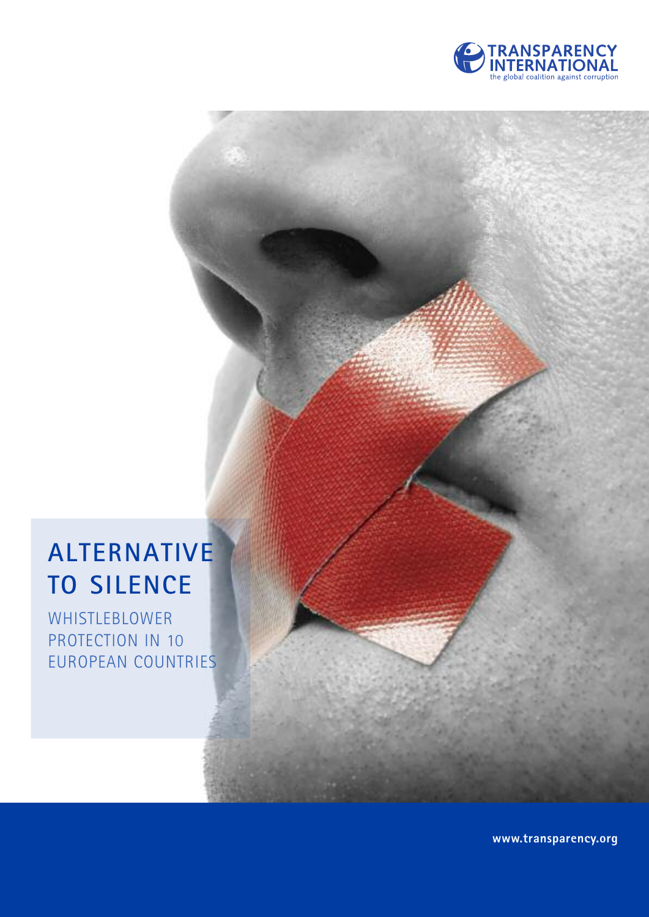

### **ALTERNATIVE TO SILENCE**

WHISTLEBLOWER PROTECTION IN 10 EUROPEAN COUNTRIES

**www.transparency.org**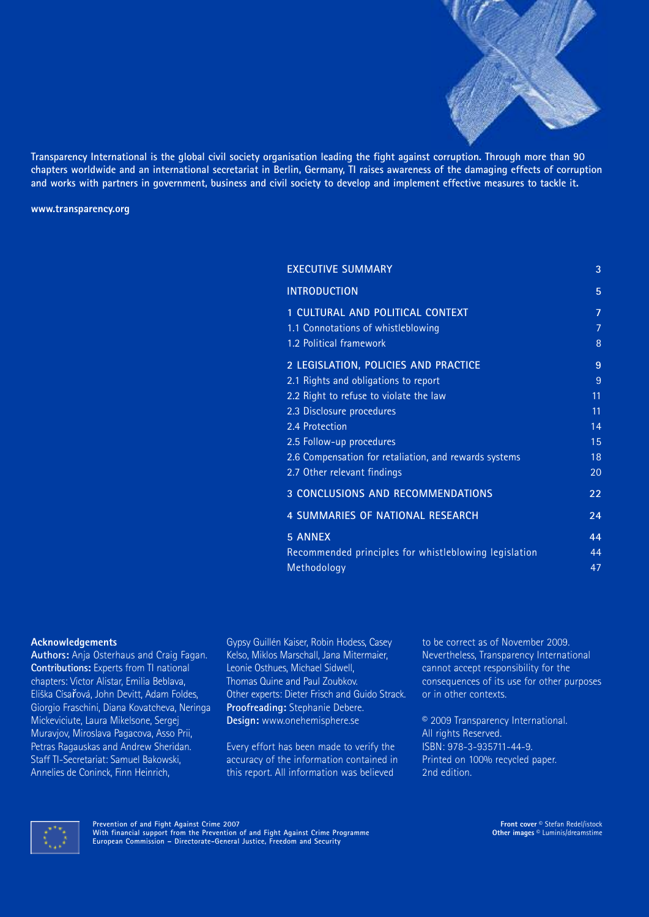

Transparency International is the global civil society organisation leading the fight against corruption. Through more than 90 chapters worldwide and an international secretariat in Berlin, Germany, TI raises awareness of the damaging effects of corruption and works with partners in government, business and civil society to develop and implement effective measures to tackle it.

**www.transparency.org**

| <b>EXECUTIVE SUMMARY</b>                              | 3              |
|-------------------------------------------------------|----------------|
| <b>INTRODUCTION</b>                                   | 5              |
| 1 CULTURAL AND POLITICAL CONTEXT                      | $\overline{7}$ |
| 1.1 Connotations of whistleblowing                    | 7              |
| 1.2 Political framework                               | 8              |
| 2 LEGISLATION, POLICIES AND PRACTICE                  | 9              |
| 2.1 Rights and obligations to report                  | 9              |
| 2.2 Right to refuse to violate the law                | 11             |
| 2.3 Disclosure procedures                             | 11             |
| 2.4 Protection                                        | 14             |
| 2.5 Follow-up procedures                              | 15             |
| 2.6 Compensation for retaliation, and rewards systems | 18             |
| 2.7 Other relevant findings                           | 20             |
| <b>3 CONCLUSIONS AND RECOMMENDATIONS</b>              | 22             |
| 4 SUMMARIES OF NATIONAL RESEARCH                      | 24             |
| <b>5 ANNEX</b>                                        | 44             |
| Recommended principles for whistleblowing legislation | 44             |
| Methodology                                           | 47             |

#### **Acknowledgements**

**Authors:** Anja Osterhaus and Craig Fagan. **Contributions:** Experts from TI national chapters: Victor Alistar, Emilia Beblava, Eliška Císařová, John Devitt, Adam Foldes, Giorgio Fraschini, Diana Kovatcheva, Neringa Mickeviciute, Laura Mikelsone, Sergej Muravjov, Miroslava Pagacova, Asso Prii, Petras Ragauskas and Andrew Sheridan. Staff TI-Secretariat: Samuel Bakowski, Annelies de Coninck, Finn Heinrich,

Gypsy Guillén Kaiser, Robin Hodess, Casey Kelso, Miklos Marschall, Jana Mitermaier, Leonie Osthues, Michael Sidwell, Thomas Quine and Paul Zoubkov. Other experts: Dieter Frisch and Guido Strack. **Proofreading:** Stephanie Debere. **Design:** www.onehemisphere.se

Every effort has been made to verify the accuracy of the information contained in this report. All information was believed

to be correct as of November 2009. Nevertheless, Transparency International cannot accept responsibility for the consequences of its use for other purposes or in other contexts.

© 2009 Transparency International. All rights Reserved. ISBN: 978-3-935711-44-9. Printed on 100% recycled paper. 2nd edition.

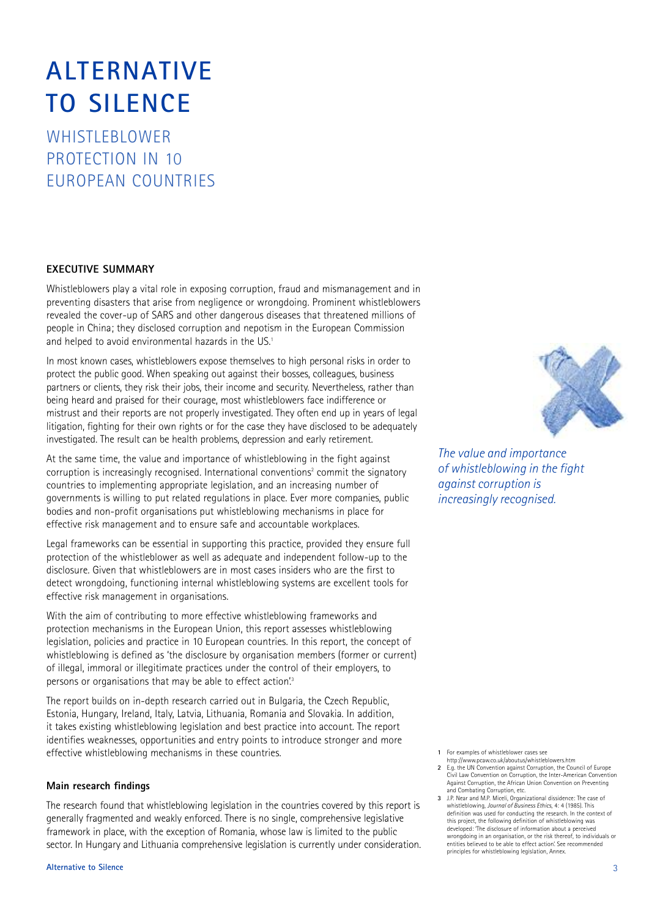### **ALTERNATIVE TO SILENCE**

WHISTLEBLOWER PROTECTION IN 10 EUROPEAN COUNTRIES

#### **EXECUTIVE SUMMARY**

Whistleblowers play a vital role in exposing corruption, fraud and mismanagement and in preventing disasters that arise from negligence or wrongdoing. Prominent whistleblowers revealed the cover-up of SARS and other dangerous diseases that threatened millions of people in China; they disclosed corruption and nepotism in the European Commission and helped to avoid environmental hazards in the US. 1

In most known cases, whistleblowers expose themselves to high personal risks in order to protect the public good. When speaking out against their bosses, colleagues, business partners or clients, they risk their jobs, their income and security. Nevertheless, rather than being heard and praised for their courage, most whistleblowers face indifference or mistrust and their reports are not properly investigated. They often end up in years of legal litigation, fighting for their own rights or for the case they have disclosed to be adequately investigated. The result can be health problems, depression and early retirement.

At the same time, the value and importance of whistleblowing in the fight against corruption is increasingly recognised. International conventions<sup>2</sup> commit the signatory countries to implementing appropriate legislation, and an increasing number of governments is willing to put related regulations in place. Ever more companies, public bodies and non-profit organisations put whistleblowing mechanisms in place for effective risk management and to ensure safe and accountable workplaces.

Legal frameworks can be essential in supporting this practice, provided they ensure full protection of the whistleblower as well as adequate and independent follow-up to the disclosure. Given that whistleblowers are in most cases insiders who are the first to detect wrongdoing, functioning internal whistleblowing systems are excellent tools for effective risk management in organisations.

With the aim of contributing to more effective whistleblowing frameworks and protection mechanisms in the European Union, this report assesses whistleblowing legislation, policies and practice in 10 European countries. In this report, the concept of whistleblowing is defined as 'the disclosure by organisation members (former or current) of illegal, immoral or illegitimate practices under the control of their employers, to persons or organisations that may be able to effect action.<sup>3</sup>

The report builds on in-depth research carried out in Bulgaria, the Czech Republic, Estonia, Hungary, Ireland, Italy, Latvia, Lithuania, Romania and Slovakia. In addition, it takes existing whistleblowing legislation and best practice into account. The report identifies weaknesses, opportunities and entry points to introduce stronger and more effective whistleblowing mechanisms in these countries.

#### **Main research findings**

The research found that whistleblowing legislation in the countries covered by this report is generally fragmented and weakly enforced. There is no single, comprehensive legislative framework in place, with the exception of Romania, whose law is limited to the public sector. In Hungary and Lithuania comprehensive legislation is currently under consideration.



*The value and importance of whistleblowing in the fight against corruption is increasingly recognised.*

**1** For examples of whistleblower cases see

- http://www.pcaw.co.uk/aboutus/whistleblowers.htm **2** E.g. the UN Convention against Corruption, the Council of Europe Civil Law Convention on Corruption, the Inter-American Convention Against Corruption, the African Union Convention on Preventing
- and Combating Corruption, etc. **3** J.P. Near and M.P. Miceli, Organizational dissidence: The case of whistleblowing, *Journal of Business Ethics*, 4: 4 (1985). This definition was used for conducting the research. In the context of this project, the following definition of whistleblowing was developed: 'The disclosure of information about a perceived wrongdoing in an organisation, or the risk thereof, to individuals or entities believed to be able to effect action'. See recommended principles for whistleblowing legislation, Annex.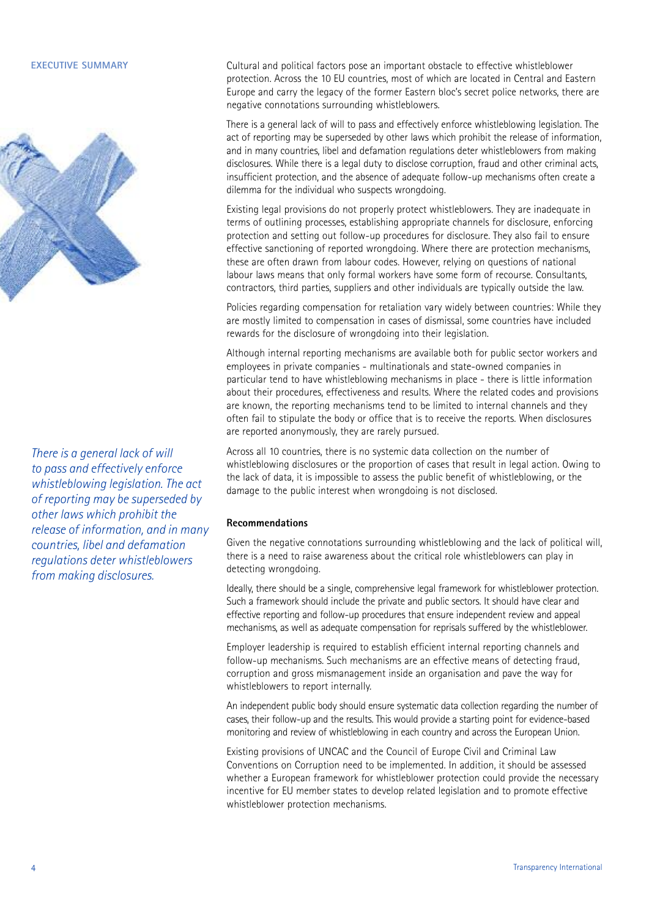

*There is a general lack of will to pass and effectively enforce whistleblowing legislation. The act of reporting may be superseded by other laws which prohibit the release of information, and in many countries, libel and defamation regulations deter whistleblowers from making disclosures.*

Cultural and political factors pose an important obstacle to effective whistleblower protection. Across the 10 EU countries, most of which are located in Central and Eastern Europe and carry the legacy of the former Eastern bloc's secret police networks, there are negative connotations surrounding whistleblowers.

There is a general lack of will to pass and effectively enforce whistleblowing legislation. The act of reporting may be superseded by other laws which prohibit the release of information, and in many countries, libel and defamation regulations deter whistleblowers from making disclosures. While there is a legal duty to disclose corruption, fraud and other criminal acts, insufficient protection, and the absence of adequate follow-up mechanisms often create a dilemma for the individual who suspects wrongdoing.

Existing legal provisions do not properly protect whistleblowers. They are inadequate in terms of outlining processes, establishing appropriate channels for disclosure, enforcing protection and setting out follow-up procedures for disclosure. They also fail to ensure effective sanctioning of reported wrongdoing. Where there are protection mechanisms, these are often drawn from labour codes. However, relying on questions of national labour laws means that only formal workers have some form of recourse. Consultants, contractors, third parties, suppliers and other individuals are typically outside the law.

Policies regarding compensation for retaliation vary widely between countries: While they are mostly limited to compensation in cases of dismissal, some countries have included rewards for the disclosure of wrongdoing into their legislation.

Although internal reporting mechanisms are available both for public sector workers and employees in private companies - multinationals and state-owned companies in particular tend to have whistleblowing mechanisms in place - there is little information about their procedures, effectiveness and results. Where the related codes and provisions are known, the reporting mechanisms tend to be limited to internal channels and they often fail to stipulate the body or office that is to receive the reports. When disclosures are reported anonymously, they are rarely pursued.

Across all 10 countries, there is no systemic data collection on the number of whistleblowing disclosures or the proportion of cases that result in legal action. Owing to the lack of data, it is impossible to assess the public benefit of whistleblowing, or the damage to the public interest when wrongdoing is not disclosed.

#### **Recommendations**

Given the negative connotations surrounding whistleblowing and the lack of political will, there is a need to raise awareness about the critical role whistleblowers can play in detecting wrongdoing.

Ideally, there should be a single, comprehensive legal framework for whistleblower protection. Such a framework should include the private and public sectors. It should have clear and effective reporting and follow-up procedures that ensure independent review and appeal mechanisms, as well as adequate compensation for reprisals suffered by the whistleblower.

Employer leadership is required to establish efficient internal reporting channels and follow-up mechanisms. Such mechanisms are an effective means of detecting fraud, corruption and gross mismanagement inside an organisation and pave the way for whistleblowers to report internally.

An independent public body should ensure systematic data collection regarding the number of cases, their follow-up and the results. This would provide a starting point for evidence-based monitoring and review of whistleblowing in each country and across the European Union.

Existing provisions of UNCAC and the Council of Europe Civil and Criminal Law Conventions on Corruption need to be implemented. In addition, it should be assessed whether a European framework for whistleblower protection could provide the necessary incentive for EU member states to develop related legislation and to promote effective whistleblower protection mechanisms.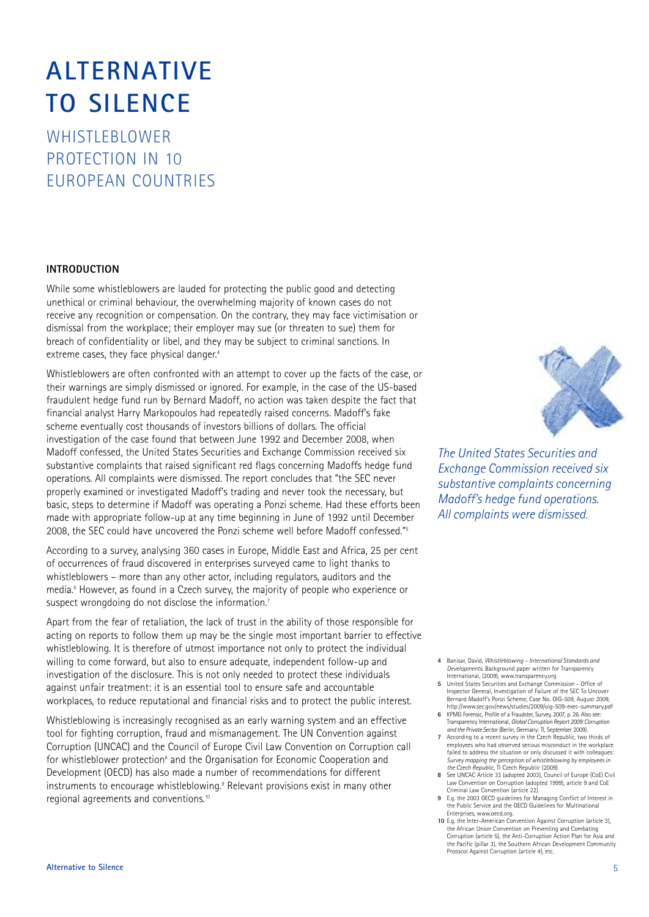### **ALTERNATIVE TO SILENCE**

WHISTLEBLOWER PROTECTION IN 10 EUROPEAN COUNTRIES

#### **INTRODUCTION**

While some whistleblowers are lauded for protecting the public good and detecting unethical or criminal behaviour, the overwhelming majority of known cases do not receive any recognition or compensation. On the contrary, they may face victimisation or dismissal from the workplace; their employer may sue (or threaten to sue) them for breach of confidentiality or libel, and they may be subject to criminal sanctions. In extreme cases, they face physical danger. 4

Whistleblowers are often confronted with an attempt to cover up the facts of the case, or their warnings are simply dismissed or ignored. For example, in the case of the US-based fraudulent hedge fund run by Bernard Madoff, no action was taken despite the fact that financial analyst Harry Markopoulos had repeatedly raised concerns. Madoff's fake scheme eventually cost thousands of investors billions of dollars. The official investigation of the case found that between June 1992 and December 2008, when Madoff confessed, the United States Securities and Exchange Commission received six substantive complaints that raised significant red flags concerning Madoffs hedge fund operations. All complaints were dismissed. The report concludes that "the SEC never properly examined or investigated Madoff's trading and never took the necessary, but basic, steps to determine if Madoff was operating a Ponzi scheme. Had these efforts been made with appropriate follow-up at any time beginning in June of 1992 until December 2008, the SEC could have uncovered the Ponzi scheme well before Madoff confessed." 5

According to a survey, analysing 360 cases in Europe, Middle East and Africa, 25 per cent of occurrences of fraud discovered in enterprises surveyed came to light thanks to whistleblowers – more than any other actor, including regulators, auditors and the media. <sup>6</sup> However, as found in a Czech survey, the majority of people who experience or suspect wrongdoing do not disclose the information.<sup>7</sup>

Apart from the fear of retaliation, the lack of trust in the ability of those responsible for acting on reports to follow them up may be the single most important barrier to effective whistleblowing. It is therefore of utmost importance not only to protect the individual willing to come forward, but also to ensure adequate, independent follow-up and investigation of the disclosure. This is not only needed to protect these individuals against unfair treatment: it is an essential tool to ensure safe and accountable workplaces, to reduce reputational and financial risks and to protect the public interest.

Whistleblowing is increasingly recognised as an early warning system and an effective tool for fighting corruption, fraud and mismanagement. The UN Convention against Corruption (UNCAC) and the Council of Europe Civil Law Convention on Corruption call for whistleblower protection<sup>8</sup> and the Organisation for Economic Cooperation and Development (OECD) has also made a number of recommendations for different instruments to encourage whistleblowing. <sup>9</sup> Relevant provisions exist in many other regional agreements and conventions. $^{\text{10}}$ 



*The United States Securities and Exchange Commission received six substantive complaints concerning Madoff's hedge fund operations. All complaints were dismissed.*

- **4** Banisar, David, *Whistleblowing – International Standards and Developments*. Background paper written for Transparency
- International, (2009), www.transparency.org **5** United States Securities and Exchange Commission Office of Inspector General, Investigation of Failure of the SEC To Uncover Bernard Madoff's Ponzi Scheme, Case No. OIG-509, August 2009, http://www.sec.gov/news/studies/2009/oig-509-exec-summary.pdf
- **6** KPMG Forensic, Profile of a Fraudster, Survey, 2007, p. 26. Also see: Transparency International, *Global Corruption Report 2009: Corruption and the Private Sector* (Berlin, Germany: TI, September 2009).
- **7** According to a recent survey in the Czech Republic, two thirds of employees who had observed serious misconduct in the workplace failed to address the situation or only discussed it with colleagues: *Survey mapping the perception of whistleblowing by employees in the Czech Republic*, TI Czech Republic (2009)
- **8** See UNCAC Article 33 (adopted 2003), Council of Europe (CoE) Civil Law Convention on Corruption (adopted 1999), article 9 and CoE
- Criminal Law Convention (article 22). **9** E.g. the 2003 OECD guidelines for Managing Conflict of Interest in the Public Service and the OECD Guidelines for Multinational Enterprises, www.oecd.org.
- **10** E.g. the Inter-American Convention Against Corruption (article 3), the African Union Convention on Preventing and Combating Corruption (article 5), the Anti-Corruption Action Plan for Asia and the Pacific (pillar 3), the Southern African Development Community Protocol Against Corruption (article 4), etc.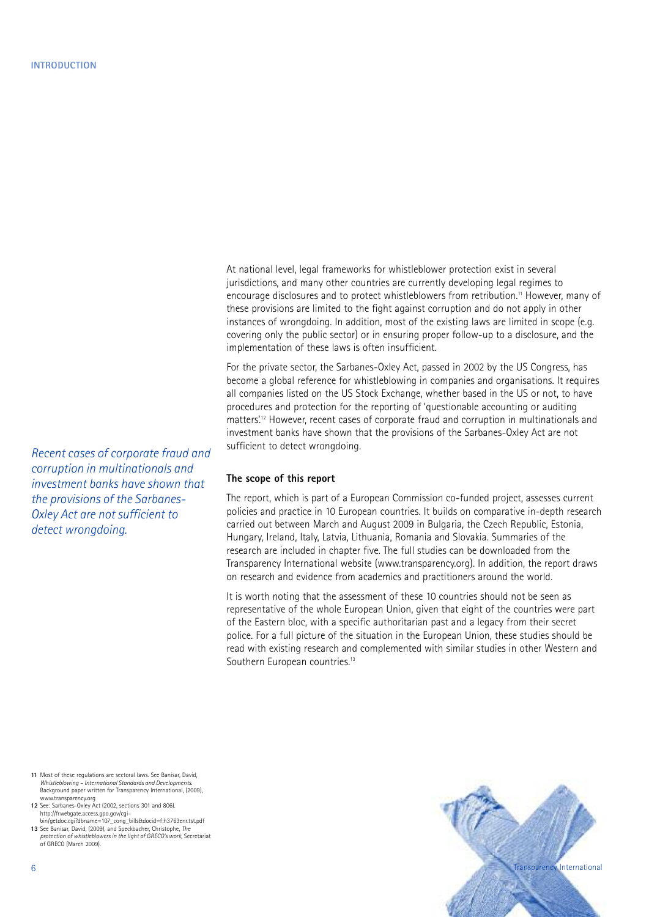At national level, legal frameworks for whistleblower protection exist in several jurisdictions, and many other countries are currently developing legal regimes to encourage disclosures and to protect whistleblowers from retribution. <sup>11</sup> However, many of these provisions are limited to the fight against corruption and do not apply in other instances of wrongdoing. In addition, most of the existing laws are limited in scope (e.g. covering only the public sector) or in ensuring proper follow-up to a disclosure, and the implementation of these laws is often insufficient.

For the private sector, the Sarbanes-Oxley Act, passed in 2002 by the US Congress, has become a global reference for whistleblowing in companies and organisations. It requires all companies listed on the US Stock Exchange, whether based in the US or not, to have procedures and protection for the reporting of 'questionable accounting or auditing matters.<sup>12</sup> However, recent cases of corporate fraud and corruption in multinationals and investment banks have shown that the provisions of the Sarbanes-Oxley Act are not sufficient to detect wrongdoing.

#### **The scope of this report**

The report, which is part of a European Commission co-funded project, assesses current policies and practice in 10 European countries. It builds on comparative in-depth research carried out between March and August 2009 in Bulgaria, the Czech Republic, Estonia, Hungary, Ireland, Italy, Latvia, Lithuania, Romania and Slovakia. Summaries of the research are included in chapter five. The full studies can be downloaded from the Transparency International website (www.transparency.org). In addition, the report draws on research and evidence from academics and practitioners around the world.

It is worth noting that the assessment of these 10 countries should not be seen as representative of the whole European Union, given that eight of the countries were part of the Eastern bloc, with a specific authoritarian past and a legacy from their secret police. For a full picture of the situation in the European Union, these studies should be read with existing research and complemented with similar studies in other Western and Southern European countries.<sup>13</sup>

*Recent cases of corporate fraud and corruption in multinationals and investment banks have shown that the provisions of the Sarbanes-Oxley Act are not sufficient to detect wrongdoing.*

- **11** Most of these regulations are sectoral laws. See Banisar, David, *Whistleblowing – International Standards and Developments*. Background paper written for Transparency International, (2009), www.transparency.org
- **12** See: Sarbanes-Oxley Act (2002, sections 301 and 806). http://frwebgate.access.gpo.gov/cgi-bin/getdoc.cgi?dbname=107\_cong\_bills&docid=f:h3763enr.tst.pdf
- **13** See Banisar, David, (2009), and Speckbacher, Christophe, *The protection of whistleblowers in the light of GRECO's work*, Secretariat of GRECO (March 2009).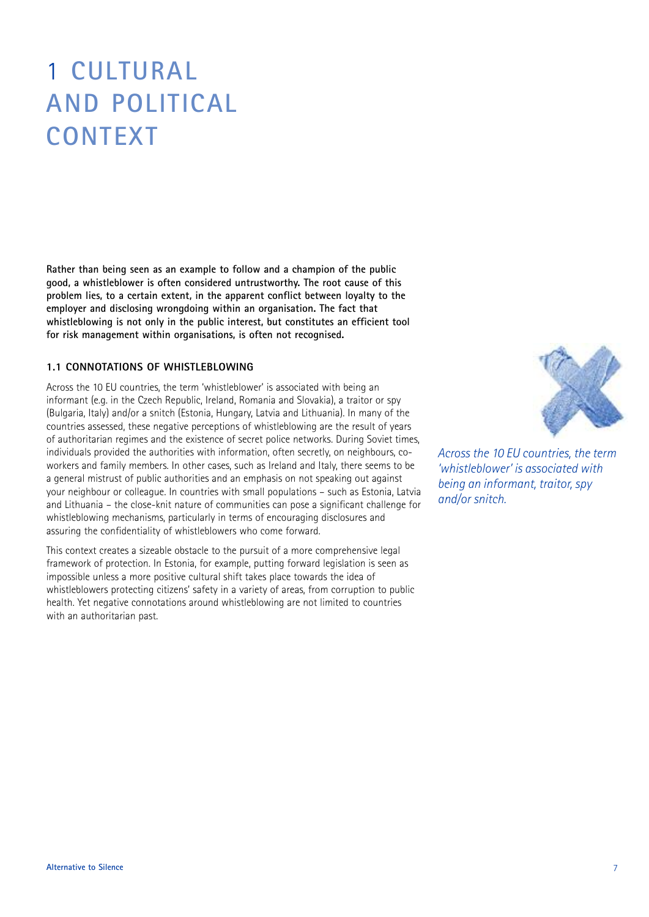### 1 **CULTURAL AND POLITICAL CONTEXT**

**Rather than being seen as an example to follow and a champion of the public good, a whistleblower is often considered untrustworthy. The root cause of this problem lies, to a certain extent, in the apparent conflict between loyalty to the employer and disclosing wrongdoing within an organisation. The fact that whistleblowing is not only in the public interest, but constitutes an efficient tool for risk management within organisations, is often not recognised.**

#### **1.1 CONNOTATIONS OF WHISTLEBLOWING**

Across the 10 EU countries, the term 'whistleblower' is associated with being an informant (e.g. in the Czech Republic, Ireland, Romania and Slovakia), a traitor or spy (Bulgaria, Italy) and/or a snitch (Estonia, Hungary, Latvia and Lithuania). In many of the countries assessed, these negative perceptions of whistleblowing are the result of years of authoritarian regimes and the existence of secret police networks. During Soviet times, individuals provided the authorities with information, often secretly, on neighbours, coworkers and family members. In other cases, such as Ireland and Italy, there seems to be a general mistrust of public authorities and an emphasis on not speaking out against your neighbour or colleague. In countries with small populations – such as Estonia, Latvia and Lithuania – the close-knit nature of communities can pose a significant challenge for whistleblowing mechanisms, particularly in terms of encouraging disclosures and assuring the confidentiality of whistleblowers who come forward.

This context creates a sizeable obstacle to the pursuit of a more comprehensive legal framework of protection. In Estonia, for example, putting forward legislation is seen as impossible unless a more positive cultural shift takes place towards the idea of whistleblowers protecting citizens' safety in a variety of areas, from corruption to public health. Yet negative connotations around whistleblowing are not limited to countries with an authoritarian past.



*Across the 10 EU countries, the term 'whistleblower' is associated with being an informant, traitor, spy and/or snitch.*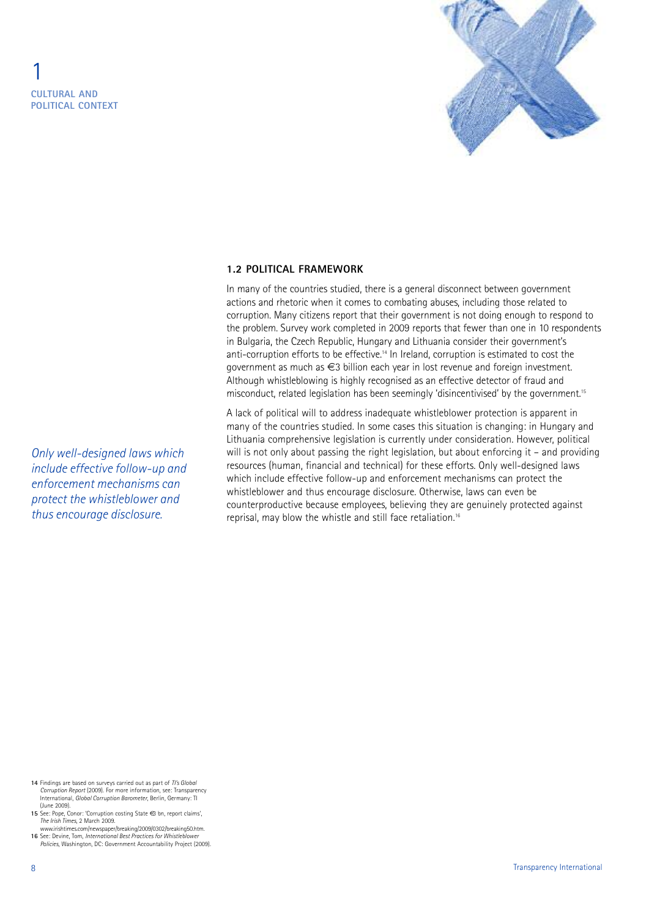

#### **1.2 POLITICAL FRAMEWORK**

In many of the countries studied, there is a general disconnect between government actions and rhetoric when it comes to combating abuses, including those related to corruption. Many citizens report that their government is not doing enough to respond to the problem. Survey work completed in 2009 reports that fewer than one in 10 respondents in Bulgaria, the Czech Republic, Hungary and Lithuania consider their government's anti-corruption efforts to be effective.<sup>14</sup> In Ireland, corruption is estimated to cost the government as much as €3 billion each year in lost revenue and foreign investment. Although whistleblowing is highly recognised as an effective detector of fraud and misconduct, related legislation has been seemingly 'disincentivised' by the government.<sup>15</sup>

A lack of political will to address inadequate whistleblower protection is apparent in many of the countries studied. In some cases this situation is changing: in Hungary and Lithuania comprehensive legislation is currently under consideration. However, political will is not only about passing the right legislation, but about enforcing it – and providing resources (human, financial and technical) for these efforts. Only well-designed laws which include effective follow-up and enforcement mechanisms can protect the whistleblower and thus encourage disclosure. Otherwise, laws can even be counterproductive because employees, believing they are genuinely protected against reprisal, may blow the whistle and still face retaliation.<sup>16</sup>

*Only well-designed laws which include effective follow-up and enforcement mechanisms can protect the whistleblower and thus encourage disclosure.*

- **14** Findings are based on surveys carried out as part of *TI's Global Corruption Report* (2009). For more information, see: Transparency International, *Global Corruption Barometer*, Berlin, Germany: TI (June 2009).
- **15** See: Pope, Conor: 'Corruption costing State €3 bn, report claims', *The Irish Times*, 2 March 2009.
- www.irishtimes.com/newspaper/breaking/2009/0302/breaking50.htm. **16** See: Devine, Tom, *International Best Practices for Whistleblower Policies*, Washington, DC: Government Accountability Project (2009).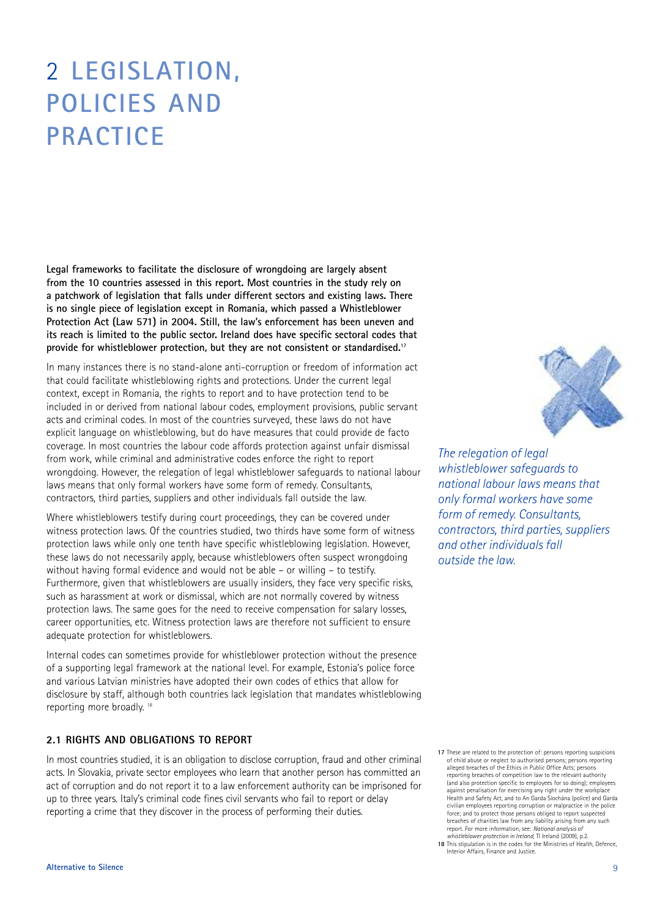### 2 **LEGISLATION, POLICIES AND PRACTICE**

**Legal frameworks to facilitate the disclosure of wrongdoing are largely absent from the 10 countries assessed in this report. Most countries in the study rely on a patchwork of legislation that falls under different sectors and existing laws. There is no single piece of legislation except in Romania, which passed a Whistleblower Protection Act (Law 571) in 2004. Still, the law's enforcement has been uneven and its reach is limited to the public sector. Ireland does have specific sectoral codes that provide for whistleblower protection, but they are not consistent or standardised. 17**

In many instances there is no stand-alone anti-corruption or freedom of information act that could facilitate whistleblowing rights and protections. Under the current legal context, except in Romania, the rights to report and to have protection tend to be included in or derived from national labour codes, employment provisions, public servant acts and criminal codes. In most of the countries surveyed, these laws do not have explicit language on whistleblowing, but do have measures that could provide de facto coverage. In most countries the labour code affords protection against unfair dismissal from work, while criminal and administrative codes enforce the right to report wrongdoing. However, the relegation of legal whistleblower safeguards to national labour laws means that only formal workers have some form of remedy. Consultants, contractors, third parties, suppliers and other individuals fall outside the law.

Where whistleblowers testify during court proceedings, they can be covered under witness protection laws. Of the countries studied, two thirds have some form of witness protection laws while only one tenth have specific whistleblowing legislation. However, these laws do not necessarily apply, because whistleblowers often suspect wrongdoing without having formal evidence and would not be able – or willing – to testify. Furthermore, given that whistleblowers are usually insiders, they face very specific risks, such as harassment at work or dismissal, which are not normally covered by witness protection laws. The same goes for the need to receive compensation for salary losses, career opportunities, etc. Witness protection laws are therefore not sufficient to ensure adequate protection for whistleblowers.

Internal codes can sometimes provide for whistleblower protection without the presence of a supporting legal framework at the national level. For example, Estonia's police force and various Latvian ministries have adopted their own codes of ethics that allow for disclosure by staff, although both countries lack legislation that mandates whistleblowing reporting more broadly. <sup>18</sup>

#### **2.1 RIGHTS AND OBLIGATIONS TO REPORT**

In most countries studied, it is an obligation to disclose corruption, fraud and other criminal acts. In Slovakia, private sector employees who learn that another person has committed an act of corruption and do not report it to a law enforcement authority can be imprisoned for up to three years. Italy's criminal code fines civil servants who fail to report or delay reporting a crime that they discover in the process of performing their duties.



*The relegation of legal whistleblower safeguards to national labour laws means that only formal workers have some form of remedy. Consultants, contractors, third parties, suppliers and other individuals fall outside the law.*

**17** These are related to the protection of: persons reporting suspicions of child abuse or neglect to authorised persons; persons reporting alleged breaches of the Ethics in Public Office Acts; persons reporting breaches of competition law to the relevant authority (and also protection specific to employees for so doing); employees against penalisation for exercising any right under the workplace Health and Safety Act, and to An Garda Síochána (police) and Garda civilian employees reporting corruption or malpractice in the police force; and to protect those persons obliged to report suspected breaches of charities law from any liability arising from any such report. For more information, see: *National analysis of whistleblower protection in Ireland*, TI Ireland (2009), p.2. **18** This stipulation is in the codes for the Ministries of Health, Defence,

Interior Affairs, Finance and Justice.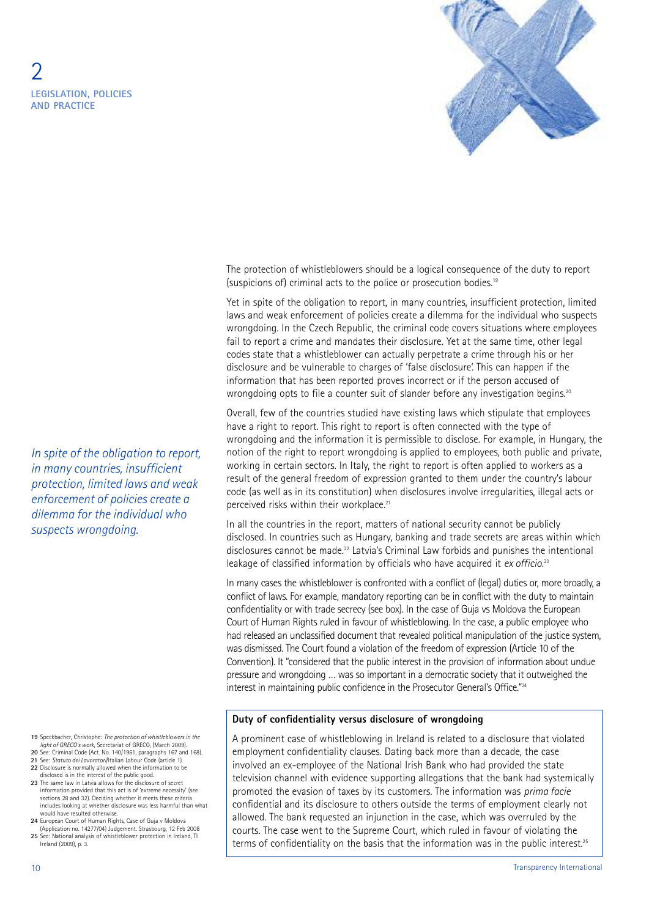

The protection of whistleblowers should be a logical consequence of the duty to report (suspicions of) criminal acts to the police or prosecution bodies. 19

Yet in spite of the obligation to report, in many countries, insufficient protection, limited laws and weak enforcement of policies create a dilemma for the individual who suspects wrongdoing. In the Czech Republic, the criminal code covers situations where employees fail to report a crime and mandates their disclosure. Yet at the same time, other legal codes state that a whistleblower can actually perpetrate a crime through his or her disclosure and be vulnerable to charges of 'false disclosure'. This can happen if the information that has been reported proves incorrect or if the person accused of wrongdoing opts to file a counter suit of slander before any investigation begins.<sup>20</sup>

Overall, few of the countries studied have existing laws which stipulate that employees have a right to report. This right to report is often connected with the type of wrongdoing and the information it is permissible to disclose. For example, in Hungary, the notion of the right to report wrongdoing is applied to employees, both public and private, working in certain sectors. In Italy, the right to report is often applied to workers as a result of the general freedom of expression granted to them under the country's labour code (as well as in its constitution) when disclosures involve irregularities, illegal acts or perceived risks within their workplace.<sup>21</sup>

In all the countries in the report, matters of national security cannot be publicly disclosed. In countries such as Hungary, banking and trade secrets are areas within which disclosures cannot be made. <sup>22</sup> Latvia's Criminal Law forbids and punishes the intentional leakage of classified information by officials who have acquired it *ex officio*. 23

In many cases the whistleblower is confronted with a conflict of (legal) duties or, more broadly, a conflict of laws. For example, mandatory reporting can be in conflict with the duty to maintain confidentiality or with trade secrecy (see box). In the case of Guja vs Moldova the European Court of Human Rights ruled in favour of whistleblowing. In the case, a public employee who had released an unclassified document that revealed political manipulation of the justice system, was dismissed. The Court found a violation of the freedom of expression (Article 10 of the Convention). It "considered that the public interest in the provision of information about undue pressure and wrongdoing … was so important in a democratic society that it outweighed the interest in maintaining public confidence in the Prosecutor General's Office."<sup>24</sup>

#### **Duty of confidentiality versus disclosure of wrongdoing**

A prominent case of whistleblowing in Ireland is related to a disclosure that violated employment confidentiality clauses. Dating back more than a decade, the case involved an ex-employee of the National Irish Bank who had provided the state television channel with evidence supporting allegations that the bank had systemically promoted the evasion of taxes by its customers. The information was *prima facie* confidential and its disclosure to others outside the terms of employment clearly not allowed. The bank requested an injunction in the case, which was overruled by the courts. The case went to the Supreme Court, which ruled in favour of violating the terms of confidentiality on the basis that the information was in the public interest.<sup>25</sup>

*In spite of the obligation to report, in many countries, insufficient protection, limited laws and weak enforcement of policies create a dilemma for the individual who suspects wrongdoing.*

**19** Speckbacher, Christophe: *The protection of whistleblowers in the light of GRECO's work*, Secretariat of GRECO, (March 2009). **20** See: Criminal Code (Act. No. 140/1961, paragraphs 167 and 168).

- **21** See: *Statuto dei Lavoratori*/Italian Labour Code (article 1). **22** Disclosure is normally allowed when the information to be
- disclosed is in the interest of the public good.
- **23** The same law in Latvia allows for the disclosure of secret information provided that this act is of 'extreme necessity' (see sections 28 and 32). Deciding whether it meets these criteria includes looking at whether disclosure was less harmful than what would have resulted otherwise.
- **24** European Court of Human Rights, Case of Guja v Moldova (Application no. 14277/04) Judgement. Strasbourg, 12 Feb 2008
- **25** See: National analysis of whistleblower protection in Ireland, TI Ireland (2009), p. 3.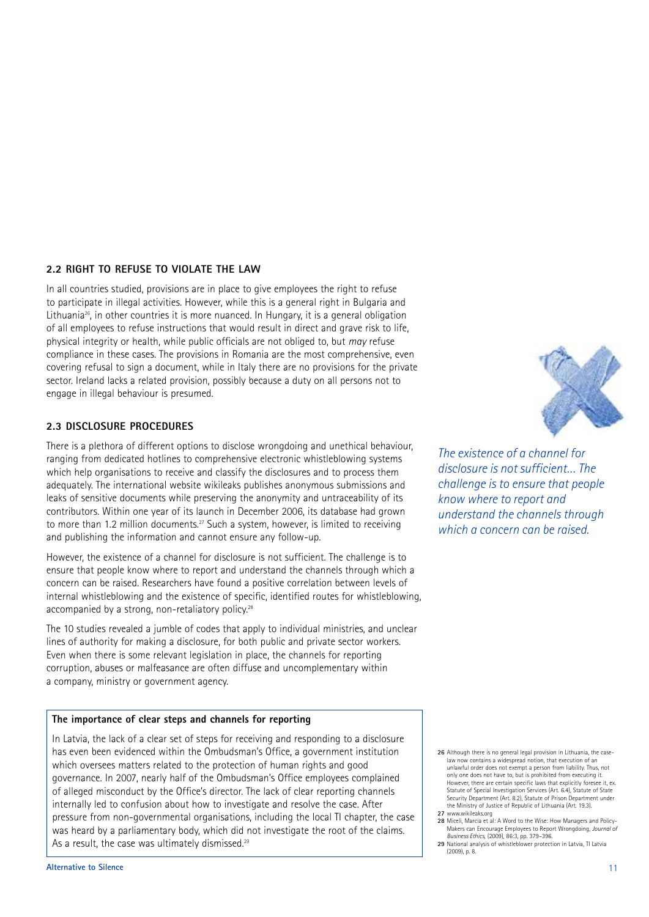#### **2.2 RIGHT TO REFUSE TO VIOLATE THE LAW**

In all countries studied, provisions are in place to give employees the right to refuse to participate in illegal activities. However, while this is a general right in Bulgaria and Lithuania<sup>26</sup>, in other countries it is more nuanced. In Hungary, it is a general obligation of all employees to refuse instructions that would result in direct and grave risk to life, physical integrity or health, while public officials are not obliged to, but *may* refuse compliance in these cases. The provisions in Romania are the most comprehensive, even covering refusal to sign a document, while in Italy there are no provisions for the private sector. Ireland lacks a related provision, possibly because a duty on all persons not to engage in illegal behaviour is presumed.

#### **2.3 DISCLOSURE PROCEDURES**

There is a plethora of different options to disclose wrongdoing and unethical behaviour, ranging from dedicated hotlines to comprehensive electronic whistleblowing systems which help organisations to receive and classify the disclosures and to process them adequately. The international website wikileaks publishes anonymous submissions and leaks of sensitive documents while preserving the anonymity and untraceability of its contributors. Within one year of its launch in December 2006, its database had grown to more than 1.2 million documents. <sup>27</sup> Such a system, however, is limited to receiving and publishing the information and cannot ensure any follow-up.

However, the existence of a channel for disclosure is not sufficient. The challenge is to ensure that people know where to report and understand the channels through which a concern can be raised. Researchers have found a positive correlation between levels of internal whistleblowing and the existence of specific, identified routes for whistleblowing, accompanied by a strong, non-retaliatory policy.<sup>28</sup>

The 10 studies revealed a jumble of codes that apply to individual ministries, and unclear lines of authority for making a disclosure, for both public and private sector workers. Even when there is some relevant legislation in place, the channels for reporting corruption, abuses or malfeasance are often diffuse and uncomplementary within a company, ministry or government agency.

#### **The importance of clear steps and channels for reporting**

In Latvia, the lack of a clear set of steps for receiving and responding to a disclosure has even been evidenced within the Ombudsman's Office, a government institution which oversees matters related to the protection of human rights and good governance. In 2007, nearly half of the Ombudsman's Office employees complained of alleged misconduct by the Office's director. The lack of clear reporting channels internally led to confusion about how to investigate and resolve the case. After pressure from non-governmental organisations, including the local TI chapter, the case was heard by a parliamentary body, which did not investigate the root of the claims. As a result, the case was ultimately dismissed.<sup>29</sup>

*The existence of a channel for disclosure is not sufficient… The challenge is to ensure that people know where to report and understand the channels through which a concern can be raised.*

**26** Although there is no general legal provision in Lithuania, the caselaw now contains a widespread notion, that execution of an unlawful order does not exempt a person from liability. Thus, not only one does not have to, but is prohibited from executing it. biny one does not have to, out is promoted nom executing it.<br>However, there are certain specific laws that explicitly foresee it, ex. Statute of Special Investigation Services (Art. 6.4), Statute of State Security Department (Art. 8.2), Statute of Prison Department under the Ministry of Justice of Republic of Lithuania (Art. 19.3).

- **27** www.wikileaks.org **28** Miceli, Marcia et al: A Word to the Wise: How Managers and Policy-Makers can Encourage Employees to Report Wrongdoing, *Journal of Business Ethics*, (2009), 86:3, pp. 379–396. **29** National analysis of whistleblower protection in Latvia, TI Latvia
- (2009), p. 8.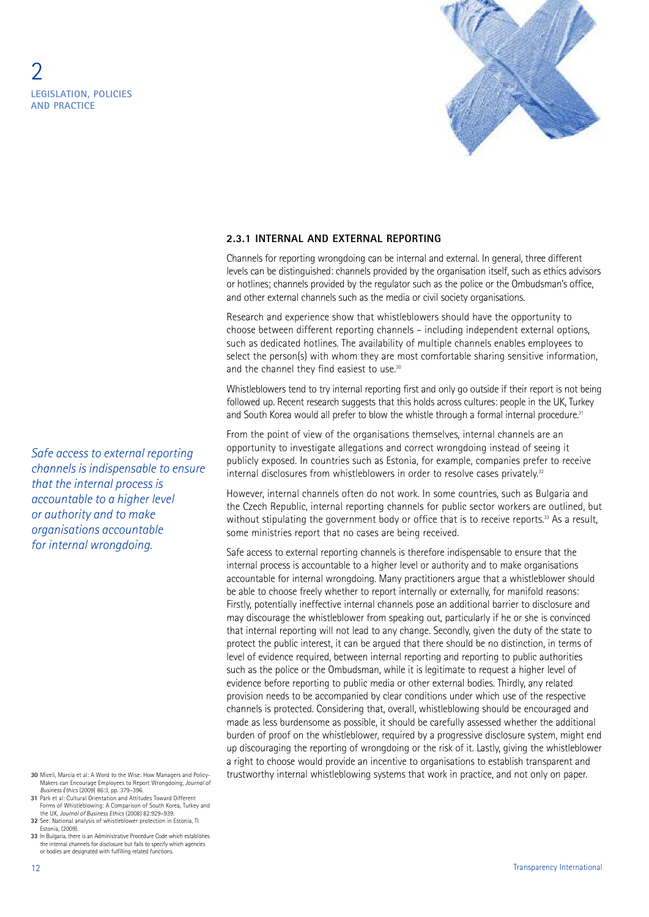

#### **2.3.1 INTERNAL AND EXTERNAL REPORTING**

Channels for reporting wrongdoing can be internal and external. In general, three different levels can be distinguished: channels provided by the organisation itself, such as ethics advisors or hotlines; channels provided by the regulator such as the police or the Ombudsman's office, and other external channels such as the media or civil society organisations.

Research and experience show that whistleblowers should have the opportunity to choose between different reporting channels – including independent external options, such as dedicated hotlines. The availability of multiple channels enables employees to select the person(s) with whom they are most comfortable sharing sensitive information, and the channel they find easiest to use.<sup>30</sup>

Whistleblowers tend to try internal reporting first and only go outside if their report is not being followed up. Recent research suggests that this holds across cultures: people in the UK, Turkey and South Korea would all prefer to blow the whistle through a formal internal procedure.<sup>31</sup>

From the point of view of the organisations themselves, internal channels are an opportunity to investigate allegations and correct wrongdoing instead of seeing it publicly exposed. In countries such as Estonia, for example, companies prefer to receive internal disclosures from whistleblowers in order to resolve cases privately.<sup>32</sup>

However, internal channels often do not work. In some countries, such as Bulgaria and the Czech Republic, internal reporting channels for public sector workers are outlined, but without stipulating the government body or office that is to receive reports.<sup>33</sup> As a result, some ministries report that no cases are being received.

Safe access to external reporting channels is therefore indispensable to ensure that the internal process is accountable to a higher level or authority and to make organisations accountable for internal wrongdoing. Many practitioners argue that a whistleblower should be able to choose freely whether to report internally or externally, for manifold reasons: Firstly, potentially ineffective internal channels pose an additional barrier to disclosure and may discourage the whistleblower from speaking out, particularly if he or she is convinced that internal reporting will not lead to any change. Secondly, given the duty of the state to protect the public interest, it can be argued that there should be no distinction, in terms of level of evidence required, between internal reporting and reporting to public authorities such as the police or the Ombudsman, while it is legitimate to request a higher level of evidence before reporting to public media or other external bodies. Thirdly, any related provision needs to be accompanied by clear conditions under which use of the respective channels is protected. Considering that, overall, whistleblowing should be encouraged and made as less burdensome as possible, it should be carefully assessed whether the additional burden of proof on the whistleblower, required by a progressive disclosure system, might end up discouraging the reporting of wrongdoing or the risk of it. Lastly, giving the whistleblower a right to choose would provide an incentive to organisations to establish transparent and trustworthy internal whistleblowing systems that work in practice, and not only on paper.

*Safe access to external reporting channels is indispensable to ensure that the internal process is accountable to a higher level or authority and to make organisations accountable for internal wrongdoing.*

- **30** Miceli, Marcia et al: A Word to the Wise: How Managers and Policy-Makers can Encourage Employees to Report Wrongdoing, *Journal of*
- *Business Ethics* (2009) 86:3, pp. 379–396. **31** Park et al: Cultural Orientation and Attitudes Toward Different Forms of Whistleblowing: A Comparison of South Korea, Turkey and the UK, *Journal of Business Ethics* (2008) 82:929–939.
- **32** See: National analysis of whistleblower protection in Estonia, TI Estonia, (2009).
- **33** In Bulgaria, there is an Administrative Procedure Code which establishes the internal channels for disclosure but fails to specify which agencies or bodies are designated with fulfilling related functions.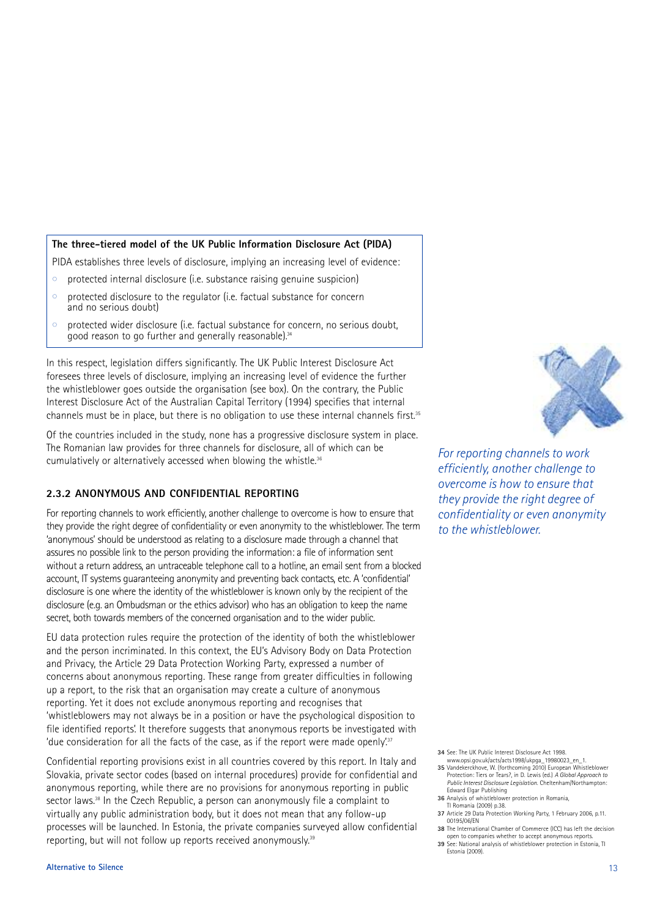#### **The three-tiered model of the UK Public Information Disclosure Act (PIDA)**

PIDA establishes three levels of disclosure, implying an increasing level of evidence:

- protected internal disclosure (i.e. substance raising genuine suspicion)
- protected disclosure to the regulator (i.e. factual substance for concern and no serious doubt)
- $\circ$  protected wider disclosure (i.e. factual substance for concern, no serious doubt, good reason to go further and generally reasonable).34

In this respect, legislation differs significantly. The UK Public Interest Disclosure Act foresees three levels of disclosure, implying an increasing level of evidence the further the whistleblower goes outside the organisation (see box). On the contrary, the Public Interest Disclosure Act of the Australian Capital Territory (1994) specifies that internal channels must be in place, but there is no obligation to use these internal channels first.<sup>35</sup>

Of the countries included in the study, none has a progressive disclosure system in place. The Romanian law provides for three channels for disclosure, all of which can be cumulatively or alternatively accessed when blowing the whistle. 36

#### **2.3.2 ANONYMOUS AND CONFIDENTIAL REPORTING**

For reporting channels to work efficiently, another challenge to overcome is how to ensure that they provide the right degree of confidentiality or even anonymity to the whistleblower. The term 'anonymous' should be understood as relating to a disclosure made through a channel that assures no possible link to the person providing the information: a file of information sent without a return address, an untraceable telephone call to a hotline, an email sent from a blocked account, IT systems guaranteeing anonymity and preventing back contacts, etc. A 'confidential' disclosure is one where the identity of the whistleblower is known only by the recipient of the disclosure (e.g. an Ombudsman or the ethics advisor) who has an obligation to keep the name secret, both towards members of the concerned organisation and to the wider public.

EU data protection rules require the protection of the identity of both the whistleblower and the person incriminated. In this context, the EU's Advisory Body on Data Protection and Privacy, the Article 29 Data Protection Working Party, expressed a number of concerns about anonymous reporting. These range from greater difficulties in following up a report, to the risk that an organisation may create a culture of anonymous reporting. Yet it does not exclude anonymous reporting and recognises that 'whistleblowers may not always be in a position or have the psychological disposition to file identified reports'. It therefore suggests that anonymous reports be investigated with 'due consideration for all the facts of the case, as if the report were made openly!<sup>37</sup>

Confidential reporting provisions exist in all countries covered by this report. In Italy and Slovakia, private sector codes (based on internal procedures) provide for confidential and anonymous reporting, while there are no provisions for anonymous reporting in public sector laws. <sup>38</sup> In the Czech Republic, a person can anonymously file a complaint to virtually any public administration body, but it does not mean that any follow-up processes will be launched. In Estonia, the private companies surveyed allow confidential reporting, but will not follow up reports received anonymously.<sup>38</sup>



*For reporting channels to work efficiently, another challenge to overcome is how to ensure that they provide the right degree of confidentiality or even anonymity to the whistleblower.*

**34** See: The UK Public Interest Disclosure Act 1998.

- www.opsi.gov.uk/acts/acts1998/ukpga\_19980023\_en\_1. **35** Vandekerckhove, W. (forthcoming 2010) European Whistleblower Protection: Tiers or Tears?, in D. Lewis (ed.) *A Global Approach to Public Interest Disclosure Legislation*. Cheltenham/Northampton:
- Edward Elgar Publishing **36** Analysis of whistleblower protection in Romania, TI Romania (2009) p.38.
- **37** Article 29 Data Protection Working Party, 1 February 2006, p.11. 00195/06/EN
- **38** The International Chamber of Commerce (ICC) has left the decision
- open to companies whether to accept anonymous reports. **39** See: National analysis of whistleblower protection in Estonia, TI Estonia (2009).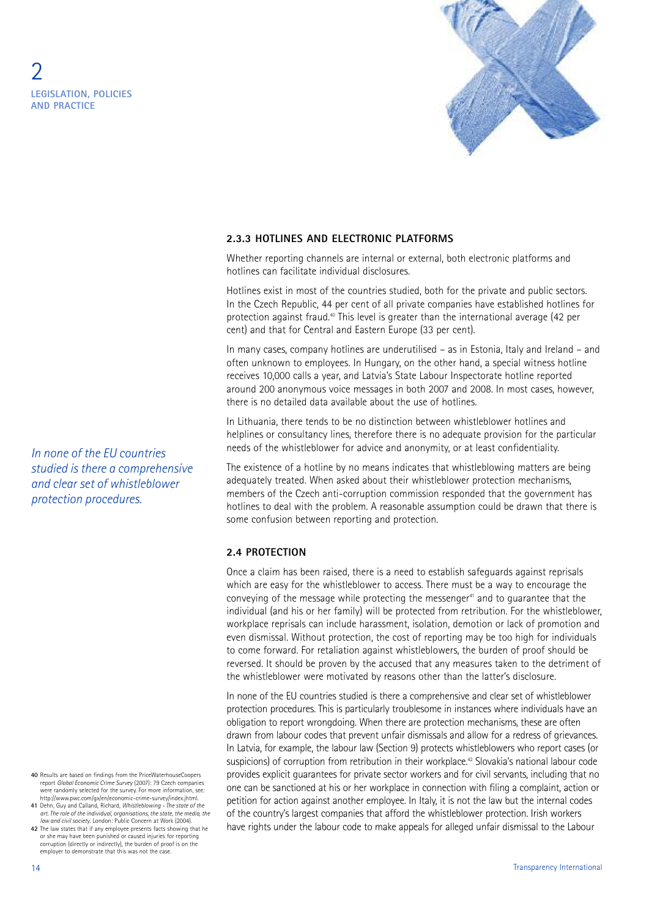

#### **2.3.3 HOTLINES AND ELECTRONIC PLATFORMS**

Whether reporting channels are internal or external, both electronic platforms and hotlines can facilitate individual disclosures.

Hotlines exist in most of the countries studied, both for the private and public sectors. In the Czech Republic, 44 per cent of all private companies have established hotlines for protection against fraud. <sup>40</sup> This level is greater than the international average (42 per cent) and that for Central and Eastern Europe (33 per cent).

In many cases, company hotlines are underutilised – as in Estonia, Italy and Ireland – and often unknown to employees. In Hungary, on the other hand, a special witness hotline receives 10,000 calls a year, and Latvia's State Labour Inspectorate hotline reported around 200 anonymous voice messages in both 2007 and 2008. In most cases, however, there is no detailed data available about the use of hotlines.

In Lithuania, there tends to be no distinction between whistleblower hotlines and helplines or consultancy lines, therefore there is no adequate provision for the particular needs of the whistleblower for advice and anonymity, or at least confidentiality.

The existence of a hotline by no means indicates that whistleblowing matters are being adequately treated. When asked about their whistleblower protection mechanisms, members of the Czech anti-corruption commission responded that the government has hotlines to deal with the problem. A reasonable assumption could be drawn that there is some confusion between reporting and protection.

#### **2.4 PROTECTION**

Once a claim has been raised, there is a need to establish safeguards against reprisals which are easy for the whistleblower to access. There must be a way to encourage the conveying of the message while protecting the messenger <sup>41</sup> and to guarantee that the individual (and his or her family) will be protected from retribution. For the whistleblower, workplace reprisals can include harassment, isolation, demotion or lack of promotion and even dismissal. Without protection, the cost of reporting may be too high for individuals to come forward. For retaliation against whistleblowers, the burden of proof should be reversed. It should be proven by the accused that any measures taken to the detriment of the whistleblower were motivated by reasons other than the latter's disclosure.

In none of the EU countries studied is there a comprehensive and clear set of whistleblower protection procedures. This is particularly troublesome in instances where individuals have an obligation to report wrongdoing. When there are protection mechanisms, these are often drawn from labour codes that prevent unfair dismissals and allow for a redress of grievances. In Latvia, for example, the labour law (Section 9) protects whistleblowers who report cases (or suspicions) of corruption from retribution in their workplace. <sup>42</sup> Slovakia's national labour code provides explicit guarantees for private sector workers and for civil servants, including that no one can be sanctioned at his or her workplace in connection with filing a complaint, action or petition for action against another employee. In Italy, it is not the law but the internal codes of the country's largest companies that afford the whistleblower protection. Irish workers have rights under the labour code to make appeals for alleged unfair dismissal to the Labour

*In none of the EU countries studied is there a comprehensive and clear set of whistleblower protection procedures.*

- **40** Results are based on findings from the PriceWaterhouseCoopers report *Global Economic Crime Survey* (2007): 79 Czech companies were randomly selected for the survey. For more information, see: http://www.pwc.com/gx/en/economic-crime-survey/index.jhtml.
- **41** Dehn, Guy and Calland, Richard, *Whistleblowing - The state of the* art. The role of the individual, organisations, the state, the media, the<br>law and civil society. London: Public Concern at Work (2004).
- **42** The law states that if any employee presents facts showing that he or she may have been punished or caused injuries for reporting corruption (directly or indirectly), the burden of proof is on the employer to demonstrate that this was not the case.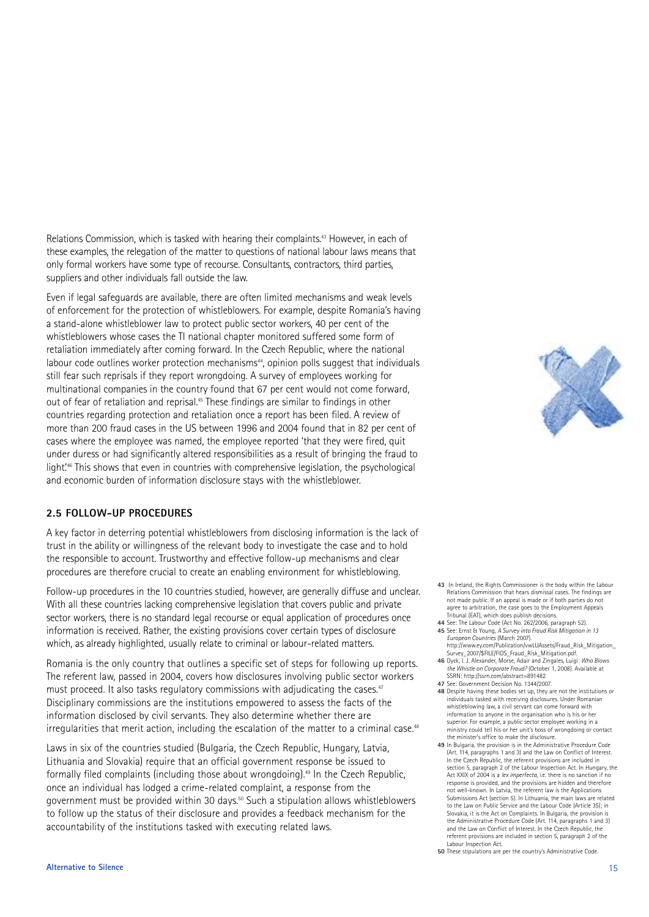Relations Commission, which is tasked with hearing their complaints. <sup>43</sup> However, in each of these examples, the relegation of the matter to questions of national labour laws means that only formal workers have some type of recourse. Consultants, contractors, third parties, suppliers and other individuals fall outside the law.

Even if legal safeguards are available, there are often limited mechanisms and weak levels of enforcement for the protection of whistleblowers. For example, despite Romania's having a stand-alone whistleblower law to protect public sector workers, 40 per cent of the whistleblowers whose cases the TI national chapter monitored suffered some form of retaliation immediately after coming forward. In the Czech Republic, where the national labour code outlines worker protection mechanisms<sup>44</sup>, opinion polls suggest that individuals still fear such reprisals if they report wrongdoing. A survey of employees working for multinational companies in the country found that 67 per cent would not come forward, out of fear of retaliation and reprisal.<sup>45</sup> These findings are similar to findings in other countries regarding protection and retaliation once a report has been filed. A review of more than 200 fraud cases in the US between 1996 and 2004 found that in 82 per cent of cases where the employee was named, the employee reported 'that they were fired, quit under duress or had significantly altered responsibilities as a result of bringing the fraud to light.' <sup>46</sup> This shows that even in countries with comprehensive legislation, the psychological and economic burden of information disclosure stays with the whistleblower.

#### **2.5 FOLLOW-UP PROCEDURES**

A key factor in deterring potential whistleblowers from disclosing information is the lack of trust in the ability or willingness of the relevant body to investigate the case and to hold the responsible to account. Trustworthy and effective follow-up mechanisms and clear procedures are therefore crucial to create an enabling environment for whistleblowing.

Follow-up procedures in the 10 countries studied, however, are generally diffuse and unclear. With all these countries lacking comprehensive legislation that covers public and private sector workers, there is no standard legal recourse or equal application of procedures once information is received. Rather, the existing provisions cover certain types of disclosure which, as already highlighted, usually relate to criminal or labour-related matters.

Romania is the only country that outlines a specific set of steps for following up reports. The referent law, passed in 2004, covers how disclosures involving public sector workers must proceed. It also tasks regulatory commissions with adjudicating the cases.<sup>47</sup> Disciplinary commissions are the institutions empowered to assess the facts of the information disclosed by civil servants. They also determine whether there are irregularities that merit action, including the escalation of the matter to a criminal case. $\mathrm{^{48}}$ 

Laws in six of the countries studied (Bulgaria, the Czech Republic, Hungary, Latvia, Lithuania and Slovakia) require that an official government response be issued to formally filed complaints (including those about wrongdoing). <sup>49</sup> In the Czech Republic, once an individual has lodged a crime-related complaint, a response from the government must be provided within 30 days. <sup>50</sup> Such a stipulation allows whistleblowers to follow up the status of their disclosure and provides a feedback mechanism for the accountability of the institutions tasked with executing related laws.



- **43** In Ireland, the Rights Commissioner is the body within the Labour Relations Commission that hears dismissal cases. The findings are not made public. If an appeal is made or if both parties do not agree to arbitration, the case goes to the Employment Appeals Tribunal (EAT), which does publish decisions.
- **44** See: The Labour Code (Act No. 262/2006, paragraph 52). **45** See: Ernst & Young, *A Survey into Fraud Risk Mitigation in 13 European Countries* (March 2007).
- http://www.ey.com/Publication/vwLUAssets/Fraud\_Risk\_Mitigation Survey\_2007/\$FILE/FIDS\_Fraud\_Risk\_Mitigation.pdf. **46** Dyck, I. J. Alexander, Morse, Adair and Zingales, Luigi: *Who Blows*
- *the Whistle on Corporate Fraud?* (October 1, 2008). Available at SSRN: http://ssrn.com/abstract=891482 **47** See: Government Decision No. 1344/2007.
- **48** Despite having these bodies set up, they are not the institutions or individuals tasked with receiving disclosures. Under Romanian whistleblowing law, a civil servant can come forward with information to anyone in the organisation who is his or her superior. For example, a public sector employee working in a ministry could tell his or her unit's boss of wrongdoing or contact the minister's office to make the disclosure.
- **49** In Bulgaria, the provision is in the Administrative Procedure Code (Art. 114, paragraphs 1 and 3) and the Law on Conflict of Interest. In the Czech Republic, the referent provisions are included in section 5, paragraph 2 of the Labour Inspection Act. In Hungary, the Act XXIX of 2004 is a *lex imperfecta*, i.e. there is no sanction if no response is provided, and the provisions are hidden and therefore not well-known. In Latvia, the referent law is the Applications Submissions Act (section 5). In Lithuania, the main laws are related to the Law on Public Service and the Labour Code (Article 35); in Slovakia, it is the Act on Complaints. In Bulgaria, the provision is the Administrative Procedure Code (Art. 114, paragraphs 1 and 3) and the Law on Conflict of Interest. In the Czech Republic, the referent provisions are included in section 5, paragraph 2 of the Labour Inspection Act.

**<sup>50</sup>** These stipulations are per the country's Administrative Code.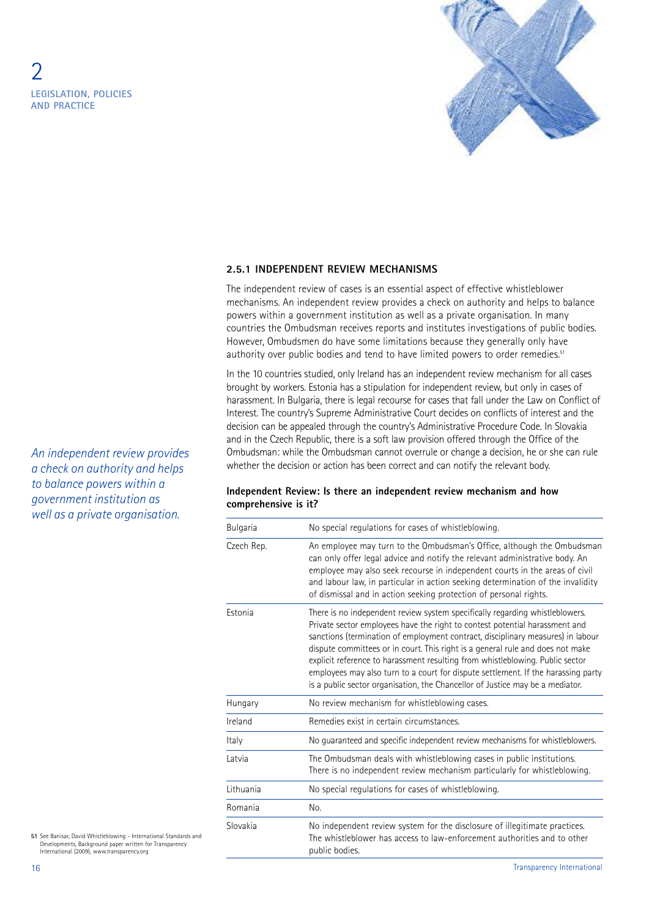

#### **2.5.1 INDEPENDENT REVIEW MECHANISMS**

The independent review of cases is an essential aspect of effective whistleblower mechanisms. An independent review provides a check on authority and helps to balance powers within a government institution as well as a private organisation. In many countries the Ombudsman receives reports and institutes investigations of public bodies. However, Ombudsmen do have some limitations because they generally only have authority over public bodies and tend to have limited powers to order remedies.<sup>51</sup>

In the 10 countries studied, only Ireland has an independent review mechanism for all cases brought by workers. Estonia has a stipulation for independent review, but only in cases of harassment. In Bulgaria, there is legal recourse for cases that fall under the Law on Conflict of Interest. The country's Supreme Administrative Court decides on conflicts of interest and the decision can be appealed through the country's Administrative Procedure Code. In Slovakia and in the Czech Republic, there is a soft law provision offered through the Office of the Ombudsman: while the Ombudsman cannot overrule or change a decision, he or she can rule whether the decision or action has been correct and can notify the relevant body.

#### **Independent Review: Is there an independent review mechanism and how comprehensive is it?**

| Bulgaria   | No special regulations for cases of whistleblowing.                                                                                                                                                                                                                                                                                                                                                                                                                                                                                                                                     |
|------------|-----------------------------------------------------------------------------------------------------------------------------------------------------------------------------------------------------------------------------------------------------------------------------------------------------------------------------------------------------------------------------------------------------------------------------------------------------------------------------------------------------------------------------------------------------------------------------------------|
| Czech Rep. | An employee may turn to the Ombudsman's Office, although the Ombudsman<br>can only offer legal advice and notify the relevant administrative body. An<br>employee may also seek recourse in independent courts in the areas of civil<br>and labour law, in particular in action seeking determination of the invalidity<br>of dismissal and in action seeking protection of personal rights.                                                                                                                                                                                            |
| Estonia    | There is no independent review system specifically regarding whistleblowers.<br>Private sector employees have the right to contest potential harassment and<br>sanctions (termination of employment contract, disciplinary measures) in labour<br>dispute committees or in court. This right is a general rule and does not make<br>explicit reference to harassment resulting from whistleblowing. Public sector<br>employees may also turn to a court for dispute settlement. If the harassing party<br>is a public sector organisation, the Chancellor of Justice may be a mediator. |
| Hungary    | No review mechanism for whistleblowing cases.                                                                                                                                                                                                                                                                                                                                                                                                                                                                                                                                           |
| Ireland    | Remedies exist in certain circumstances.                                                                                                                                                                                                                                                                                                                                                                                                                                                                                                                                                |
| Italy      | No guaranteed and specific independent review mechanisms for whistleblowers.                                                                                                                                                                                                                                                                                                                                                                                                                                                                                                            |
| Latvia     | The Ombudsman deals with whistleblowing cases in public institutions.<br>There is no independent review mechanism particularly for whistleblowing.                                                                                                                                                                                                                                                                                                                                                                                                                                      |
| Lithuania  | No special regulations for cases of whistleblowing.                                                                                                                                                                                                                                                                                                                                                                                                                                                                                                                                     |
| Romania    | No.                                                                                                                                                                                                                                                                                                                                                                                                                                                                                                                                                                                     |
| Slovakia   | No independent review system for the disclosure of illegitimate practices.<br>The whistleblower has access to law-enforcement authorities and to other<br>public bodies.                                                                                                                                                                                                                                                                                                                                                                                                                |

**51** See Banisar, David Whistleblowing - International Standards and Developments, Background paper written for Transparency International (2009), www.transparency.org

*An independent review provides a check on authority and helps to balance powers within a government institution as well as a private organisation.*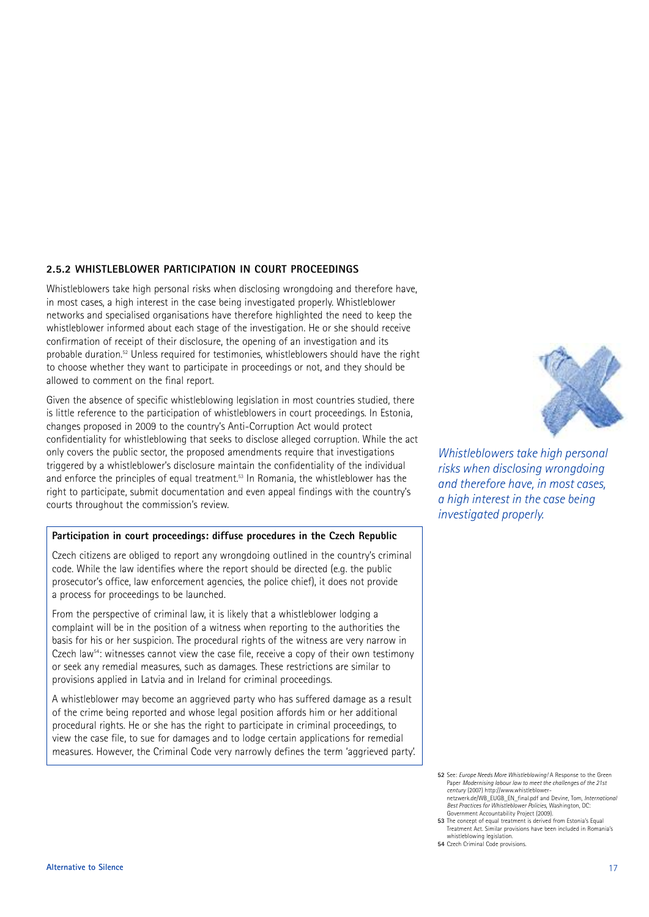#### **2.5.2 WHISTLEBLOWER PARTICIPATION IN COURT PROCEEDINGS**

Whistleblowers take high personal risks when disclosing wrongdoing and therefore have, in most cases, a high interest in the case being investigated properly. Whistleblower networks and specialised organisations have therefore highlighted the need to keep the whistleblower informed about each stage of the investigation. He or she should receive confirmation of receipt of their disclosure, the opening of an investigation and its probable duration. <sup>52</sup> Unless required for testimonies, whistleblowers should have the right to choose whether they want to participate in proceedings or not, and they should be allowed to comment on the final report.

Given the absence of specific whistleblowing legislation in most countries studied, there is little reference to the participation of whistleblowers in court proceedings. In Estonia, changes proposed in 2009 to the country's Anti-Corruption Act would protect confidentiality for whistleblowing that seeks to disclose alleged corruption. While the act only covers the public sector, the proposed amendments require that investigations triggered by a whistleblower's disclosure maintain the confidentiality of the individual and enforce the principles of equal treatment. <sup>53</sup> In Romania, the whistleblower has the right to participate, submit documentation and even appeal findings with the country's courts throughout the commission's review.

#### **Participation in court proceedings: diffuse procedures in the Czech Republic**

Czech citizens are obliged to report any wrongdoing outlined in the country's criminal code. While the law identifies where the report should be directed (e.g. the public prosecutor's office, law enforcement agencies, the police chief), it does not provide a process for proceedings to be launched.

From the perspective of criminal law, it is likely that a whistleblower lodging a complaint will be in the position of a witness when reporting to the authorities the basis for his or her suspicion. The procedural rights of the witness are very narrow in Czech law<sup>54</sup>: witnesses cannot view the case file, receive a copy of their own testimony or seek any remedial measures, such as damages. These restrictions are similar to provisions applied in Latvia and in Ireland for criminal proceedings.

A whistleblower may become an aggrieved party who has suffered damage as a result of the crime being reported and whose legal position affords him or her additional procedural rights. He or she has the right to participate in criminal proceedings, to view the case file, to sue for damages and to lodge certain applications for remedial measures. However, the Criminal Code very narrowly defines the term 'aggrieved party'.



*Whistleblowers take high personal risks when disclosing wrongdoing and therefore have, in most cases, a high interest in the case being investigated properly.*

- Government Accountability Project (2009). **53** The concept of equal treatment is derived from Estonia's Equal to the concept of equal treatment is derived from Estonia's Equal Treatment Act. Similar provisions have been included in Romania's
- whistleblowing legislation. **54** Czech Criminal Code provisions.

**<sup>52</sup>** See: *Europe Needs More Whistleblowing!* A Response to the Green Paper *Modernising labour law to meet the challenges of the 21st century* (2007) http://www.whistleblower-netzwerk.de/WB\_EUGB\_EN\_final.pdf and Devine, Tom, *International Best Practices for Whistleblower Policies*, Washington, DC: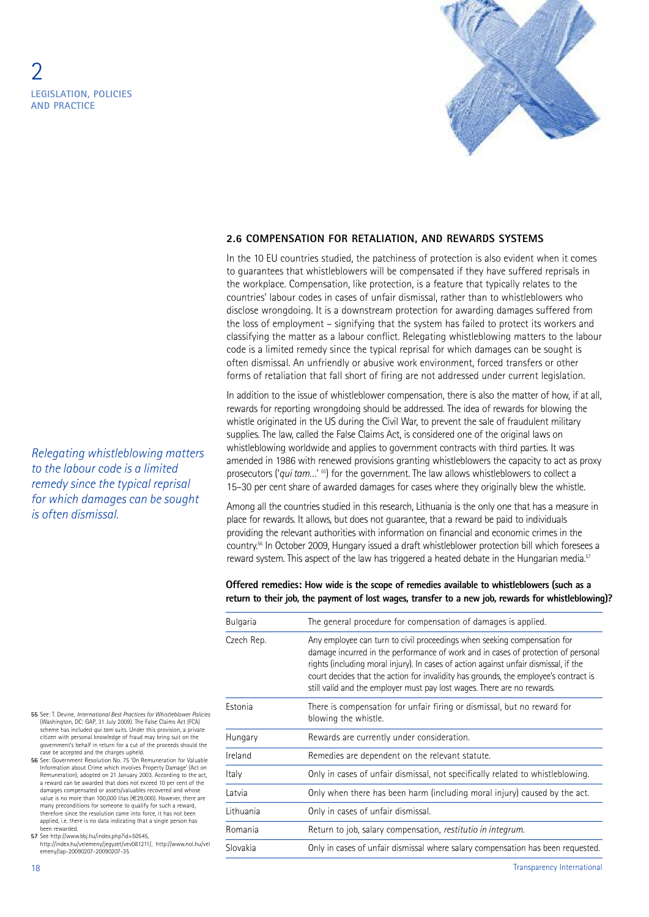

#### **2.6 COMPENSATION FOR RETALIATION, AND REWARDS SYSTEMS**

In the 10 EU countries studied, the patchiness of protection is also evident when it comes to guarantees that whistleblowers will be compensated if they have suffered reprisals in the workplace. Compensation, like protection, is a feature that typically relates to the countries' labour codes in cases of unfair dismissal, rather than to whistleblowers who disclose wrongdoing. It is a downstream protection for awarding damages suffered from the loss of employment – signifying that the system has failed to protect its workers and classifying the matter as a labour conflict. Relegating whistleblowing matters to the labour code is a limited remedy since the typical reprisal for which damages can be sought is often dismissal. An unfriendly or abusive work environment, forced transfers or other forms of retaliation that fall short of firing are not addressed under current legislation.

In addition to the issue of whistleblower compensation, there is also the matter of how, if at all, rewards for reporting wrongdoing should be addressed. The idea of rewards for blowing the whistle originated in the US during the Civil War, to prevent the sale of fraudulent military supplies. The law, called the False Claims Act, is considered one of the original laws on whistleblowing worldwide and applies to government contracts with third parties. It was amended in 1986 with renewed provisions granting whistleblowers the capacity to act as proxy prosecutors ('qui tam...' <sup>55</sup>) for the government. The law allows whistleblowers to collect a 15–30 per cent share of awarded damages for cases where they originally blew the whistle.

Among all the countries studied in this research, Lithuania is the only one that has a measure in place for rewards. It allows, but does not guarantee, that a reward be paid to individuals providing the relevant authorities with information on financial and economic crimes in the country. <sup>56</sup> In October 2009, Hungary issued a draft whistleblower protection bill which foresees a reward system. This aspect of the law has triggered a heated debate in the Hungarian media.<sup>57</sup>

#### **Offered remedies: How wide is the scope of remedies available to whistleblowers (such as a return to their job, the payment of lost wages, transfer to a new job, rewards for whistleblowing)?**

| <b>Bulgaria</b> | The general procedure for compensation of damages is applied.                                                                                                                                                                                                                                                                                                                                                            |  |
|-----------------|--------------------------------------------------------------------------------------------------------------------------------------------------------------------------------------------------------------------------------------------------------------------------------------------------------------------------------------------------------------------------------------------------------------------------|--|
| Czech Rep.      | Any employee can turn to civil proceedings when seeking compensation for<br>damage incurred in the performance of work and in cases of protection of personal<br>rights (including moral injury). In cases of action against unfair dismissal, if the<br>court decides that the action for invalidity has grounds, the employee's contract is<br>still valid and the employer must pay lost wages. There are no rewards. |  |
| Estonia         | There is compensation for unfair firing or dismissal, but no reward for<br>blowing the whistle.                                                                                                                                                                                                                                                                                                                          |  |
| Hungary         | Rewards are currently under consideration.                                                                                                                                                                                                                                                                                                                                                                               |  |
| Ireland         | Remedies are dependent on the relevant statute.                                                                                                                                                                                                                                                                                                                                                                          |  |
| Italy           | Only in cases of unfair dismissal, not specifically related to whistleblowing.                                                                                                                                                                                                                                                                                                                                           |  |
| Latvia          | Only when there has been harm (including moral injury) caused by the act.                                                                                                                                                                                                                                                                                                                                                |  |
| Lithuania       | Only in cases of unfair dismissal.                                                                                                                                                                                                                                                                                                                                                                                       |  |
| Romania         | Return to job, salary compensation, restitutio in integrum.                                                                                                                                                                                                                                                                                                                                                              |  |
| Slovakia        | Only in cases of unfair dismissal where salary compensation has been requested.                                                                                                                                                                                                                                                                                                                                          |  |
|                 |                                                                                                                                                                                                                                                                                                                                                                                                                          |  |

- **55** See: T. Devine, *International Best Practices for Whistleblower Policies* (Washington, DC: GAP, 31 July 2009). The False Claims Act (FCA) scheme has included *qui tam* suits. Under this provision, a private citizen with personal knowledge of fraud may bring suit on the government's behalf in return for a cut of the proceeds should the case be accepted and the charges upheld.
- **56** See: Government Resolution No. 75 'On Remuneration for Valuable Information about Crime which involves Property Damage' (Act on Remuneration), adopted on 21 January 2003. According to the act, a reward can be awarded that does not exceed 10 per cent of the damages compensated or assets/valuables recovered and whose value is no more than 100,000 litas (€29,000). However, there are many preconditions for someone to qualify for such a reward, therefore since the resolution came into force, it has not been applied, i.e. there is no data indicating that a single person has been rewarded.

**57** See http://www.bbj.hu/index.php?id=50545,

http://index.hu/velemeny/jegyzet/vev081211/, http://www.nol.hu/vel emeny/lap-20090207-20090207-35

18 Transparency International

*is often dismissal.*

*Relegating whistleblowing matters to the labour code is a limited remedy since the typical reprisal for which damages can be sought*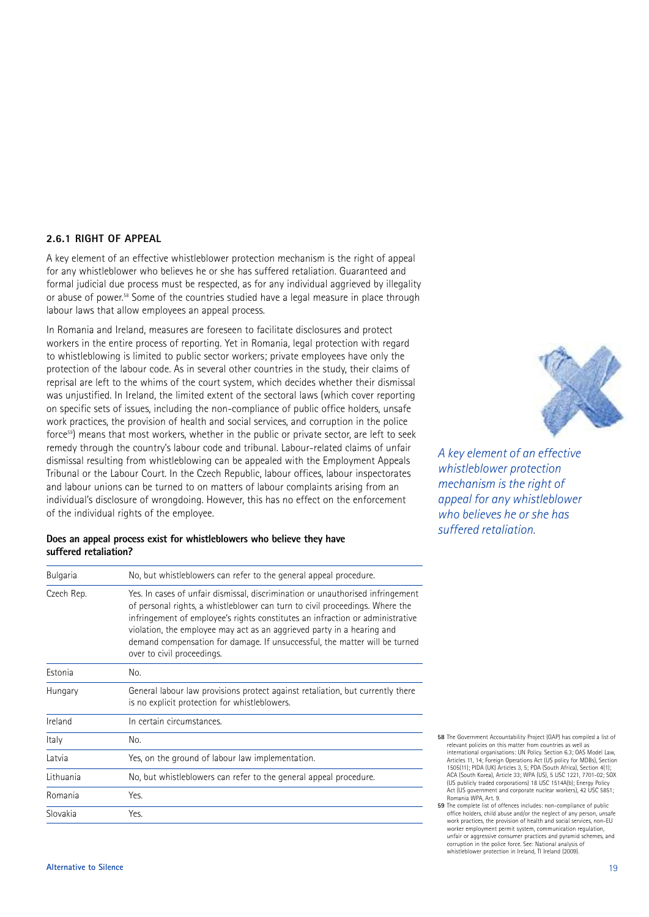#### **2.6.1 RIGHT OF APPEAL**

A key element of an effective whistleblower protection mechanism is the right of appeal for any whistleblower who believes he or she has suffered retaliation. Guaranteed and formal judicial due process must be respected, as for any individual aggrieved by illegality or abuse of power. <sup>58</sup> Some of the countries studied have a legal measure in place through labour laws that allow employees an appeal process.

In Romania and Ireland, measures are foreseen to facilitate disclosures and protect workers in the entire process of reporting. Yet in Romania, legal protection with regard to whistleblowing is limited to public sector workers; private employees have only the protection of the labour code. As in several other countries in the study, their claims of reprisal are left to the whims of the court system, which decides whether their dismissal was unjustified. In Ireland, the limited extent of the sectoral laws (which cover reporting on specific sets of issues, including the non-compliance of public office holders, unsafe work practices, the provision of health and social services, and corruption in the police force59) means that most workers, whether in the public or private sector, are left to seek remedy through the country's labour code and tribunal. Labour-related claims of unfair dismissal resulting from whistleblowing can be appealed with the Employment Appeals Tribunal or the Labour Court. In the Czech Republic, labour offices, labour inspectorates and labour unions can be turned to on matters of labour complaints arising from an individual's disclosure of wrongdoing. However, this has no effect on the enforcement of the individual rights of the employee.

#### **Does an appeal process exist for whistleblowers who believe they have suffered retaliation?**

| <b>Bulgaria</b> | No, but whistleblowers can refer to the general appeal procedure.                                                                                                                                                                                                                                                                                                                                                                     |
|-----------------|---------------------------------------------------------------------------------------------------------------------------------------------------------------------------------------------------------------------------------------------------------------------------------------------------------------------------------------------------------------------------------------------------------------------------------------|
| Czech Rep.      | Yes. In cases of unfair dismissal, discrimination or unauthorised infringement<br>of personal rights, a whistleblower can turn to civil proceedings. Where the<br>infringement of employee's rights constitutes an infraction or administrative<br>violation, the employee may act as an aggrieved party in a hearing and<br>demand compensation for damage. If unsuccessful, the matter will be turned<br>over to civil proceedings. |
| Estonia         | No.                                                                                                                                                                                                                                                                                                                                                                                                                                   |
| Hungary         | General labour law provisions protect against retaliation, but currently there<br>is no explicit protection for whistleblowers.                                                                                                                                                                                                                                                                                                       |
| Ireland         | In certain circumstances.                                                                                                                                                                                                                                                                                                                                                                                                             |
| Italy           | No.                                                                                                                                                                                                                                                                                                                                                                                                                                   |
| Latvia          | Yes, on the ground of labour law implementation.                                                                                                                                                                                                                                                                                                                                                                                      |
| Lithuania       | No, but whistleblowers can refer to the general appeal procedure.                                                                                                                                                                                                                                                                                                                                                                     |
| Romania         | Yes.                                                                                                                                                                                                                                                                                                                                                                                                                                  |
| Slovakia        | Yes.                                                                                                                                                                                                                                                                                                                                                                                                                                  |



*A key element of an effective whistleblower protection mechanism is the right of appeal for any whistleblower who believes he or she has suffered retaliation.*

**59** The complete list of offences includes: non-compliance of public office holders, child abuse and/or the neglect of any person, unsafe work practices, the provision of health and social services, non-EU worker employment permit system, communication regulation, unfair or aggressive consumer practices and pyramid schemes, and corruption in the police force. See: National analysis of whistleblower protection in Ireland, TI Ireland (2009).

**<sup>58</sup>** The Government Accountability Project (GAP) has compiled a list of relevant policies on this matter from countries as well as international organisations: UN Policy. Section 6.3; OAS Model Law, Articles 11, 14; Foreign Operations Act (US policy for MDBs), Section 1505(11); PIDA (UK) Articles 3, 5; PDA (South Africa), Section 4(1); ACA (South Korea), Article 33; WPA (US), 5 USC 1221, 7701-02; SOX (US publicly traded corporations) 18 USC 1514A(b); Energy Policy Act (US government and corporate nuclear workers), 42 USC 5851; Romania WPA, Art. 9.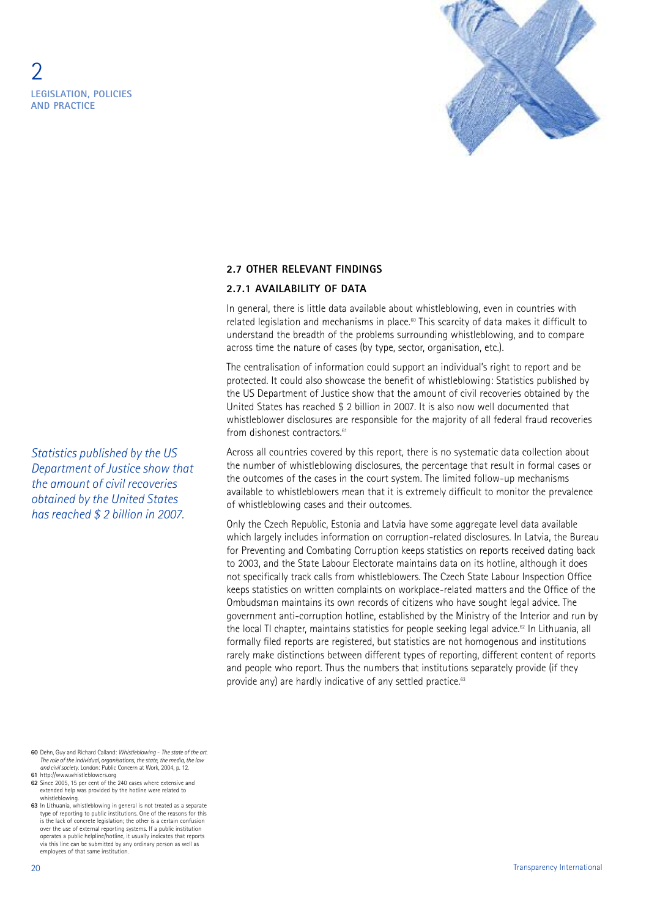

#### **2.7 OTHER RELEVANT FINDINGS**

#### **2.7.1 AVAILABILITY OF DATA**

In general, there is little data available about whistleblowing, even in countries with related legislation and mechanisms in place.<sup>60</sup> This scarcity of data makes it difficult to understand the breadth of the problems surrounding whistleblowing, and to compare across time the nature of cases (by type, sector, organisation, etc.).

The centralisation of information could support an individual's right to report and be protected. It could also showcase the benefit of whistleblowing: Statistics published by the US Department of Justice show that the amount of civil recoveries obtained by the United States has reached \$ 2 billion in 2007. It is also now well documented that whistleblower disclosures are responsible for the majority of all federal fraud recoveries from dishonest contractors. 61

Across all countries covered by this report, there is no systematic data collection about the number of whistleblowing disclosures, the percentage that result in formal cases or the outcomes of the cases in the court system. The limited follow-up mechanisms available to whistleblowers mean that it is extremely difficult to monitor the prevalence of whistleblowing cases and their outcomes.

Only the Czech Republic, Estonia and Latvia have some aggregate level data available which largely includes information on corruption-related disclosures. In Latvia, the Bureau for Preventing and Combating Corruption keeps statistics on reports received dating back to 2003, and the State Labour Electorate maintains data on its hotline, although it does not specifically track calls from whistleblowers. The Czech State Labour Inspection Office keeps statistics on written complaints on workplace-related matters and the Office of the Ombudsman maintains its own records of citizens who have sought legal advice. The government anti-corruption hotline, established by the Ministry of the Interior and run by the local TI chapter, maintains statistics for people seeking legal advice. <sup>62</sup> In Lithuania, all formally filed reports are registered, but statistics are not homogenous and institutions rarely make distinctions between different types of reporting, different content of reports and people who report. Thus the numbers that institutions separately provide (if they provide any) are hardly indicative of any settled practice.<sup>63</sup>

*Statistics published by the US Department of Justice show that the amount of civil recoveries obtained by the United States has reached \$ 2 billion in 2007.*

**63** In Lithuania, whistleblowing in general is not treated as a separate type of reporting to public institutions. One of the reasons for this is the lack of concrete legislation; the other is a certain confusion over the use of external reporting systems. If a public institution operates a public helpline/hotline, it usually indicates that reports via this line can be submitted by any ordinary person as well as employees of that same institution.

**<sup>60</sup>** Dehn, Guy and Richard Calland: *Whistleblowing* - *The state of the art.* The role of the individual, organisations, the state, the media, the law<br>and civil society. London: Public Concern at Work, 2004, p. 12. **61** http://www.whistleblowers.org

**<sup>62</sup>** Since 2005, 15 per cent of the 240 cases where extensive and extended help was provided by the hotline were related to whistleblowing.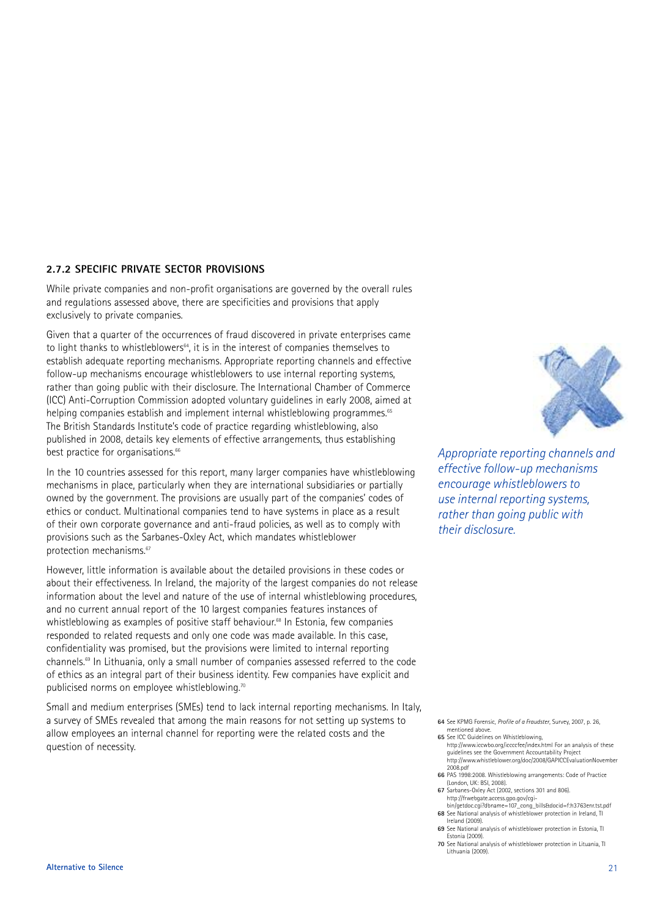#### **2.7.2 SPECIFIC PRIVATE SECTOR PROVISIONS**

While private companies and non-profit organisations are governed by the overall rules and regulations assessed above, there are specificities and provisions that apply exclusively to private companies.

Given that a quarter of the occurrences of fraud discovered in private enterprises came to light thanks to whistleblowers<sup>64</sup>, it is in the interest of companies themselves to establish adequate reporting mechanisms. Appropriate reporting channels and effective follow-up mechanisms encourage whistleblowers to use internal reporting systems, rather than going public with their disclosure. The International Chamber of Commerce (ICC) Anti-Corruption Commission adopted voluntary guidelines in early 2008, aimed at helping companies establish and implement internal whistleblowing programmes. 65 The British Standards Institute's code of practice regarding whistleblowing, also published in 2008, details key elements of effective arrangements, thus establishing best practice for organisations.<sup>66</sup>

In the 10 countries assessed for this report, many larger companies have whistleblowing mechanisms in place, particularly when they are international subsidiaries or partially owned by the government. The provisions are usually part of the companies' codes of ethics or conduct. Multinational companies tend to have systems in place as a result of their own corporate governance and anti-fraud policies, as well as to comply with provisions such as the Sarbanes-Oxley Act, which mandates whistleblower protection mechanisms.<sup>67</sup>

However, little information is available about the detailed provisions in these codes or about their effectiveness. In Ireland, the majority of the largest companies do not release information about the level and nature of the use of internal whistleblowing procedures, and no current annual report of the 10 largest companies features instances of whistleblowing as examples of positive staff behaviour. <sup>68</sup> In Estonia, few companies responded to related requests and only one code was made available. In this case, confidentiality was promised, but the provisions were limited to internal reporting channels. <sup>69</sup> In Lithuania, only a small number of companies assessed referred to the code of ethics as an integral part of their business identity. Few companies have explicit and publicised norms on employee whistleblowing.<sup>70</sup>

Small and medium enterprises (SMEs) tend to lack internal reporting mechanisms. In Italy, a survey of SMEs revealed that among the main reasons for not setting up systems to allow employees an internal channel for reporting were the related costs and the question of necessity.



*Appropriate reporting channels and effective follow-up mechanisms encourage whistleblowers to use internal reporting systems, rather than going public with their disclosure.*

**64** See KPMG Forensic, *Profile of a Fraudster*, Survey, 2007, p. 26, mentioned above.

**65** See ICC Guidelines on Whistleblowing http://www.iccwbo.org/iccccfee/index.html For an analysis of these guidelines see the Government Accountability Project http://www.whistleblower.org/doc/2008/GAPICCEvaluationNovember 2008.pdf

**66** PAS 1998:2008. Whistleblowing arrangements: Code of Practice (London, UK: BSI, 2008).

**67** Sarbanes-Oxley Act (2002, sections 301 and 806). http://frwebgate.access.gpo.gov/cgi-

bin/getdoc.cgi?dbname=107\_cong\_bills&docid=f:h3763enr.tst.pdf **68** See National analysis of whistleblower protection in Ireland, TI Ireland (2009).

- **69** See National analysis of whistleblower protection in Estonia, TI Estonia (2009).
- **70** See National analysis of whistleblower protection in Lituania, TI Lithuania (2009).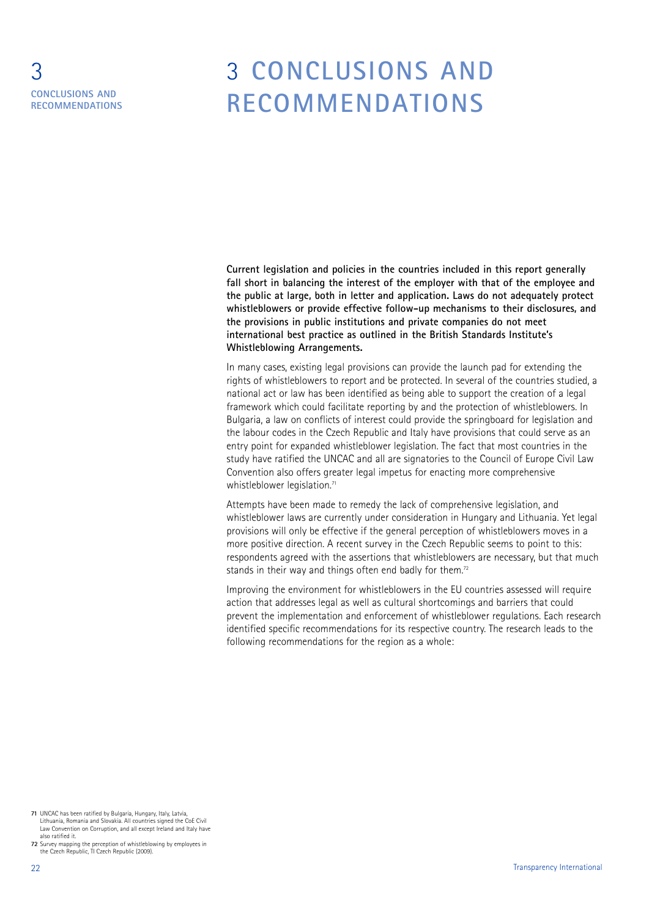### 3 **CONCLUSIONS AND RECOMMENDATIONS**

### 3 **CONCLUSIONS AND RECOMMENDATIONS**

**Current legislation and policies in the countries included in this report generally fall short in balancing the interest of the employer with that of the employee and the public at large, both in letter and application. Laws do not adequately protect whistleblowers or provide effective follow-up mechanisms to their disclosures, and the provisions in public institutions and private companies do not meet international best practice as outlined in the British Standards Institute's Whistleblowing Arrangements.**

In many cases, existing legal provisions can provide the launch pad for extending the rights of whistleblowers to report and be protected. In several of the countries studied, a national act or law has been identified as being able to support the creation of a legal framework which could facilitate reporting by and the protection of whistleblowers. In Bulgaria, a law on conflicts of interest could provide the springboard for legislation and the labour codes in the Czech Republic and Italy have provisions that could serve as an entry point for expanded whistleblower legislation. The fact that most countries in the study have ratified the UNCAC and all are signatories to the Council of Europe Civil Law Convention also offers greater legal impetus for enacting more comprehensive whistleblower legislation. 71

Attempts have been made to remedy the lack of comprehensive legislation, and whistleblower laws are currently under consideration in Hungary and Lithuania. Yet legal provisions will only be effective if the general perception of whistleblowers moves in a more positive direction. A recent survey in the Czech Republic seems to point to this: respondents agreed with the assertions that whistleblowers are necessary, but that much stands in their way and things often end badly for them.<sup>72</sup>

Improving the environment for whistleblowers in the EU countries assessed will require action that addresses legal as well as cultural shortcomings and barriers that could prevent the implementation and enforcement of whistleblower regulations. Each research identified specific recommendations for its respective country. The research leads to the following recommendations for the region as a whole:

**<sup>71</sup>** UNCAC has been ratified by Bulgaria, Hungary, Italy, Latvia, Lithuania, Romania and Slovakia. All countries signed the CoE Civil Law Convention on Corruption, and all except Ireland and Italy have also ratified it.

**<sup>72</sup>** Survey mapping the perception of whistleblowing by employees in the Czech Republic, TI Czech Republic (2009).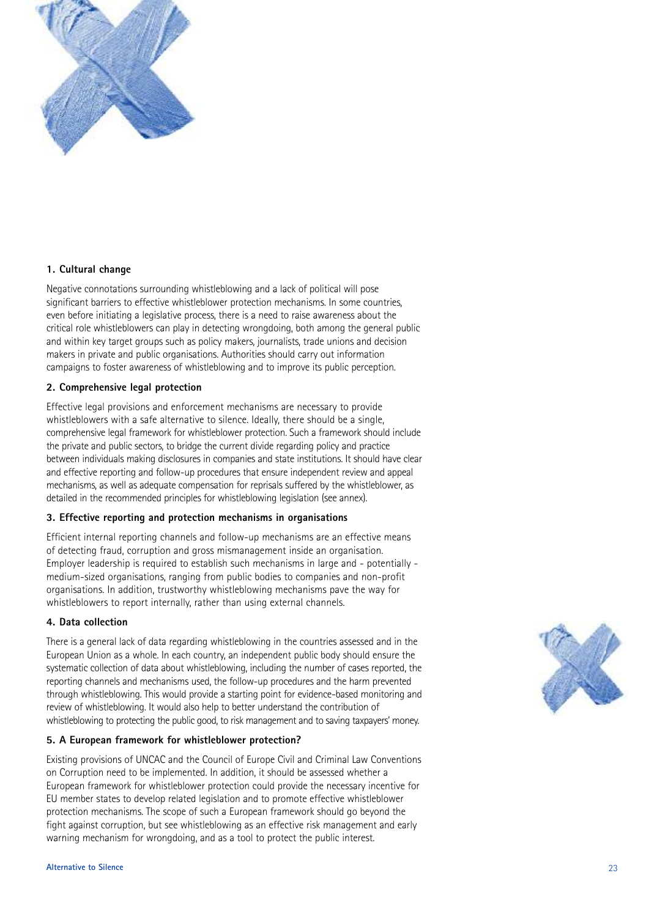

#### **1. Cultural change**

Negative connotations surrounding whistleblowing and a lack of political will pose significant barriers to effective whistleblower protection mechanisms. In some countries, even before initiating a legislative process, there is a need to raise awareness about the critical role whistleblowers can play in detecting wrongdoing, both among the general public and within key target groups such as policy makers, journalists, trade unions and decision makers in private and public organisations. Authorities should carry out information campaigns to foster awareness of whistleblowing and to improve its public perception.

#### **2. Comprehensive legal protection**

Effective legal provisions and enforcement mechanisms are necessary to provide whistleblowers with a safe alternative to silence. Ideally, there should be a single, comprehensive legal framework for whistleblower protection. Such a framework should include the private and public sectors, to bridge the current divide regarding policy and practice between individuals making disclosures in companies and state institutions. It should have clear and effective reporting and follow-up procedures that ensure independent review and appeal mechanisms, as well as adequate compensation for reprisals suffered by the whistleblower, as detailed in the recommended principles for whistleblowing legislation (see annex).

#### **3. Effective reporting and protection mechanisms in organisations**

Efficient internal reporting channels and follow-up mechanisms are an effective means of detecting fraud, corruption and gross mismanagement inside an organisation. Employer leadership is required to establish such mechanisms in large and - potentially medium-sized organisations, ranging from public bodies to companies and non-profit organisations. In addition, trustworthy whistleblowing mechanisms pave the way for whistleblowers to report internally, rather than using external channels.

#### **4. Data collection**

There is a general lack of data regarding whistleblowing in the countries assessed and in the European Union as a whole. In each country, an independent public body should ensure the systematic collection of data about whistleblowing, including the number of cases reported, the reporting channels and mechanisms used, the follow-up procedures and the harm prevented through whistleblowing. This would provide a starting point for evidence-based monitoring and review of whistleblowing. It would also help to better understand the contribution of whistleblowing to protecting the public good, to risk management and to saving taxpayers' money.

#### **5. A European framework for whistleblower protection?**

Existing provisions of UNCAC and the Council of Europe Civil and Criminal Law Conventions on Corruption need to be implemented. In addition, it should be assessed whether a European framework for whistleblower protection could provide the necessary incentive for EU member states to develop related legislation and to promote effective whistleblower protection mechanisms. The scope of such a European framework should go beyond the fight against corruption, but see whistleblowing as an effective risk management and early warning mechanism for wrongdoing, and as a tool to protect the public interest.

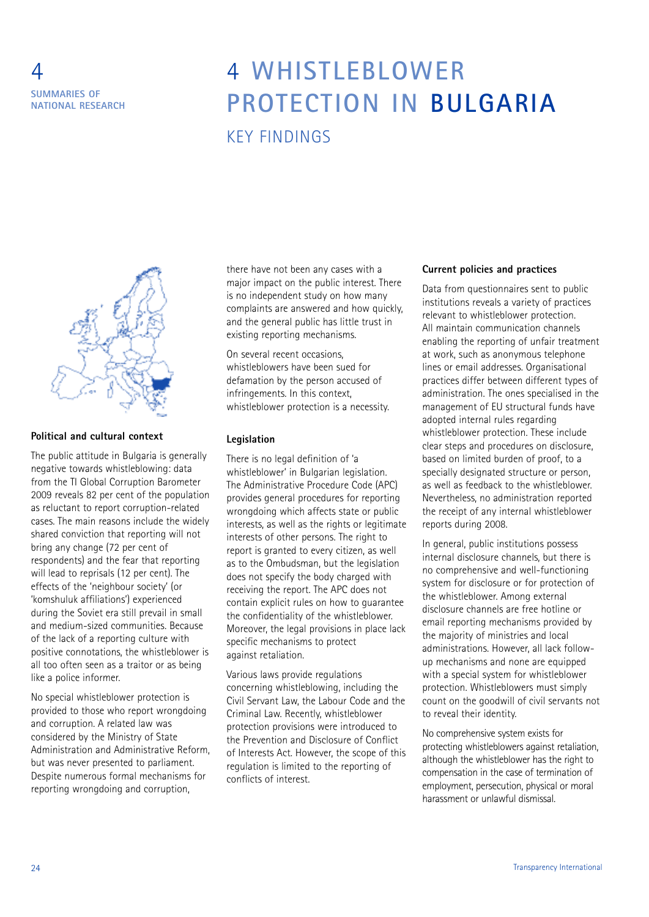### 4 **SUMMARIES OF NATIONAL RESEARCH**

### 4 **WHISTLEBLOWER PROTECTION IN BULGARIA** KEY FINDINGS



#### **Political and cultural context**

The public attitude in Bulgaria is generally negative towards whistleblowing: data from the TI Global Corruption Barometer 2009 reveals 82 per cent of the population as reluctant to report corruption-related cases. The main reasons include the widely shared conviction that reporting will not bring any change (72 per cent of respondents) and the fear that reporting will lead to reprisals (12 per cent). The effects of the 'neighbour society' (or 'komshuluk affiliations') experienced during the Soviet era still prevail in small and medium-sized communities. Because of the lack of a reporting culture with positive connotations, the whistleblower is all too often seen as a traitor or as being like a police informer.

No special whistleblower protection is provided to those who report wrongdoing and corruption. A related law was considered by the Ministry of State Administration and Administrative Reform, but was never presented to parliament. Despite numerous formal mechanisms for reporting wrongdoing and corruption,

there have not been any cases with a major impact on the public interest. There is no independent study on how many complaints are answered and how quickly, and the general public has little trust in existing reporting mechanisms.

On several recent occasions, whistleblowers have been sued for defamation by the person accused of infringements. In this context, whistleblower protection is a necessity.

#### **Legislation**

There is no legal definition of 'a whistleblower' in Bulgarian legislation. The Administrative Procedure Code (APC) provides general procedures for reporting wrongdoing which affects state or public interests, as well as the rights or legitimate interests of other persons. The right to report is granted to every citizen, as well as to the Ombudsman, but the legislation does not specify the body charged with receiving the report. The APC does not contain explicit rules on how to guarantee the confidentiality of the whistleblower. Moreover, the legal provisions in place lack specific mechanisms to protect against retaliation.

Various laws provide regulations concerning whistleblowing, including the Civil Servant Law, the Labour Code and the Criminal Law. Recently, whistleblower protection provisions were introduced to the Prevention and Disclosure of Conflict of Interests Act. However, the scope of this regulation is limited to the reporting of conflicts of interest.

#### **Current policies and practices**

Data from questionnaires sent to public institutions reveals a variety of practices relevant to whistleblower protection. All maintain communication channels enabling the reporting of unfair treatment at work, such as anonymous telephone lines or email addresses. Organisational practices differ between different types of administration. The ones specialised in the management of EU structural funds have adopted internal rules regarding whistleblower protection. These include clear steps and procedures on disclosure, based on limited burden of proof, to a specially designated structure or person. as well as feedback to the whistleblower. Nevertheless, no administration reported the receipt of any internal whistleblower reports during 2008.

In general, public institutions possess internal disclosure channels, but there is no comprehensive and well-functioning system for disclosure or for protection of the whistleblower. Among external disclosure channels are free hotline or email reporting mechanisms provided by the majority of ministries and local administrations. However, all lack followup mechanisms and none are equipped with a special system for whistleblower protection. Whistleblowers must simply count on the goodwill of civil servants not to reveal their identity.

No comprehensive system exists for protecting whistleblowers against retaliation, although the whistleblower has the right to compensation in the case of termination of employment, persecution, physical or moral harassment or unlawful dismissal.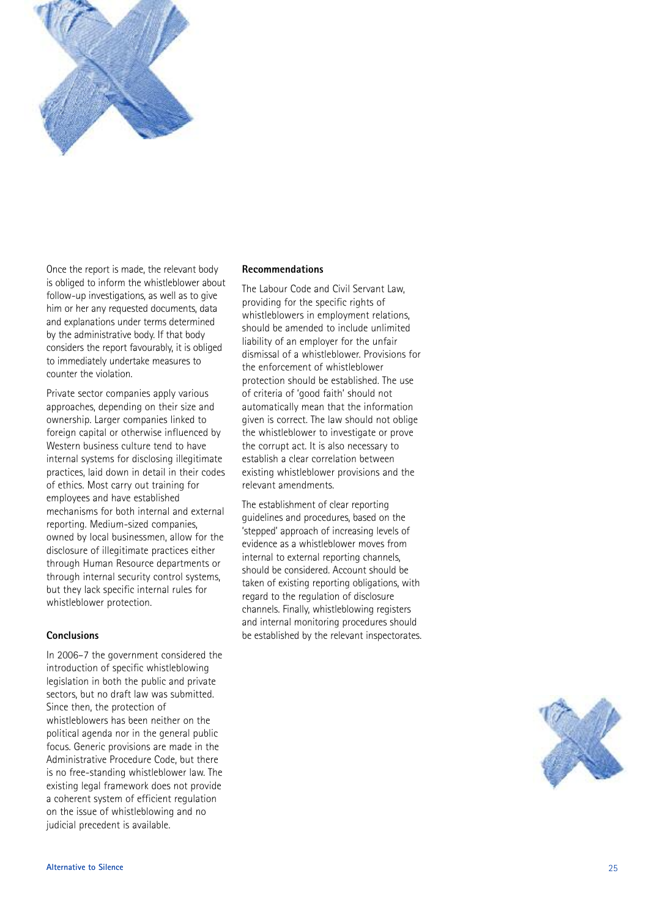

Once the report is made, the relevant body , is obliged to inform the whistleblower about follow-up investigations, as well as to give , him or her any requested documents, data , and explanations under terms determined by the administrative body. If that body considers the report favourably, it is obliged to immediately undertake measures to counter the violation .

Private sector companies apply various approaches, depending on their size and , ownership. Larger companies linked to . foreign capital or otherwise influenced by Western business culture tend to have internal systems for disclosing illegitimate practices, laid down in detail in their codes , of ethics. Most carry out training for . employees and have established mechanisms for both internal and external reporting. Medium-sized companies . , owned by local businessmen, allow for the , disclosure of illegitimate practices either through Human Resource departments or through internal security control systems , but they lack specific internal rules for whistleblower protection .

#### **Conclusions**

In 2006-7 the government considered the introduction of specific whistleblowing legislation in both the public and private sectors, but no draft law was submitted , . Since then, the protection of , whistleblowers has been neither on the political agenda nor in the general public focus. Generic provisions are made in the . Administrative Procedure Code, but there , is no free-standing whistleblower law. The . existing legal framework does not provide a coherent system of efficient regulation on the issue of whistleblowing and no judicial precedent is available .

#### **Recommendations**

The Labour Code and Civil Servant Law , providing for the specific rights of whistleblowers in employment relations , should be amended to include unlimited liability of an employer for the unfair dismissal of a whistleblower. Provisions for . the enforcement of whistleblower protection should be established. The use . of criteria of 'good faith' should not ' ' automatically mean that the information given is correct. The law should not oblige . the whistleblower to investigate or prove the corrupt act. It is also necessary to . establish a clear correlation between existing whistleblower provisions and the relevant amendments .

The establishment of clear reporting guidelines and procedures, based on the , ' stepped' approach of increasing levels of ' evidence as a whistleblower moves from internal to external reporting channels , should be considered. Account should be . taken of existing reporting obligations, with , regard to the regulation of disclosure channels. Finally, whistleblowing registers . and internal monitoring procedures should be established by the relevant inspectorates .

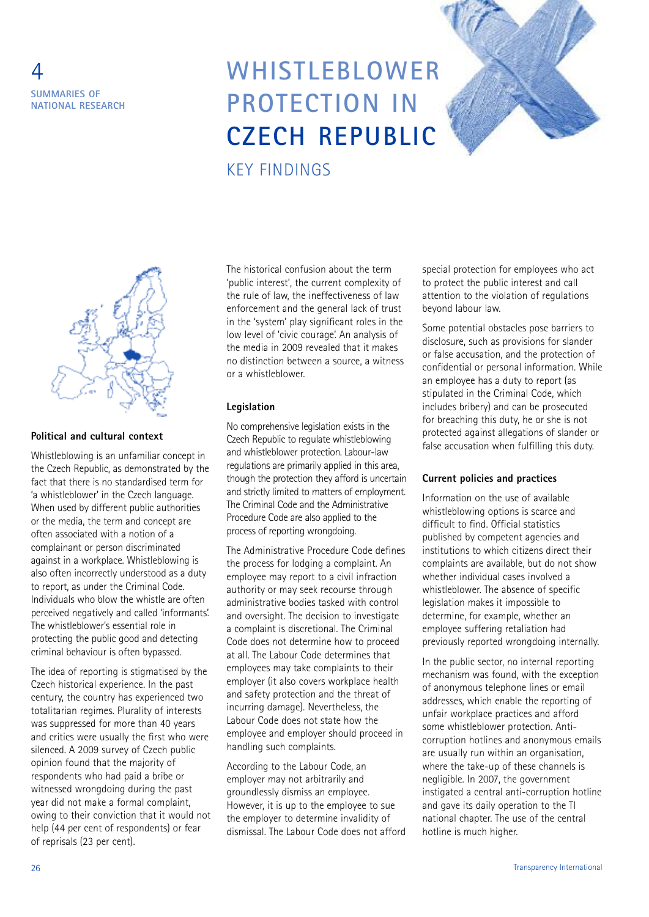

### **WHISTLEBLOWER PROTECTION IN CZECH REPUBLIC** KEY FINDINGS



#### **Political and cultural context**

Whistleblowing is an unfamiliar concept in the Czech Republic, as demonstrated by the fact that there is no standardised term for 'a whistleblower' in the Czech language. When used by different public authorities or the media, the term and concept are often associated with a notion of a complainant or person discriminated against in a workplace. Whistleblowing is also often incorrectly understood as a duty to report, as under the Criminal Code. Individuals who blow the whistle are often perceived negatively and called 'informants'. The whistleblower's essential role in protecting the public good and detecting criminal behaviour is often bypassed.

The idea of reporting is stigmatised by the Czech historical experience. In the past century, the country has experienced two totalitarian regimes. Plurality of interests was suppressed for more than 40 years and critics were usually the first who were silenced. A 2009 survey of Czech public opinion found that the majority of respondents who had paid a bribe or witnessed wrongdoing during the past year did not make a formal complaint, owing to their conviction that it would not help (44 per cent of respondents) or fear of reprisals (23 per cent).

The historical confusion about the term 'public interest', the current complexity of the rule of law, the ineffectiveness of law enforcement and the general lack of trust in the 'system' play significant roles in the low level of 'civic courage'. An analysis of the media in 2009 revealed that it makes no distinction between a source, a witness or a whistleblower.

#### **Legislation**

No comprehensive legislation exists in the Czech Republic to regulate whistleblowing and whistleblower protection. Labour-law regulations are primarily applied in this area, though the protection they afford is uncertain and strictly limited to matters of employment. The Criminal Code and the Administrative Procedure Code are also applied to the process of reporting wrongdoing.

The Administrative Procedure Code defines the process for lodging a complaint. An employee may report to a civil infraction authority or may seek recourse through administrative bodies tasked with control and oversight. The decision to investigate a complaint is discretional. The Criminal Code does not determine how to proceed at all. The Labour Code determines that employees may take complaints to their employer (it also covers workplace health and safety protection and the threat of incurring damage). Nevertheless, the Labour Code does not state how the employee and employer should proceed in handling such complaints.

According to the Labour Code, an employer may not arbitrarily and groundlessly dismiss an employee. However, it is up to the employee to sue the employer to determine invalidity of dismissal. The Labour Code does not afford special protection for employees who act to protect the public interest and call attention to the violation of regulations beyond labour law.

Some potential obstacles pose barriers to disclosure, such as provisions for slander or false accusation, and the protection of confidential or personal information. While an employee has a duty to report (as stipulated in the Criminal Code, which includes bribery) and can be prosecuted for breaching this duty, he or she is not protected against allegations of slander or false accusation when fulfilling this duty.

#### **Current policies and practices**

Information on the use of available whistleblowing options is scarce and difficult to find. Official statistics published by competent agencies and institutions to which citizens direct their complaints are available, but do not show whether individual cases involved a whistleblower. The absence of specific legislation makes it impossible to determine, for example, whether an employee suffering retaliation had previously reported wrongdoing internally.

In the public sector, no internal reporting mechanism was found, with the exception of anonymous telephone lines or email addresses, which enable the reporting of unfair workplace practices and afford some whistleblower protection. Anticorruption hotlines and anonymous emails are usually run within an organisation, where the take-up of these channels is negligible. In 2007, the government instigated a central anti-corruption hotline and gave its daily operation to the TI national chapter. The use of the central hotline is much higher.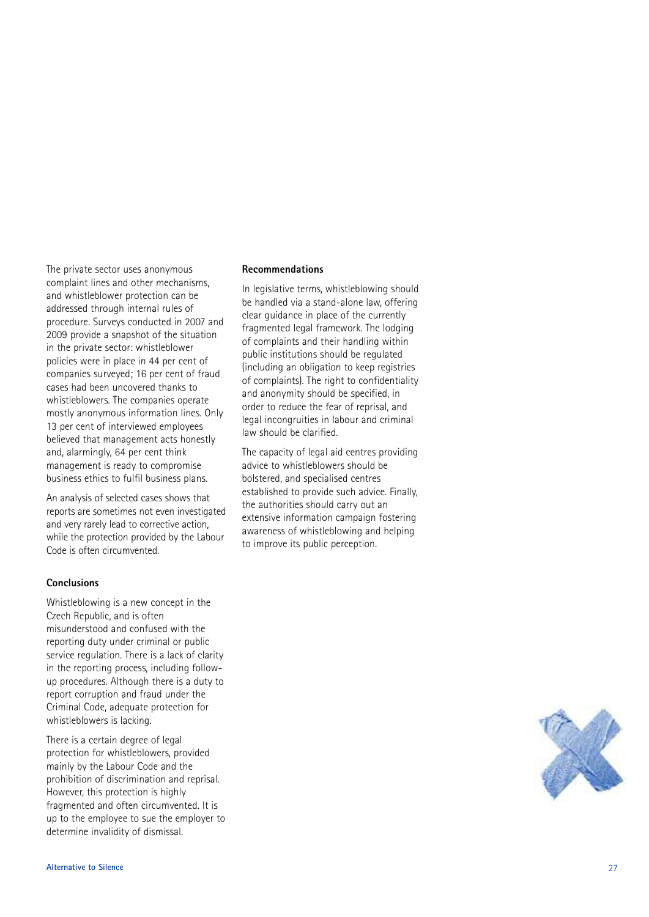The private sector uses anonymous complaint lines and other mechanisms , and whistleblower protection can be addressed through internal rules of procedure. Surveys conducted in 2007 and . 2009 provide a snapshot of the situation in the private sector: whistleblower policies were in place in 44 per cent of companies surveyed; 16 per cent of fraud cases had been uncovered thanks to whistleblowers. The companies operate . mostly anonymous information lines. Only . 13 per cent of interviewed employees believed that management acts honestly and, alarmingly, 64 per cent think , ,<br>, management is ready to compromise business ethics to fulfil business plans .

An analysis of selected cases shows that reports are sometimes not even investigated and very rarely lead to corrective action , while the protection provided by the Labour Code is often circumvented .

#### **Conclusions**

Whistleblowing is a new concept in the Czech Republic, and is often , misunderstood and confused with the reporting duty under criminal or public service regulation. There is a lack of clarity . in the reporting process, including follow-, up procedures. Although there is a duty to . report corruption and fraud under the Criminal Code, adequate protection for , whistleblowers is lacking .

There is a certain degree of legal protection for whistleblowers, provided , mainly by the Labour Code and the prohibition of discrimination and reprisal . However, this protection is highly , fragmented and often circumvented. It is . up to the employee to sue the employer to determine invalidity of dismissal .

#### **Recommendations**

In legislative terms, whistleblowing should , be handled via a stand-alone law, offering , clear guidance in place of the currently fragmented legal framework. The lodging . of complaints and their handling within public institutions should be regulated (including an obligation to keep registries of complaints). The right to confidentiality . and anonymity should be specified, in , order to reduce the fear of reprisal, and , legal incongruities in labour and criminal law should be clarified .

The capacity of legal aid centres providing advice to whistleblowers should be bolstered, and specialised centres , established to provide such advice. Finally . , the authorities should carry out an extensive information campaign fostering awareness of whistleblowing and helping to improve its public perception .

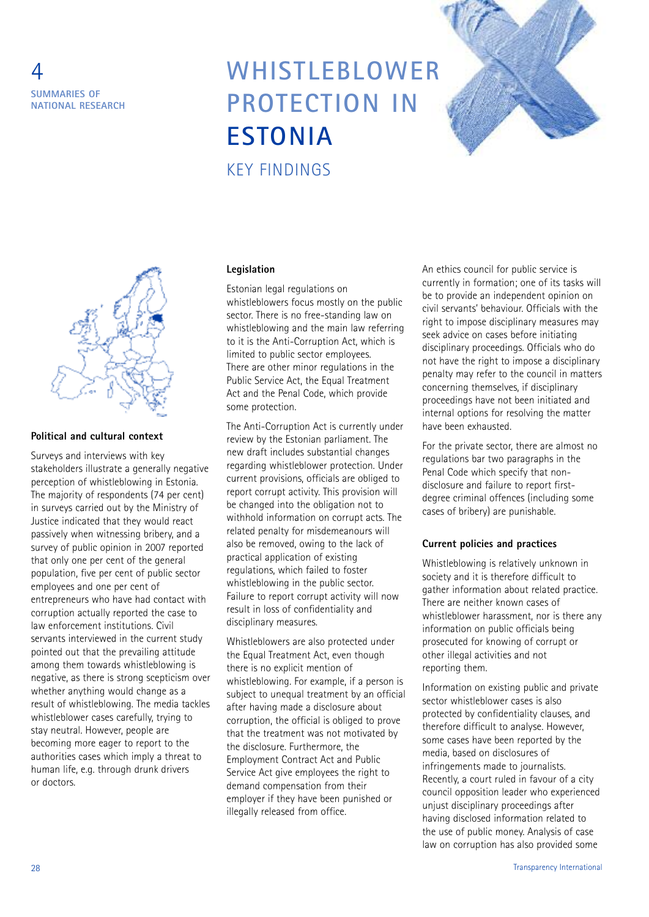

### **WHISTLEBLOWER PROTECTION IN ESTONIA** KEY FINDINGS





#### **Political and cultural context**

Surveys and interviews with key stakeholders illustrate a generally negative perception of whistleblowing in Estonia. The majority of respondents (74 per cent) in surveys carried out by the Ministry of Justice indicated that they would react passively when witnessing bribery, and a survey of public opinion in 2007 reported that only one per cent of the general population, five per cent of public sector employees and one per cent of entrepreneurs who have had contact with corruption actually reported the case to law enforcement institutions. Civil servants interviewed in the current study pointed out that the prevailing attitude among them towards whistleblowing is negative, as there is strong scepticism over whether anything would change as a result of whistleblowing. The media tackles whistleblower cases carefully, trying to stay neutral. However, people are becoming more eager to report to the authorities cases which imply a threat to human life, e.g. through drunk drivers or doctors.

#### **Legislation**

Estonian legal regulations on whistleblowers focus mostly on the public sector. There is no free-standing law on whistleblowing and the main law referring to it is the Anti-Corruption Act, which is limited to public sector employees. There are other minor regulations in the Public Service Act, the Equal Treatment Act and the Penal Code, which provide some protection.

The Anti-Corruption Act is currently under review by the Estonian parliament. The new draft includes substantial changes regarding whistleblower protection. Under current provisions, officials are obliged to report corrupt activity. This provision will be changed into the obligation not to withhold information on corrupt acts. The related penalty for misdemeanours will also be removed, owing to the lack of practical application of existing regulations, which failed to foster whistleblowing in the public sector. Failure to report corrupt activity will now result in loss of confidentiality and disciplinary measures.

Whistleblowers are also protected under the Equal Treatment Act, even though there is no explicit mention of whistleblowing. For example, if a person is subject to unequal treatment by an official after having made a disclosure about corruption, the official is obliged to prove that the treatment was not motivated by the disclosure. Furthermore, the Employment Contract Act and Public Service Act give employees the right to demand compensation from their employer if they have been punished or illegally released from office.

An ethics council for public service is currently in formation; one of its tasks will be to provide an independent opinion on civil servants' behaviour. Officials with the right to impose disciplinary measures may seek advice on cases before initiating disciplinary proceedings. Officials who do not have the right to impose a disciplinary penalty may refer to the council in matters concerning themselves, if disciplinary proceedings have not been initiated and internal options for resolving the matter have been exhausted.

For the private sector, there are almost no regulations bar two paragraphs in the Penal Code which specify that nondisclosure and failure to report firstdegree criminal offences (including some cases of bribery) are punishable.

#### **Current policies and practices**

Whistleblowing is relatively unknown in society and it is therefore difficult to gather information about related practice. There are neither known cases of whistleblower harassment, nor is there any information on public officials being prosecuted for knowing of corrupt or other illegal activities and not reporting them.

Information on existing public and private sector whistleblower cases is also protected by confidentiality clauses, and therefore difficult to analyse. However, some cases have been reported by the media, based on disclosures of infringements made to journalists. Recently, a court ruled in favour of a city council opposition leader who experienced unjust disciplinary proceedings after having disclosed information related to the use of public money. Analysis of case law on corruption has also provided some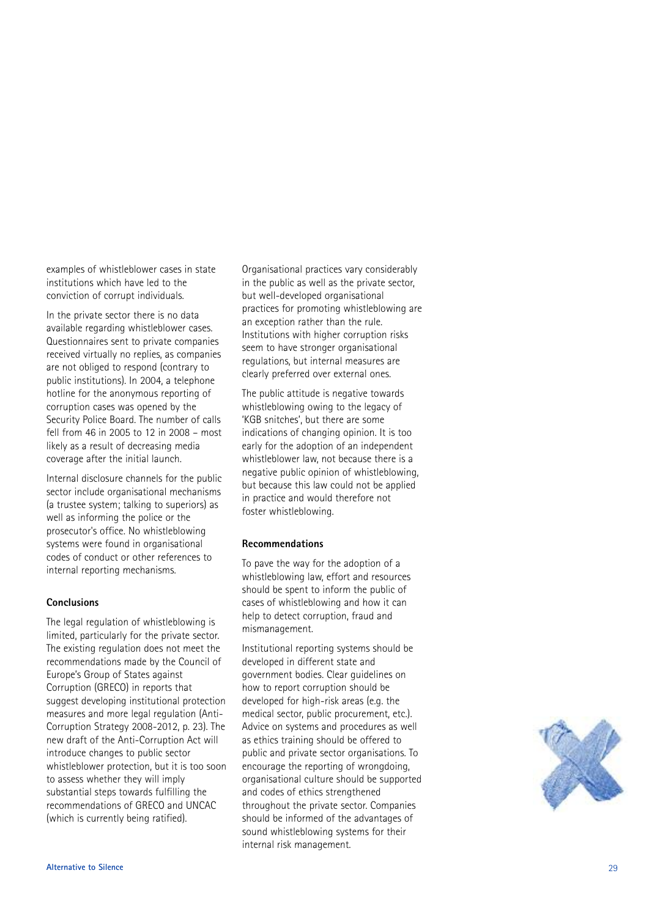examples of whistleblower cases in state institutions which have led to the conviction of corrupt individuals .

In the private sector there is no data available regarding whistleblower cases . Questionnaires sent to private companies received virtually no replies, as companies , are not obliged to respond (contrary to public institutions). In 2004, a telephone . , hotline for the anonymous reporting of corruption cases was opened by the Security Police Board. The number of calls . fell from 46 in 2005 to 12 in 2008 - most likely as a result of decreasing media coverage after the initial launch .

Internal disclosure channels for the public sector include organisational mechanisms (a trustee system; talking to superiors) as well as informing the police or the prosecutor's office. No whistleblowing . systems were found in organisational codes of conduct or other references to internal reporting mechanisms .

#### **Conclusions**

The legal regulation of whistleblowing is limited, particularly for the private sector , . The existing regulation does not meet the recommendations made by the Council of Europe's Group of States against ' Corruption (GRECO) in reports that suggest developing institutional protection measures and more legal regulation (Anti-Corruption Strategy 2008-2012, p. 23). The , . . new draft of the Anti-Corruption Act will introduce changes to public sector whistleblower protection, but it is too soon , to assess whether they will imply substantial steps towards fulfilling the recommendations of GRECO and UNCAC (which is currently being ratified) .

Organisational practices vary considerably in the public as well as the private sector .<br>, but well-developed organisational practices for promoting whistleblowing are an exception rather than the rule . Institutions with higher corruption risks seem to have stronger organisational regulations, but internal measures are , clearly preferred over external ones .

The public attitude is negative towards whistleblowing owing to the legacy of ' KGB snitches', but there are some ' , indications of changing opinion. It is too . early for the adoption of an independent whistleblower law, not because there is a , negative public opinion of whistleblowing , but because this law could not be applied in practice and would therefore not foster whistleblowing .

#### **Recommendations**

To pave the way for the adoption of a whistleblowing law, effort and resources , should be spent to inform the public of cases of whistleblowing and how it can help to detect corruption, fraud and , mismanagement .

Institutional reporting systems should be developed in different state and government bodies. Clear guidelines on . how to report corruption should be developed for high-risk areas (e.g. the . . medical sector, public procurement, etc.) .<br>, , . . Advice on systems and procedures as well as ethics training should be offered to public and private sector organisations. To . encourage the reporting of wrongdoing , organisational culture should be supported and codes of ethics strengthened throughout the private sector. Companies . should be informed of the advantages of sound whistleblowing systems for their internal risk management .

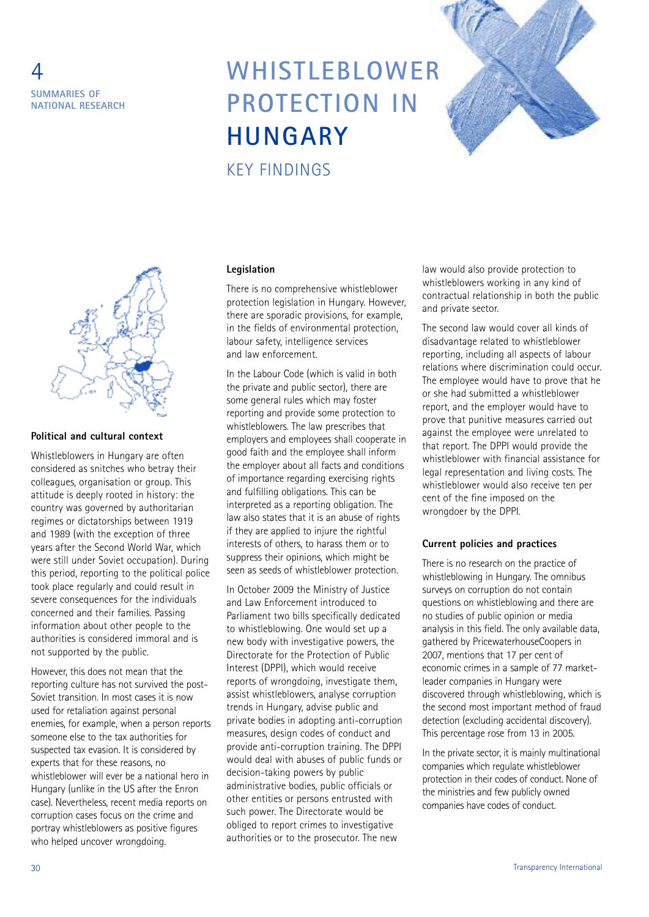

# **WHISTLEBLOWER PROTECTION IN HUNGARY**



#### **Political and cultural context**

Whistleblowers in Hungary are often considered as snitches who betray their colleagues, organisation or group. This attitude is deeply rooted in history: the country was governed by authoritarian regimes or dictatorships between 1919 and 1989 (with the exception of three years after the Second World War, which were still under Soviet occupation). During this period, reporting to the political police took place regularly and could result in severe consequences for the individuals concerned and their families. Passing information about other people to the authorities is considered immoral and is not supported by the public.

However, this does not mean that the reporting culture has not survived the post-Soviet transition. In most cases it is now used for retaliation against personal enemies, for example, when a person reports someone else to the tax authorities for suspected tax evasion. It is considered by experts that for these reasons, no whistleblower will ever be a national hero in Hungary (unlike in the US after the Enron case). Nevertheless, recent media reports on corruption cases focus on the crime and portray whistleblowers as positive figures who helped uncover wrongdoing.

#### **Legislation**

KEY FINDINGS

There is no comprehensive whistleblower protection legislation in Hungary. However, there are sporadic provisions, for example, in the fields of environmental protection, labour safety, intelligence services and law enforcement.

In the Labour Code (which is valid in both the private and public sector), there are some general rules which may foster reporting and provide some protection to whistleblowers. The law prescribes that employers and employees shall cooperate in good faith and the employee shall inform the employer about all facts and conditions of importance regarding exercising rights and fulfilling obligations. This can be interpreted as a reporting obligation. The law also states that it is an abuse of rights if they are applied to injure the rightful interests of others, to harass them or to suppress their opinions, which might be seen as seeds of whistleblower protection.

In October 2009 the Ministry of Justice and Law Enforcement introduced to Parliament two bills specifically dedicated to whistleblowing. One would set up a new body with investigative powers, the Directorate for the Protection of Public Interest (DPPI), which would receive reports of wrongdoing, investigate them, assist whistleblowers, analyse corruption trends in Hungary, advise public and private bodies in adopting anti-corruption measures, design codes of conduct and provide anti-corruption training. The DPPI would deal with abuses of public funds or decision-taking powers by public administrative bodies, public officials or other entities or persons entrusted with such power. The Directorate would be obliged to report crimes to investigative authorities or to the prosecutor. The new

law would also provide protection to whistleblowers working in any kind of contractual relationship in both the public and private sector.

The second law would cover all kinds of disadvantage related to whistleblower reporting, including all aspects of labour relations where discrimination could occur. The employee would have to prove that he or she had submitted a whistleblower report, and the employer would have to prove that punitive measures carried out against the employee were unrelated to that report. The DPPI would provide the whistleblower with financial assistance for legal representation and living costs. The whistleblower would also receive ten per cent of the fine imposed on the wrongdoer by the DPPI.

#### **Current policies and practices**

There is no research on the practice of whistleblowing in Hungary. The omnibus surveys on corruption do not contain questions on whistleblowing and there are no studies of public opinion or media analysis in this field. The only available data, gathered by PricewaterhouseCoopers in 2007, mentions that 17 per cent of economic crimes in a sample of 77 marketleader companies in Hungary were discovered through whistleblowing, which is the second most important method of fraud detection (excluding accidental discovery). This percentage rose from 13 in 2005.

In the private sector, it is mainly multinational companies which regulate whistleblower protection in their codes of conduct. None of the ministries and few publicly owned companies have codes of conduct.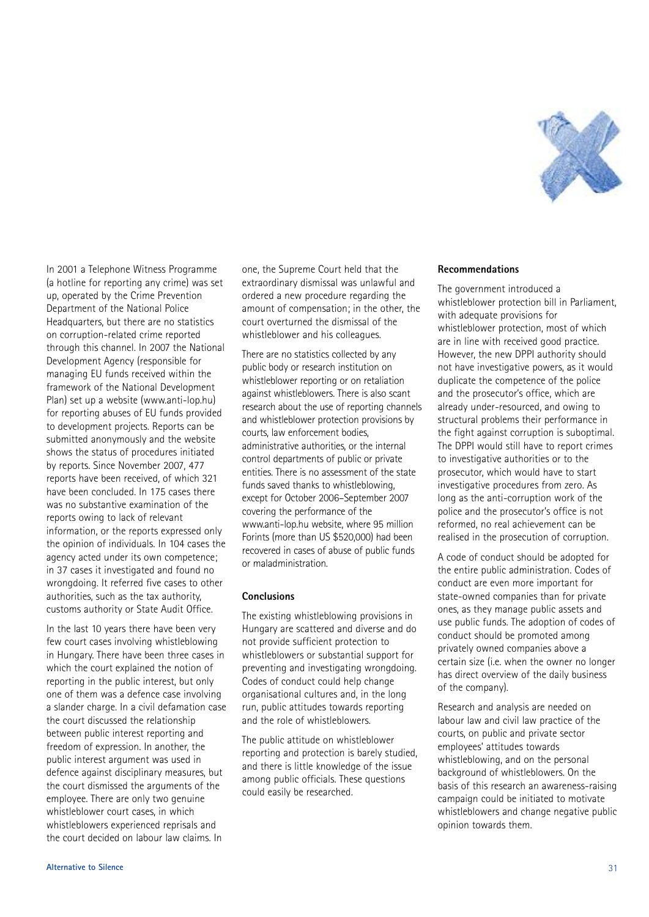

In 2001 a Telephone Witness Programme (a hotline for reporting any crime) was set up, operated by the Crime Prevention Department of the National Police Headquarters, but there are no statistics on corruption-related crime reported through this channel. In 2007 the National Development Agency (responsible for managing EU funds received within the framework of the National Development Plan) set up a website (www.anti-lop.hu) for reporting abuses of EU funds provided to development projects. Reports can be submitted anonymously and the website shows the status of procedures initiated by reports. Since November 2007, 477 reports have been received, of which 321 have been concluded. In 175 cases there was no substantive examination of the reports owing to lack of relevant information, or the reports expressed only the opinion of individuals. In 104 cases the agency acted under its own competence; in 37 cases it investigated and found no wrongdoing. It referred five cases to other authorities, such as the tax authority, customs authority or State Audit Office.

In the last 10 years there have been very few court cases involving whistleblowing in Hungary. There have been three cases in which the court explained the notion of reporting in the public interest, but only one of them was a defence case involving a slander charge. In a civil defamation case the court discussed the relationship between public interest reporting and freedom of expression. In another, the public interest argument was used in defence against disciplinary measures, but the court dismissed the arguments of the employee. There are only two genuine whistleblower court cases, in which whistleblowers experienced reprisals and the court decided on labour law claims. In

one, the Supreme Court held that the extraordinary dismissal was unlawful and ordered a new procedure regarding the amount of compensation; in the other, the court overturned the dismissal of the whistleblower and his colleagues.

There are no statistics collected by any public body or research institution on whistleblower reporting or on retaliation against whistleblowers. There is also scant research about the use of reporting channels and whistleblower protection provisions by courts, law enforcement bodies, administrative authorities, or the internal control departments of public or private entities. There is no assessment of the state funds saved thanks to whistleblowing, except for October 2006–September 2007 covering the performance of the www.anti-lop.hu website, where 95 million Forints (more than US \$520,000) had been recovered in cases of abuse of public funds or maladministration.

#### **Conclusions**

The existing whistleblowing provisions in Hungary are scattered and diverse and do not provide sufficient protection to whistleblowers or substantial support for preventing and investigating wrongdoing. Codes of conduct could help change organisational cultures and, in the long run, public attitudes towards reporting and the role of whistleblowers.

The public attitude on whistleblower reporting and protection is barely studied, and there is little knowledge of the issue among public officials. These questions could easily be researched.

#### **Recommendations**

The government introduced a whistleblower protection bill in Parliament, with adequate provisions for whistleblower protection, most of which are in line with received good practice. However, the new DPPI authority should not have investigative powers, as it would duplicate the competence of the police and the prosecutor's office, which are already under-resourced, and owing to structural problems their performance in the fight against corruption is suboptimal. The DPPI would still have to report crimes to investigative authorities or to the prosecutor, which would have to start investigative procedures from zero. As long as the anti-corruption work of the police and the prosecutor's office is not reformed, no real achievement can be realised in the prosecution of corruption.

A code of conduct should be adopted for the entire public administration. Codes of conduct are even more important for state-owned companies than for private ones, as they manage public assets and use public funds. The adoption of codes of conduct should be promoted among privately owned companies above a certain size (i.e. when the owner no longer has direct overview of the daily business of the company).

Research and analysis are needed on labour law and civil law practice of the courts, on public and private sector employees' attitudes towards whistleblowing, and on the personal background of whistleblowers. On the basis of this research an awareness-raising campaign could be initiated to motivate whistleblowers and change negative public opinion towards them.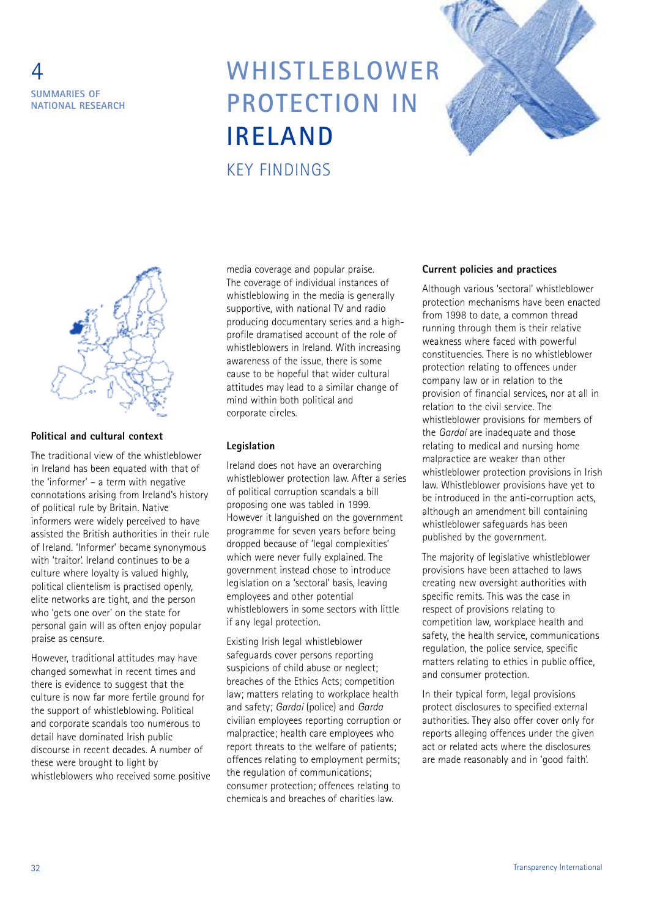

### **WHISTLEBLOWER PROTECTION IN IRELAND** KEY FINDINGS





### **Political and cultural context**

The traditional view of the whistleblower in Ireland has been equated with that of the 'informer' – a term with negative connotations arising from Ireland's history of political rule by Britain. Native informers were widely perceived to have assisted the British authorities in their rule of Ireland. 'Informer' became synonymous with 'traitor'. Ireland continues to be a culture where loyalty is valued highly, political clientelism is practised openly, elite networks are tight, and the person who 'gets one over' on the state for personal gain will as often enjoy popular praise as censure.

However, traditional attitudes may have changed somewhat in recent times and there is evidence to suggest that the culture is now far more fertile ground for the support of whistleblowing. Political and corporate scandals too numerous to detail have dominated Irish public discourse in recent decades. A number of these were brought to light by whistleblowers who received some positive

media coverage and popular praise. The coverage of individual instances of whistleblowing in the media is generally supportive, with national TV and radio producing documentary series and a highprofile dramatised account of the role of whistleblowers in Ireland. With increasing awareness of the issue, there is some cause to be hopeful that wider cultural attitudes may lead to a similar change of mind within both political and corporate circles.

#### **Legislation**

Ireland does not have an overarching whistleblower protection law. After a series of political corruption scandals a bill proposing one was tabled in 1999. However it languished on the government programme for seven years before being dropped because of 'legal complexities' which were never fully explained. The government instead chose to introduce legislation on a 'sectoral' basis, leaving employees and other potential whistleblowers in some sectors with little if any legal protection.

Existing Irish legal whistleblower safeguards cover persons reporting suspicions of child abuse or neglect; breaches of the Ethics Acts; competition law; matters relating to workplace health and safety; *Gardaí* (police) and *Garda* civilian employees reporting corruption or malpractice; health care employees who report threats to the welfare of patients; offences relating to employment permits; the regulation of communications; consumer protection; offences relating to chemicals and breaches of charities law.

#### **Current policies and practices**

Although various 'sectoral' whistleblower protection mechanisms have been enacted from 1998 to date, a common thread running through them is their relative weakness where faced with powerful constituencies. There is no whistleblower protection relating to offences under company law or in relation to the provision of financial services, nor at all in relation to the civil service. The whistleblower provisions for members of the *Gardaí* are inadequate and those relating to medical and nursing home malpractice are weaker than other whistleblower protection provisions in Irish law. Whistleblower provisions have yet to be introduced in the anti-corruption acts, although an amendment bill containing whistleblower safeguards has been published by the government.

The majority of legislative whistleblower provisions have been attached to laws creating new oversight authorities with specific remits. This was the case in respect of provisions relating to competition law, workplace health and safety, the health service, communications regulation, the police service, specific matters relating to ethics in public office, and consumer protection.

In their typical form, legal provisions protect disclosures to specified external authorities. They also offer cover only for reports alleging offences under the given act or related acts where the disclosures are made reasonably and in 'good faith'.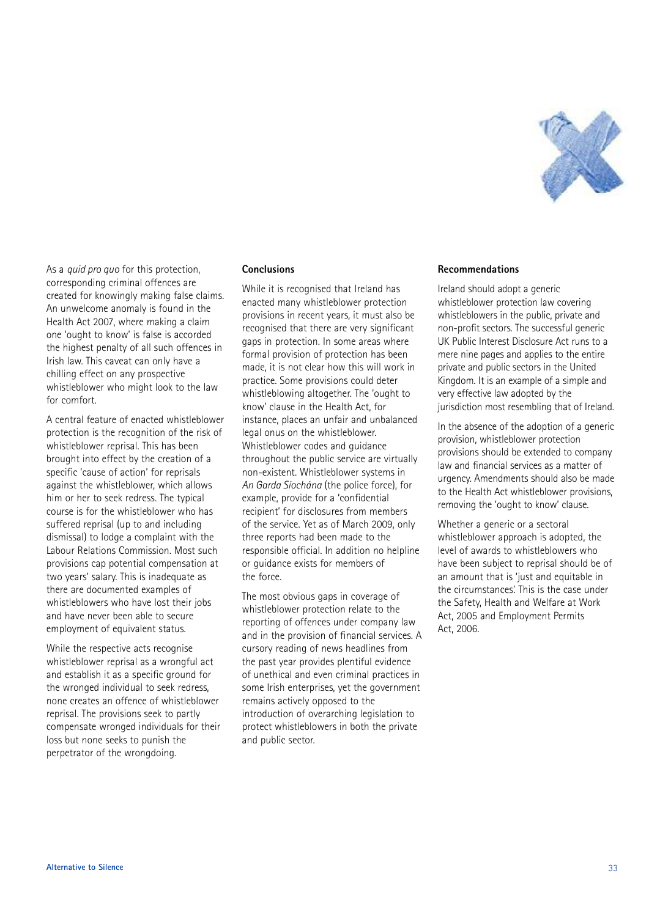

As a *quid pro quo* for this protection, corresponding criminal offences are created for knowingly making false claims. An unwelcome anomaly is found in the Health Act 2007, where making a claim one 'ought to know' is false is accorded the highest penalty of all such offences in Irish law. This caveat can only have a chilling effect on any prospective whistleblower who might look to the law for comfort.

A central feature of enacted whistleblower protection is the recognition of the risk of whistleblower reprisal. This has been brought into effect by the creation of a specific 'cause of action' for reprisals against the whistleblower, which allows him or her to seek redress. The typical course is for the whistleblower who has suffered reprisal (up to and including dismissal) to lodge a complaint with the Labour Relations Commission. Most such provisions cap potential compensation at two years' salary. This is inadequate as there are documented examples of whistleblowers who have lost their jobs and have never been able to secure employment of equivalent status.

While the respective acts recognise whistleblower reprisal as a wrongful act and establish it as a specific ground for the wronged individual to seek redress, none creates an offence of whistleblower reprisal. The provisions seek to partly compensate wronged individuals for their loss but none seeks to punish the perpetrator of the wrongdoing.

#### **Conclusions**

While it is recognised that Ireland has enacted many whistleblower protection provisions in recent years, it must also be recognised that there are very significant gaps in protection. In some areas where formal provision of protection has been made, it is not clear how this will work in practice. Some provisions could deter whistleblowing altogether. The 'ought to know' clause in the Health Act, for instance, places an unfair and unbalanced legal onus on the whistleblower. Whistleblower codes and guidance throughout the public service are virtually non-existent. Whistleblower systems in *An Garda Síochána* (the police force), for example, provide for a 'confidential recipient' for disclosures from members of the service. Yet as of March 2009, only three reports had been made to the responsible official. In addition no helpline or guidance exists for members of the force.

The most obvious gaps in coverage of whistleblower protection relate to the reporting of offences under company law and in the provision of financial services. A cursory reading of news headlines from the past year provides plentiful evidence of unethical and even criminal practices in some Irish enterprises, yet the government remains actively opposed to the introduction of overarching legislation to protect whistleblowers in both the private and public sector.

#### **Recommendations**

Ireland should adopt a generic whistleblower protection law covering whistleblowers in the public, private and non-profit sectors. The successful generic UK Public Interest Disclosure Act runs to a mere nine pages and applies to the entire private and public sectors in the United Kingdom. It is an example of a simple and very effective law adopted by the jurisdiction most resembling that of Ireland.

In the absence of the adoption of a generic provision, whistleblower protection provisions should be extended to company law and financial services as a matter of urgency. Amendments should also be made to the Health Act whistleblower provisions, removing the 'ought to know' clause.

Whether a generic or a sectoral whistleblower approach is adopted, the level of awards to whistleblowers who have been subject to reprisal should be of an amount that is 'just and equitable in the circumstances'. This is the case under the Safety, Health and Welfare at Work Act, 2005 and Employment Permits Act, 2006.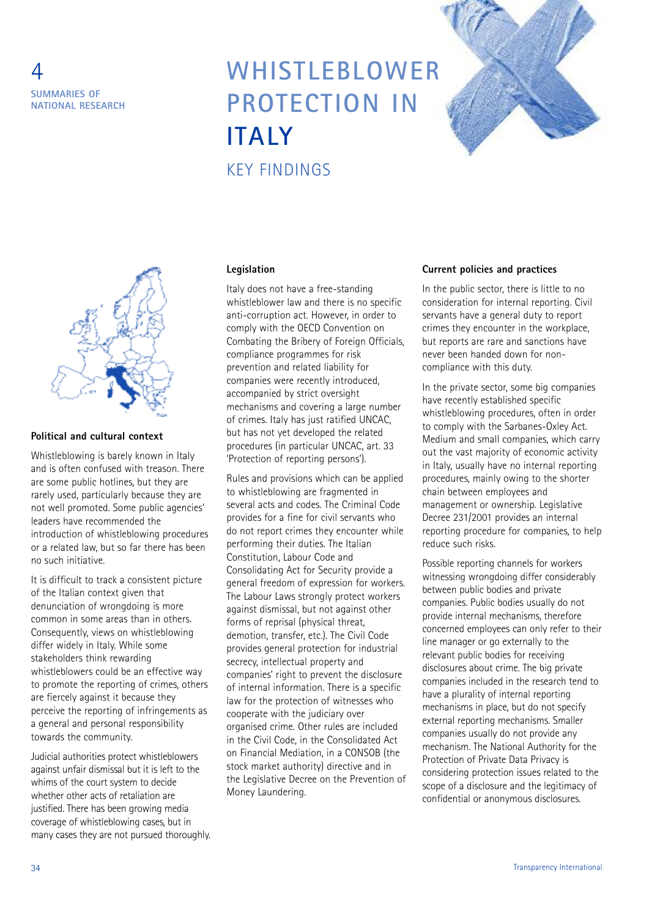

### **WHISTLEBLOWER PROTECTION IN ITALY** KEY FINDINGS





#### **Political and cultural context**

Whistleblowing is barely known in Italy and is often confused with treason. There are some public hotlines, but they are rarely used, particularly because they are not well promoted. Some public agencies' leaders have recommended the introduction of whistleblowing procedures or a related law, but so far there has been no such initiative.

It is difficult to track a consistent picture of the Italian context given that denunciation of wrongdoing is more common in some areas than in others. Consequently, views on whistleblowing differ widely in Italy. While some stakeholders think rewarding whistleblowers could be an effective way to promote the reporting of crimes, others are fiercely against it because they perceive the reporting of infringements as a general and personal responsibility towards the community.

Judicial authorities protect whistleblowers against unfair dismissal but it is left to the whims of the court system to decide whether other acts of retaliation are justified. There has been growing media coverage of whistleblowing cases, but in many cases they are not pursued thoroughly.

#### **Legislation**

Italy does not have a free-standing whistleblower law and there is no specific anti-corruption act. However, in order to comply with the OECD Convention on Combating the Bribery of Foreign Officials. compliance programmes for risk prevention and related liability for companies were recently introduced, accompanied by strict oversight mechanisms and covering a large number of crimes. Italy has just ratified UNCAC, but has not yet developed the related procedures (in particular UNCAC, art. 33 'Protection of reporting persons').

Rules and provisions which can be applied to whistleblowing are fragmented in several acts and codes. The Criminal Code provides for a fine for civil servants who do not report crimes they encounter while performing their duties. The Italian Constitution, Labour Code and Consolidating Act for Security provide a general freedom of expression for workers. The Labour Laws strongly protect workers against dismissal, but not against other forms of reprisal (physical threat, demotion, transfer, etc.). The Civil Code provides general protection for industrial secrecy, intellectual property and companies' right to prevent the disclosure of internal information. There is a specific law for the protection of witnesses who cooperate with the judiciary over organised crime. Other rules are included in the Civil Code, in the Consolidated Act on Financial Mediation, in a CONSOB (the stock market authority) directive and in the Legislative Decree on the Prevention of Money Laundering.

#### **Current policies and practices**

In the public sector, there is little to no consideration for internal reporting. Civil servants have a general duty to report crimes they encounter in the workplace, but reports are rare and sanctions have never been handed down for noncompliance with this duty.

In the private sector, some big companies have recently established specific whistleblowing procedures, often in order to comply with the Sarbanes-Oxley Act. Medium and small companies, which carry out the vast majority of economic activity in Italy, usually have no internal reporting procedures, mainly owing to the shorter chain between employees and management or ownership. Legislative Decree 231/2001 provides an internal reporting procedure for companies, to help reduce such risks.

Possible reporting channels for workers witnessing wrongdoing differ considerably between public bodies and private companies. Public bodies usually do not provide internal mechanisms, therefore concerned employees can only refer to their line manager or go externally to the relevant public bodies for receiving disclosures about crime. The big private companies included in the research tend to have a plurality of internal reporting mechanisms in place, but do not specify external reporting mechanisms. Smaller companies usually do not provide any mechanism. The National Authority for the Protection of Private Data Privacy is considering protection issues related to the scope of a disclosure and the legitimacy of confidential or anonymous disclosures.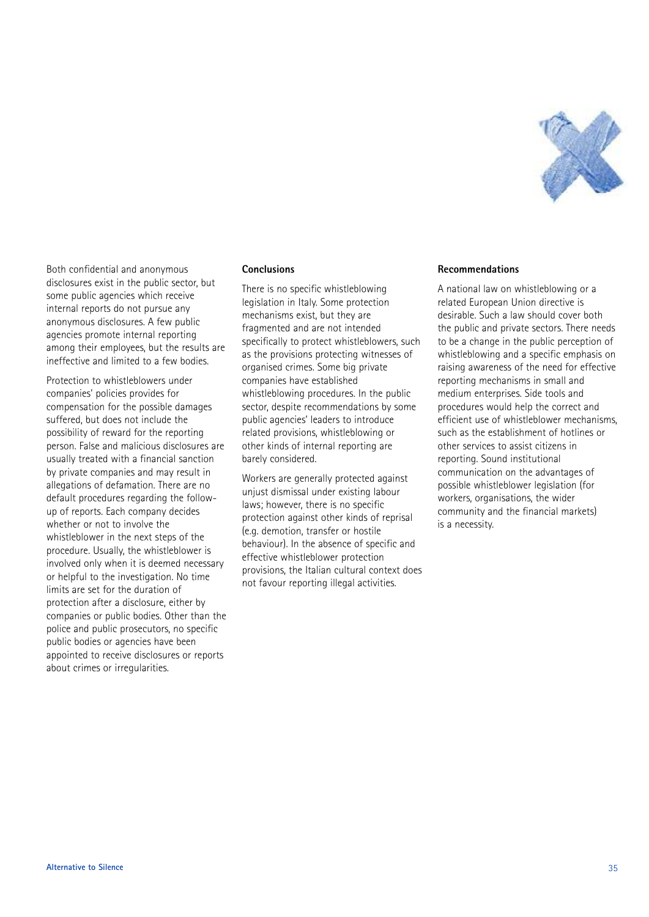

Both confidential and anonymous disclosures exist in the public sector, but some public agencies which receive internal reports do not pursue any anonymous disclosures. A few public agencies promote internal reporting among their employees, but the results are ineffective and limited to a few bodies.

Protection to whistleblowers under companies' policies provides for compensation for the possible damages suffered, but does not include the possibility of reward for the reporting person. False and malicious disclosures are usually treated with a financial sanction by private companies and may result in allegations of defamation. There are no default procedures regarding the followup of reports. Each company decides whether or not to involve the whistleblower in the next steps of the procedure. Usually, the whistleblower is involved only when it is deemed necessary or helpful to the investigation. No time limits are set for the duration of protection after a disclosure, either by companies or public bodies. Other than the police and public prosecutors, no specific public bodies or agencies have been appointed to receive disclosures or reports about crimes or irregularities.

#### **Conclusions**

There is no specific whistleblowing legislation in Italy. Some protection mechanisms exist, but they are fragmented and are not intended specifically to protect whistleblowers, such as the provisions protecting witnesses of organised crimes. Some big private companies have established whistleblowing procedures. In the public sector, despite recommendations by some public agencies' leaders to introduce related provisions, whistleblowing or other kinds of internal reporting are barely considered.

Workers are generally protected against unjust dismissal under existing labour laws; however, there is no specific protection against other kinds of reprisal (e.g. demotion, transfer or hostile behaviour). In the absence of specific and effective whistleblower protection provisions, the Italian cultural context does not favour reporting illegal activities.

#### **Recommendations**

A national law on whistleblowing or a related European Union directive is desirable. Such a law should cover both the public and private sectors. There needs to be a change in the public perception of whistleblowing and a specific emphasis on raising awareness of the need for effective reporting mechanisms in small and medium enterprises. Side tools and procedures would help the correct and efficient use of whistleblower mechanisms, such as the establishment of hotlines or other services to assist citizens in reporting. Sound institutional communication on the advantages of possible whistleblower legislation (for workers, organisations, the wider community and the financial markets) is a necessity.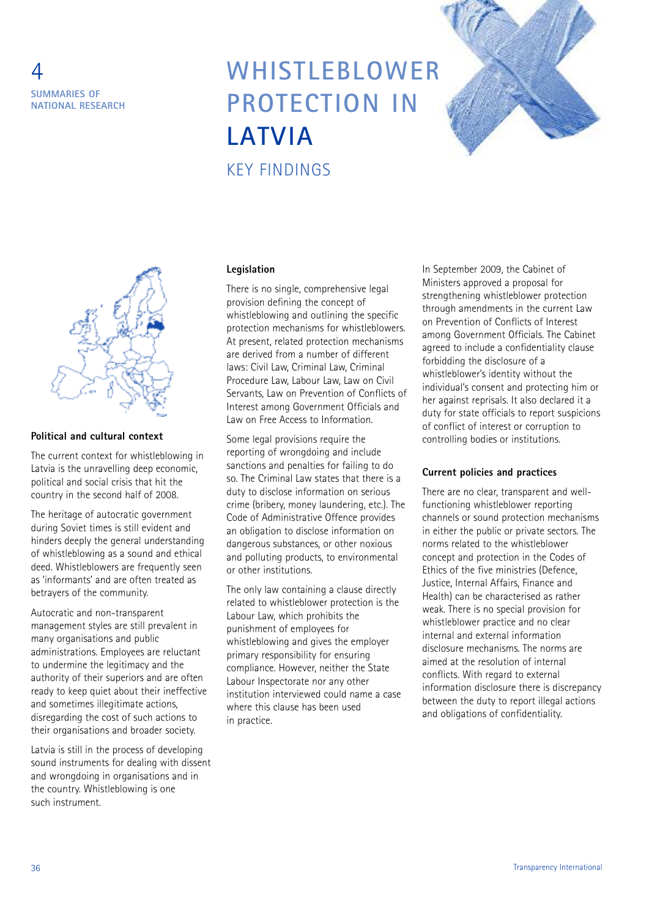

### **WHISTLEBLOWER PROTECTION IN LATVIA** KEY FINDINGS





#### **Political and cultural context**

The current context for whistleblowing in Latvia is the unravelling deep economic, political and social crisis that hit the country in the second half of 2008.

The heritage of autocratic government during Soviet times is still evident and hinders deeply the general understanding of whistleblowing as a sound and ethical deed. Whistleblowers are frequently seen as 'informants' and are often treated as betrayers of the community.

Autocratic and non-transparent management styles are still prevalent in many organisations and public administrations. Employees are reluctant to undermine the legitimacy and the authority of their superiors and are often ready to keep quiet about their ineffective and sometimes illegitimate actions, disregarding the cost of such actions to their organisations and broader society.

Latvia is still in the process of developing sound instruments for dealing with dissent and wrongdoing in organisations and in the country. Whistleblowing is one such instrument.

#### **Legislation**

There is no single, comprehensive legal provision defining the concept of whistleblowing and outlining the specific protection mechanisms for whistleblowers. At present, related protection mechanisms are derived from a number of different laws: Civil Law, Criminal Law, Criminal Procedure Law, Labour Law, Law on Civil Servants, Law on Prevention of Conflicts of Interest among Government Officials and Law on Free Access to Information.

Some legal provisions require the reporting of wrongdoing and include sanctions and penalties for failing to do so. The Criminal Law states that there is a duty to disclose information on serious crime (bribery, money laundering, etc.). The Code of Administrative Offence provides an obligation to disclose information on dangerous substances, or other noxious and polluting products, to environmental or other institutions.

The only law containing a clause directly related to whistleblower protection is the Labour Law, which prohibits the punishment of employees for whistleblowing and gives the employer primary responsibility for ensuring compliance. However, neither the State Labour Inspectorate nor any other institution interviewed could name a case where this clause has been used in practice.

In September 2009, the Cabinet of Ministers approved a proposal for strengthening whistleblower protection through amendments in the current Law on Prevention of Conflicts of Interest among Government Officials. The Cabinet agreed to include a confidentiality clause forbidding the disclosure of a whistleblower's identity without the individual's consent and protecting him or her against reprisals. It also declared it a duty for state officials to report suspicions of conflict of interest or corruption to controlling bodies or institutions.

#### **Current policies and practices**

There are no clear, transparent and wellfunctioning whistleblower reporting channels or sound protection mechanisms in either the public or private sectors. The norms related to the whistleblower concept and protection in the Codes of Ethics of the five ministries (Defence, Justice, Internal Affairs, Finance and Health) can be characterised as rather weak. There is no special provision for whistleblower practice and no clear internal and external information disclosure mechanisms. The norms are aimed at the resolution of internal conflicts. With regard to external information disclosure there is discrepancy between the duty to report illegal actions and obligations of confidentiality.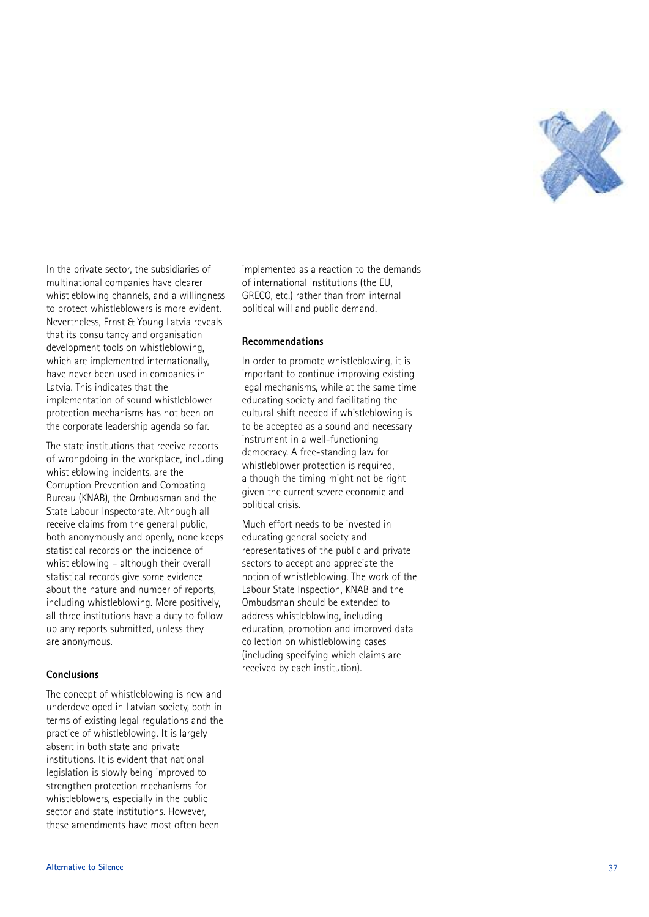

In the private sector, the subsidiaries of .<br>, multinational companies have clearer whistleblowing channels, and a willingness , to protect whistleblowers is more evident . Nevertheless, Ernst & Young Latvia reveals , that its consultancy and organisation development tools on whistleblowing , which are implemented internationally ,<br>, have never been used in companies in Latvia. This indicates that the . implementation of sound whistleblower protection mechanisms has not been on the corporate leadership agenda so far .

The state institutions that receive reports of wrongdoing in the workplace, including , whistleblowing incidents, are the , Corruption Prevention and Combating Bureau (KNAB), the Ombudsman and the , State Labour Inspectorate. Although all . receive claims from the general public , both anonymously and openly, none keeps ,<br>י statistical records on the incidence of whistleblowing - although their overall statistical records give some evidence about the nature and number of reports , including whistleblowing. More positively . ,<br>י all three institutions have a duty to follow up any reports submitted, unless they , are anonymous .

#### **Conclusions**

The concept of whistleblowing is new and underdeveloped in Latvian society, both in ,<br>, terms of existing legal regulations and the practice of whistleblowing. It is largely . absent in both state and private institutions. It is evident that national . legislation is slowly being improved to strengthen protection mechanisms for whistleblowers, especially in the public , sector and state institutions. However . .<br>ו these amendments have most often been

implemented as a reaction to the demands of international institutions (the EU , GRECO, etc.) rather than from internal , . political will and public demand .

#### **Recommendations**

In order to promote whistleblowing, it is , important to continue improving existing legal mechanisms, while at the same time , educating society and facilitating the cultural shift needed if whistleblowing is to be accepted as a sound and necessary instrument in a well-functioning democracy. A free-standing law for . whistleblower protection is required , although the timing might not be right given the current severe economic and political crisis .

Much effort needs to be invested in educating general society and representatives of the public and private sectors to accept and appreciate the notion of whistleblowing. The work of the . Labour State Inspection, KNAB and the , Ombudsman should be extended to address whistleblowing, including , education, promotion and improved data , collection on whistleblowing cases (including specifying which claims are received by each institution) .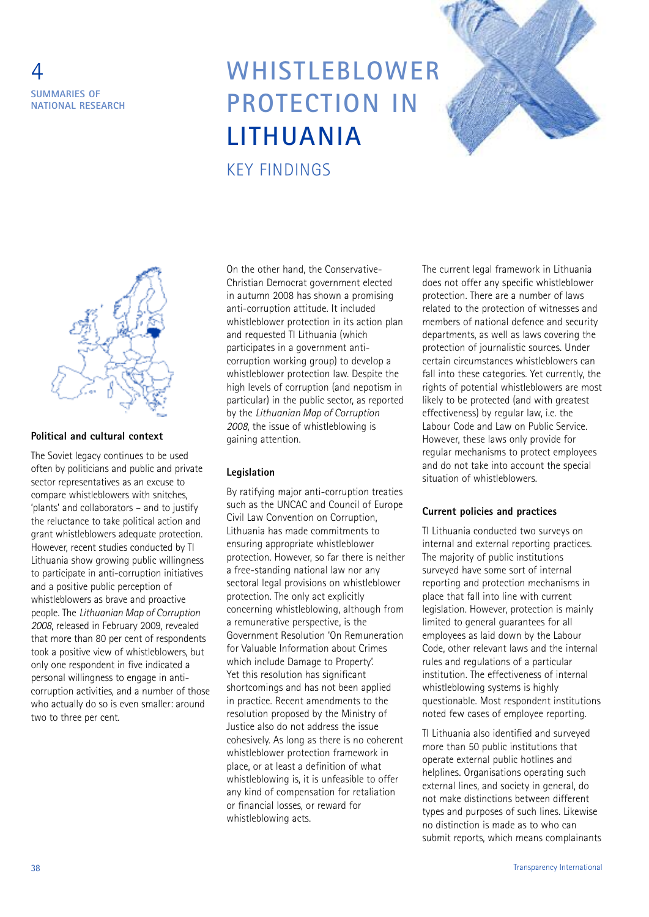

### **WHISTLEBLOWER PROTECTION IN LITHUANIA** KEY FINDINGS





#### **Political and cultural context**

The Soviet legacy continues to be used often by politicians and public and private sector representatives as an excuse to compare whistleblowers with snitches, 'plants' and collaborators – and to justify the reluctance to take political action and grant whistleblowers adequate protection. However, recent studies conducted by TI Lithuania show growing public willingness to participate in anti-corruption initiatives and a positive public perception of whistleblowers as brave and proactive people. The *Lithuanian Map of Corruption 2008*, released in February 2009, revealed that more than 80 per cent of respondents took a positive view of whistleblowers, but only one respondent in five indicated a personal willingness to engage in anticorruption activities, and a number of those who actually do so is even smaller: around two to three per cent.

On the other hand, the Conservative-Christian Democrat government elected in autumn 2008 has shown a promising anti-corruption attitude. It included whistleblower protection in its action plan and requested TI Lithuania (which participates in a government anticorruption working group) to develop a whistleblower protection law. Despite the high levels of corruption (and nepotism in particular) in the public sector, as reported by the *Lithuanian Map of Corruption 2008*, the issue of whistleblowing is gaining attention.

#### **Legislation**

By ratifying major anti-corruption treaties such as the UNCAC and Council of Europe Civil Law Convention on Corruption, Lithuania has made commitments to ensuring appropriate whistleblower protection. However, so far there is neither a free-standing national law nor any sectoral legal provisions on whistleblower protection. The only act explicitly concerning whistleblowing, although from a remunerative perspective, is the Government Resolution 'On Remuneration for Valuable Information about Crimes which include Damage to Property'. Yet this resolution has significant shortcomings and has not been applied in practice. Recent amendments to the resolution proposed by the Ministry of Justice also do not address the issue cohesively. As long as there is no coherent whistleblower protection framework in place, or at least a definition of what whistleblowing is, it is unfeasible to offer any kind of compensation for retaliation or financial losses, or reward for whistleblowing acts.

The current legal framework in Lithuania does not offer any specific whistleblower protection. There are a number of laws related to the protection of witnesses and members of national defence and security departments, as well as laws covering the protection of journalistic sources. Under certain circumstances whistleblowers can fall into these categories. Yet currently, the rights of potential whistleblowers are most likely to be protected (and with greatest effectiveness) by regular law, i.e. the Labour Code and Law on Public Service. However, these laws only provide for regular mechanisms to protect employees and do not take into account the special situation of whistleblowers.

#### **Current policies and practices**

TI Lithuania conducted two surveys on internal and external reporting practices. The majority of public institutions surveyed have some sort of internal reporting and protection mechanisms in place that fall into line with current legislation. However, protection is mainly limited to general guarantees for all employees as laid down by the Labour Code, other relevant laws and the internal rules and regulations of a particular institution. The effectiveness of internal whistleblowing systems is highly questionable. Most respondent institutions noted few cases of employee reporting.

TI Lithuania also identified and surveyed more than 50 public institutions that operate external public hotlines and helplines. Organisations operating such external lines, and society in general, do not make distinctions between different types and purposes of such lines. Likewise no distinction is made as to who can submit reports, which means complainants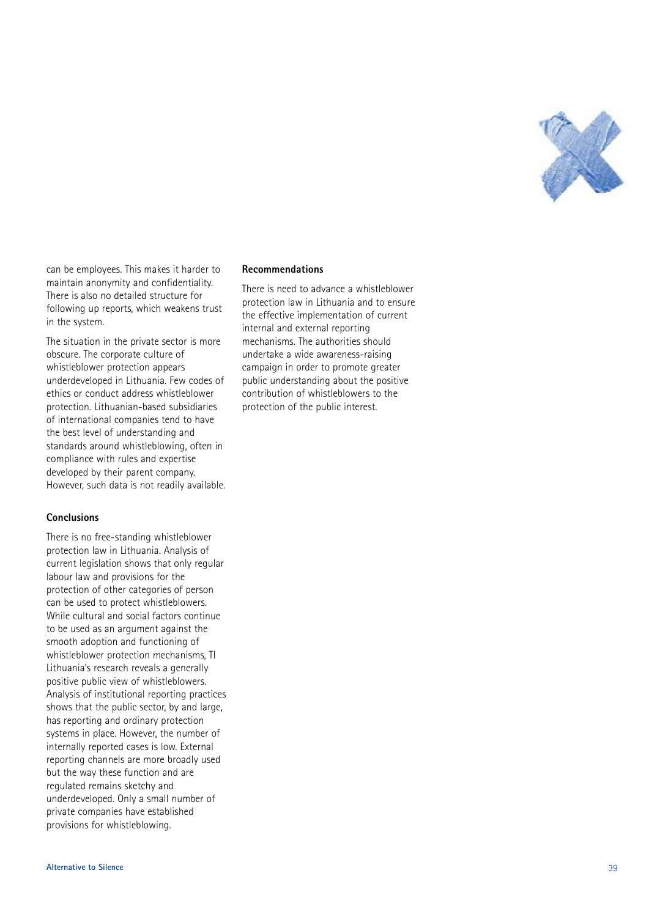

can be employees. This makes it harder to . maintain anonymity and confidentiality . There is also no detailed structure for following up reports, which weakens trust , in the system .

The situation in the private sector is more obscure. The corporate culture of . whistleblower protection appears underdeveloped in Lithuania. Few codes of . ethics or conduct address whistleblower protection. Lithuanian-based subsidiaries . of international companies tend to have the best level of understanding and standards around whistleblowing, often in , compliance with rules and expertise developed by their parent company . However, such data is not readily available .<br>, .

#### **Conclusions**

There is no free-standing whistleblower protection law in Lithuania. Analysis of . current legislation shows that only regular labour law and provisions for the protection of other categories of person can be used to protect whistleblowers . While cultural and social factors continue to be used as an argument against the smooth adoption and functioning of whistleblower protection mechanisms, TI , Lithuania's research reveals a generally ' positive public view of whistleblowers . Analysis of institutional reporting practices shows that the public sector, by and large , , has reporting and ordinary protection systems in place. However, the number of . .<br>, internally reported cases is low. External . reporting channels are more broadly used but the way these function and are regulated remains sketchy and underdeveloped. Only a small number of . private companies have established provisions for whistleblowing .

#### **Recommendations**

There is need to advance a whistleblower protection law in Lithuania and to ensure the effective implementation of current internal and external reporting mechanisms. The authorities should . undertake a wide awareness-raising campaign in order to promote greater public understanding about the positive contribution of whistleblowers to the protection of the public interest .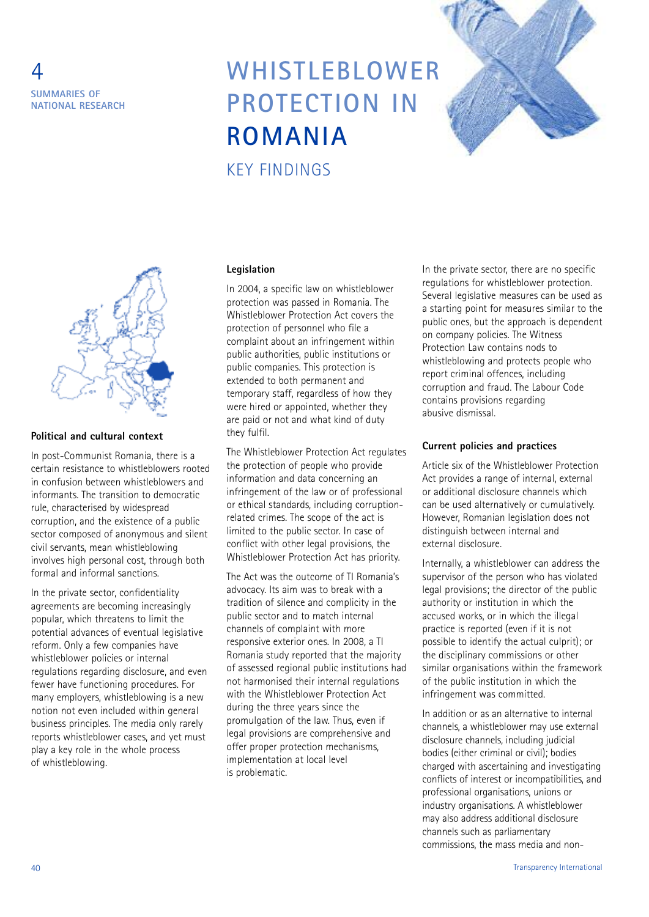

# **WHISTLEBLOWER PROTECTION IN ROMANIA**





#### **Political and cultural context**

In post-Communist Romania, there is a certain resistance to whistleblowers rooted in confusion between whistleblowers and informants. The transition to democratic rule, characterised by widespread corruption, and the existence of a public sector composed of anonymous and silent civil servants, mean whistleblowing involves high personal cost, through both formal and informal sanctions.

In the private sector, confidentiality agreements are becoming increasingly popular, which threatens to limit the potential advances of eventual legislative reform. Only a few companies have whistleblower policies or internal regulations regarding disclosure, and even fewer have functioning procedures. For many employers, whistleblowing is a new notion not even included within general business principles. The media only rarely reports whistleblower cases, and yet must play a key role in the whole process of whistleblowing.

#### **Legislation**

KEY FINDINGS

In 2004, a specific law on whistleblower protection was passed in Romania. The Whistleblower Protection Act covers the protection of personnel who file a complaint about an infringement within public authorities, public institutions or public companies. This protection is extended to both permanent and temporary staff, regardless of how they were hired or appointed, whether they are paid or not and what kind of duty they fulfil.

The Whistleblower Protection Act regulates the protection of people who provide information and data concerning an infringement of the law or of professional or ethical standards, including corruptionrelated crimes. The scope of the act is limited to the public sector. In case of conflict with other legal provisions, the Whistleblower Protection Act has priority.

The Act was the outcome of TI Romania's advocacy. Its aim was to break with a tradition of silence and complicity in the public sector and to match internal channels of complaint with more responsive exterior ones. In 2008, a TI Romania study reported that the majority of assessed regional public institutions had not harmonised their internal regulations with the Whistleblower Protection Act during the three years since the promulgation of the law. Thus, even if legal provisions are comprehensive and offer proper protection mechanisms, implementation at local level is problematic.

In the private sector, there are no specific regulations for whistleblower protection. Several legislative measures can be used as a starting point for measures similar to the public ones, but the approach is dependent on company policies. The Witness Protection Law contains nods to whistleblowing and protects people who report criminal offences, including corruption and fraud. The Labour Code contains provisions regarding abusive dismissal.

#### **Current policies and practices**

Article six of the Whistleblower Protection Act provides a range of internal, external or additional disclosure channels which can be used alternatively or cumulatively. However, Romanian legislation does not distinguish between internal and external disclosure.

Internally, a whistleblower can address the supervisor of the person who has violated legal provisions; the director of the public authority or institution in which the accused works, or in which the illegal practice is reported (even if it is not possible to identify the actual culprit); or the disciplinary commissions or other similar organisations within the framework of the public institution in which the infringement was committed.

In addition or as an alternative to internal channels, a whistleblower may use external disclosure channels, including judicial bodies (either criminal or civil); bodies charged with ascertaining and investigating conflicts of interest or incompatibilities, and professional organisations, unions or industry organisations. A whistleblower may also address additional disclosure channels such as parliamentary commissions, the mass media and non-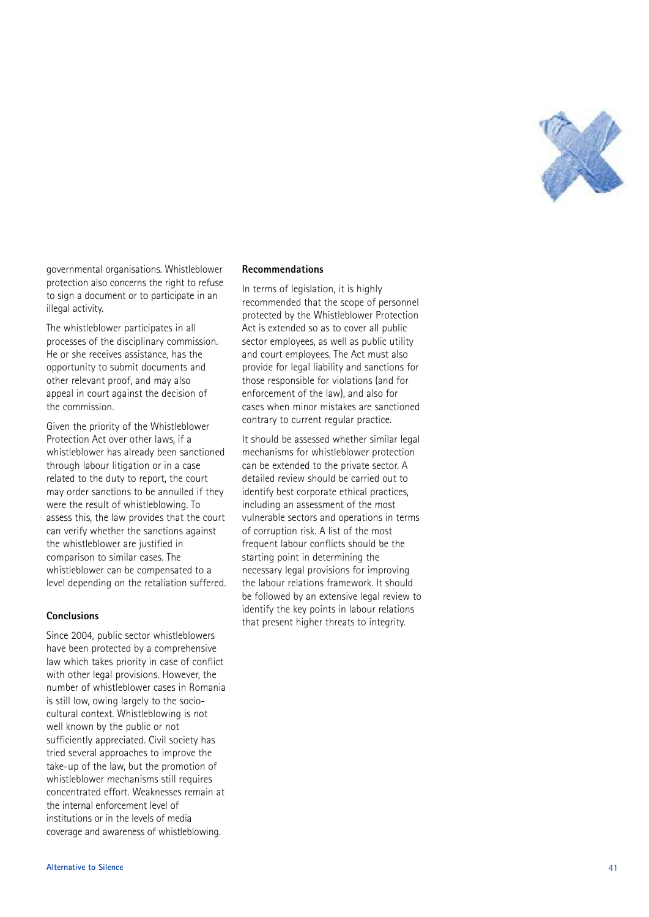

governmental organisations. Whistleblower . protection also concerns the right to refuse to sign a document or to participate in an illegal activity.

The whistleblower participates in all processes of the disciplinary commission . He or she receives assistance, has the , opportunity to submit documents and other relevant proof, and may also :<br>י appeal in court against the decision of the commission .

Given the priority of the Whistleblower Protection Act over other laws, if a , whistleblower has already been sanctioned through labour litigation or in a case related to the duty to report, the court , may order sanctions to be annulled if they were the result of whistleblowing. To . assess this, the law provides that the court , can verify whether the sanctions against the whistleblower are justified in comparison to similar cases. The . whistleblower can be compensated to a level depending on the retaliation suffered .

#### **Conclusions**

Since 2004, public sector whistleblowers , have been protected by a comprehensive law which takes priority in case of conflict with other legal provisions. However, the . , number of whistleblower cases in Romania is still low, owing largely to the socio-, cultural context. Whistleblowing is not . well known by the public or not sufficiently appreciated. Civil society has . tried several approaches to improve the take-up of the law, but the promotion of , whistleblower mechanisms still requires concentrated effort. Weaknesses remain at . the internal enforcement level of institutions or in the levels of media coverage and awareness of whistleblowing .

#### **Recommendations**

In terms of legislation, it is highly , recommended that the scope of personnel protected by the Whistleblower Protection Act is extended so as to cover all public sector employees, as well as public utility , and court employees. The Act must also . provide for legal liability and sanctions for those responsible for violations (and for enforcement of the law), and also for , cases when minor mistakes are sanctioned contrary to current regular practice .

It should be assessed whether similar legal mechanisms for whistleblower protection can be extended to the private sector. A . detailed review should be carried out to identify best corporate ethical practices , including an assessment of the most vulnerable sectors and operations in terms of corruption risk. A list of the most . frequent labour conflicts should be the starting point in determining the necessary legal provisions for improving the labour relations framework. It should . be followed by an extensive legal review to identify the key points in labour relations that present higher threats to integrity .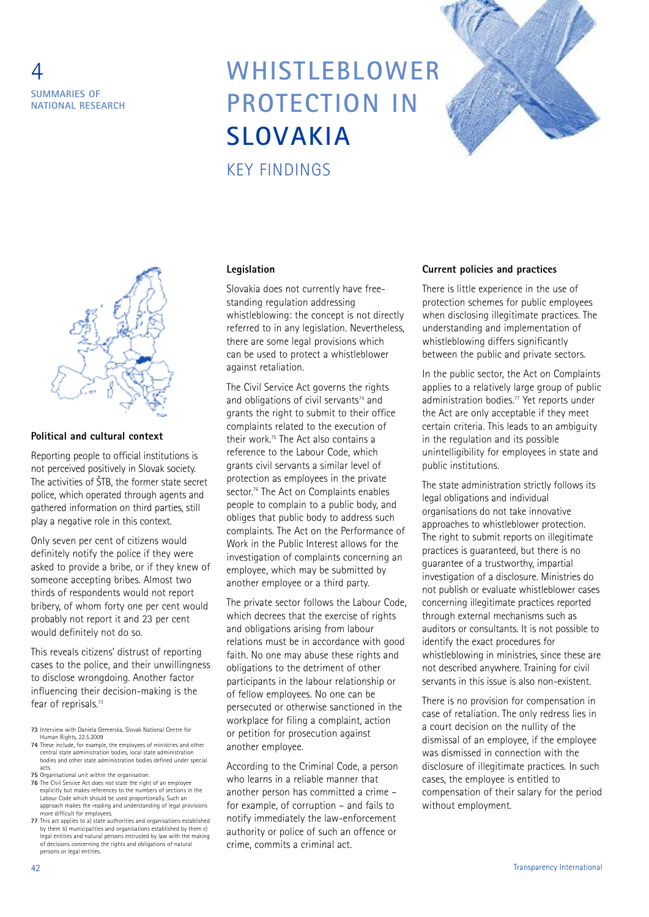

# **WHISTLEBLOWER PROTECTION IN SLOVAKIA**





#### **Political and cultural context**

Reporting people to official institutions is not perceived positively in Slovak society. The activities of ŠTB, the former state secret police, which operated through agents and gathered information on third parties, still play a negative role in this context.

Only seven per cent of citizens would definitely notify the police if they were asked to provide a bribe, or if they knew of someone accepting bribes. Almost two thirds of respondents would not report bribery, of whom forty one per cent would probably not report it and 23 per cent would definitely not do so.

This reveals citizens' distrust of reporting cases to the police, and their unwillingness to disclose wrongdoing. Another factor influencing their decision-making is the fear of reprisals. 73

**73** Interview with Daniela Gemerska, Slovak National Centre for Human Rights, 22.5.2009

- **74** These include, for example, the employees of ministries and other central state administration bodies, local state administration bodies and other state administration bodies defined under special acts.
- **75** Organisational unit within the organisation.
- **76** The Civil Service Act does not state the right of an employee explicitly but makes references to the numbers of sections in the Labour Code which should be used proportionally. Such an approach makes the reading and understanding of legal provisions more difficult for employees.
- **77** This act applies to a) state authorities and organisations established by them b) municipalities and organisations established by them c) legal entities and natural persons entrusted by law with the making of decisions concerning the rights and obligations of natural persons or legal entities.

#### **Legislation**

KEY FINDINGS

Slovakia does not currently have freestanding regulation addressing whistleblowing: the concept is not directly referred to in any legislation. Nevertheless, there are some legal provisions which can be used to protect a whistleblower against retaliation.

The Civil Service Act governs the rights and obligations of civil servants $74$  and grants the right to submit to their office complaints related to the execution of their work. <sup>75</sup> The Act also contains a reference to the Labour Code, which grants civil servants a similar level of protection as employees in the private sector. <sup>76</sup> The Act on Complaints enables people to complain to a public body, and obliges that public body to address such complaints. The Act on the Performance of Work in the Public Interest allows for the investigation of complaints concerning an employee, which may be submitted by another employee or a third party.

The private sector follows the Labour Code, which decrees that the exercise of rights and obligations arising from labour relations must be in accordance with good faith. No one may abuse these rights and obligations to the detriment of other participants in the labour relationship or of fellow employees. No one can be persecuted or otherwise sanctioned in the workplace for filing a complaint, action or petition for prosecution against another employee.

According to the Criminal Code, a person who learns in a reliable manner that another person has committed a crime – for example, of corruption – and fails to notify immediately the law-enforcement authority or police of such an offence or crime, commits a criminal act.

#### **Current policies and practices**

There is little experience in the use of protection schemes for public employees when disclosing illegitimate practices. The understanding and implementation of whistleblowing differs significantly between the public and private sectors.

In the public sector, the Act on Complaints applies to a relatively large group of public administration bodies. <sup>77</sup> Yet reports under the Act are only acceptable if they meet certain criteria. This leads to an ambiguity in the regulation and its possible unintelligibility for employees in state and public institutions.

The state administration strictly follows its legal obligations and individual organisations do not take innovative approaches to whistleblower protection. The right to submit reports on illegitimate practices is guaranteed, but there is no guarantee of a trustworthy, impartial investigation of a disclosure. Ministries do not publish or evaluate whistleblower cases concerning illegitimate practices reported through external mechanisms such as auditors or consultants. It is not possible to identify the exact procedures for whistleblowing in ministries, since these are not described anywhere. Training for civil servants in this issue is also non-existent.

There is no provision for compensation in case of retaliation. The only redress lies in a court decision on the nullity of the dismissal of an employee, if the employee was dismissed in connection with the disclosure of illegitimate practices. In such cases, the employee is entitled to compensation of their salary for the period without employment.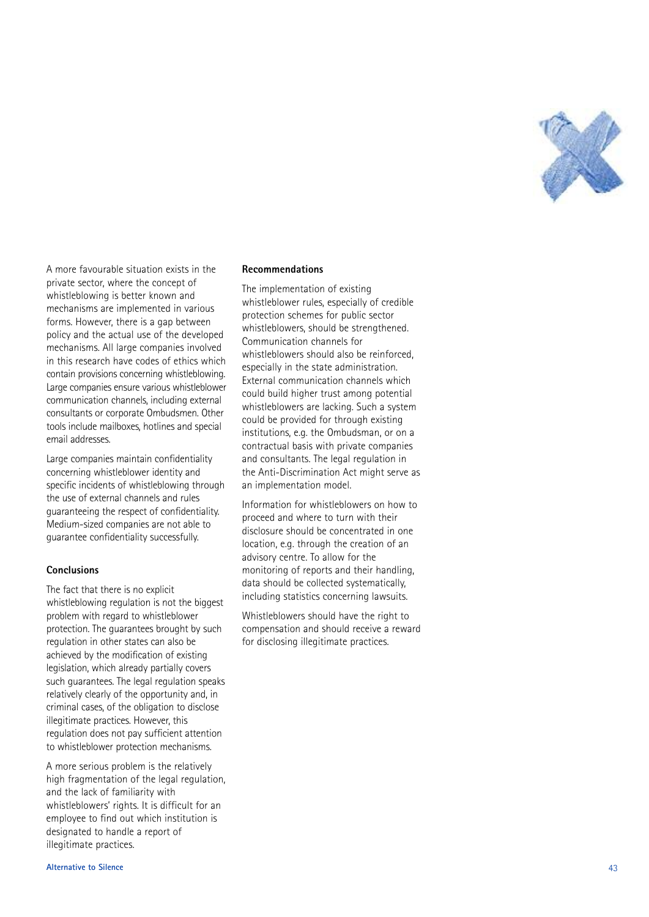

A more favourable situation exists in the private sector, where the concept of .<br>, whistleblowing is better known and mechanisms are implemented in various forms. However, there is a gap between . .<br>, policy and the actual use of the developed mechanisms. All large companies involved . in this research have codes of ethics which contain provisions concerning whistleblowing . Large companies ensure various whistleblower communication channels, including external , consultants or corporate Ombudsmen. Other . tools include mailboxes, hotlines and special , email addresses .

Large companies maintain confidentiality concerning whistleblower identity and specific incidents of whistleblowing through the use of external channels and rules guaranteeing the respect of confidentiality. Medium-sized companies are not able to guarantee confidentiality successfully.

#### **Conclusions**

The fact that there is no explicit whistleblowing regulation is not the biggest problem with regard to whistleblower protection. The guarantees brought by such . regulation in other states can also be achieved by the modification of existing legislation, which already partially covers , such guarantees. The legal regulation speaks . relatively clearly of the opportunity and, in , criminal cases, of the obligation to disclose , illegitimate practices. However, this . , regulation does not pay sufficient attention to whistleblower protection mechanisms .

A more serious problem is the relatively high fragmentation of the legal regulation , and the lack of familiarity with whistleblowers' rights. It is difficult for an ' . employee to find out which institution is designated to handle a report of illegitimate practices .

#### **Recommendations**

The implementation of existing whistleblower rules, especially of credible , protection schemes for public sector whistleblowers, should be strengthened , . Communication channels for whistleblowers should also be reinforced , especially in the state administration . External communication channels which could build higher trust among potential whistleblowers are lacking. Such a system . could be provided for through existing institutions, e.g. the Ombudsman, or on a , . . , contractual basis with private companies and consultants. The legal regulation in . the Anti-Discrimination Act might serve as an implementation model .

Information for whistleblowers on how to proceed and where to turn with their disclosure should be concentrated in one location, e.g. through the creation of an , . . advisory centre. To allow for the . monitoring of reports and their handling , data should be collected systematically , including statistics concerning lawsuits .

Whistleblowers should have the right to compensation and should receive a reward for disclosing illegitimate practices .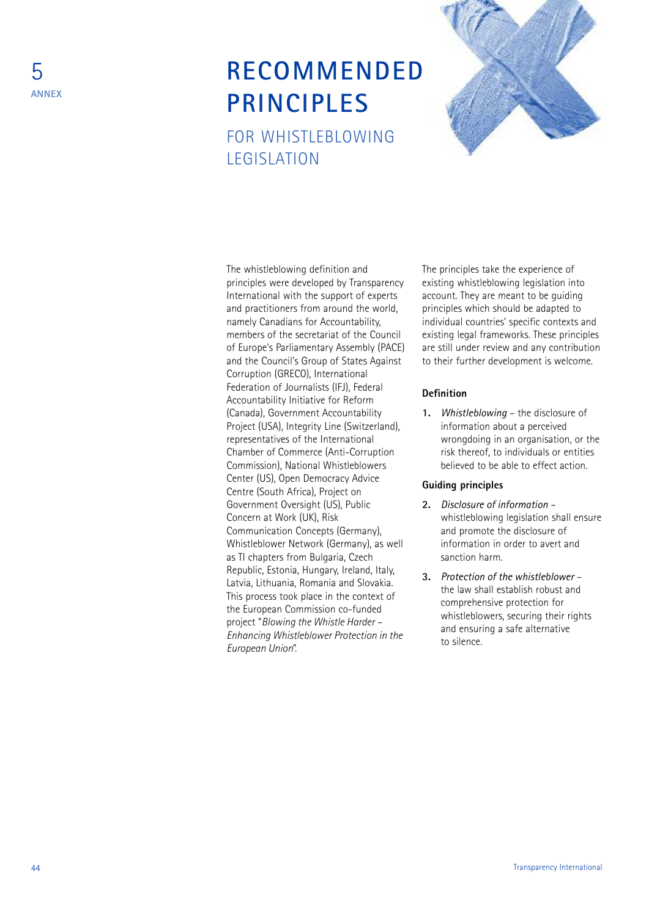### **RECOMMENDED PRINCIPLES** FOR WHISTLEBLOWING LEGISLATION



The whistleblowing definition and principles were developed by Transparency International with the support of experts and practitioners from around the world, namely Canadians for Accountability, members of the secretariat of the Council of Europe's Parliamentary Assembly (PACE) and the Council's Group of States Against Corruption (GRECO), International Federation of Journalists (IFJ), Federal Accountability Initiative for Reform (Canada), Government Accountability Project (USA), Integrity Line (Switzerland), representatives of the International Chamber of Commerce (Anti-Corruption Commission), National Whistleblowers Center (US), Open Democracy Advice Centre (South Africa), Project on Government Oversight (US), Public Concern at Work (UK), Risk Communication Concepts (Germany), Whistleblower Network (Germany), as well as TI chapters from Bulgaria, Czech Republic, Estonia, Hungary, Ireland, Italy, Latvia, Lithuania, Romania and Slovakia. This process took place in the context of the European Commission co-funded project "*Blowing the Whistle Harder – Enhancing Whistleblower Protection in the European Union*".

The principles take the experience of existing whistleblowing legislation into account. They are meant to be guiding principles which should be adapted to individual countries' specific contexts and existing legal frameworks. These principles are still under review and any contribution to their further development is welcome.

#### **Definition**

**1.** *Whistleblowing* – the disclosure of information about a perceived wrongdoing in an organisation, or the risk thereof, to individuals or entities believed to be able to effect action.

#### **Guiding principles**

- **2.** *Disclosure of information* whistleblowing legislation shall ensure and promote the disclosure of information in order to avert and sanction harm.
- **3.** *Protection of the whistleblower* the law shall establish robust and comprehensive protection for whistleblowers, securing their rights and ensuring a safe alternative to silence.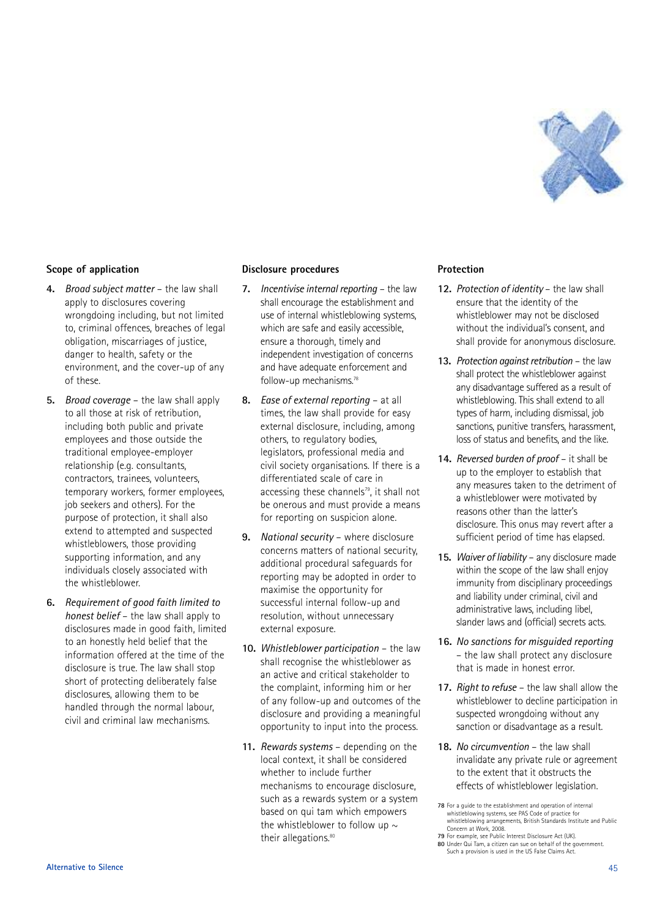

#### **Scope of application**

- **4.** *Broad subject matter* the law shall apply to disclosures covering wrongdoing including, but not limited to, criminal offences, breaches of legal obligation, miscarriages of justice, danger to health, safety or the environment, and the cover-up of any of these.
- **5.** *Broad coverage* the law shall apply to all those at risk of retribution, including both public and private employees and those outside the traditional employee-employer relationship (e.g. consultants, contractors, trainees, volunteers, temporary workers, former employees, job seekers and others). For the purpose of protection, it shall also extend to attempted and suspected whistleblowers, those providing supporting information, and any individuals closely associated with the whistleblower.
- **6.** *Requirement of good faith limited to honest belief* – the law shall apply to disclosures made in good faith, limited to an honestly held belief that the information offered at the time of the disclosure is true. The law shall stop short of protecting deliberately false disclosures, allowing them to be handled through the normal labour, civil and criminal law mechanisms.

#### **Disclosure procedures**

- **7.** *Incentivise internal reporting* the law shall encourage the establishment and use of internal whistleblowing systems, which are safe and easily accessible, ensure a thorough, timely and independent investigation of concerns and have adequate enforcement and follow-up mechanisms. 78
- **8.** *Ease of external reporting* at all times, the law shall provide for easy external disclosure, including, among others, to regulatory bodies, legislators, professional media and civil society organisations. If there is a differentiated scale of care in accessing these channels<sup>79</sup>, it shall not be onerous and must provide a means for reporting on suspicion alone.
- **9.** *National security* where disclosure concerns matters of national security, additional procedural safeguards for reporting may be adopted in order to maximise the opportunity for successful internal follow-up and resolution, without unnecessary external exposure.
- **10.** *Whistleblower participation* the law shall recognise the whistleblower as an active and critical stakeholder to the complaint, informing him or her of any follow-up and outcomes of the disclosure and providing a meaningful opportunity to input into the process.
- **11.** *Rewards systems* depending on the local context, it shall be considered whether to include further mechanisms to encourage disclosure, such as a rewards system or a system based on qui tam which empowers the whistleblower to follow up  $\sim$ their allegations. 80

#### **Protection**

- **12.** *Protection of identity* the law shall ensure that the identity of the whistleblower may not be disclosed without the individual's consent, and shall provide for anonymous disclosure.
- **13.** Protection *gaginst retribution* the law shall protect the whistleblower against any disadvantage suffered as a result of whistleblowing. This shall extend to all types of harm, including dismissal, job sanctions, punitive transfers, harassment, loss of status and benefits, and the like.
- **14.** *Reversed burden of proof* it shall be up to the employer to establish that any measures taken to the detriment of a whistleblower were motivated by reasons other than the latter's disclosure. This onus may revert after a sufficient period of time has elapsed.
- **15.** *Waiver of liability* any disclosure made within the scope of the law shall enjoy immunity from disciplinary proceedings and liability under criminal, civil and administrative laws, including libel, slander laws and (official) secrets acts.
- **16.** *No sanctions for misguided reporting* – the law shall protect any disclosure that is made in honest error.
- **17.** *Right to refuse* the law shall allow the whistleblower to decline participation in suspected wrongdoing without any sanction or disadvantage as a result.
- **18.** *No circumvention* the law shall invalidate any private rule or agreement to the extent that it obstructs the effects of whistleblower legislation.

**<sup>78</sup>** For a guide to the establishment and operation of internal whistleblowing systems, see PAS Code of practice for whistleblowing arrangements, British Standards Institute and Public Concern at Work, 2008.

**<sup>79</sup>** For example, see Public Interest Disclosure Act (UK). **80** Under Qui Tam, a citizen can sue on behalf of the government.

Such a provision is used in the US False Claims Act.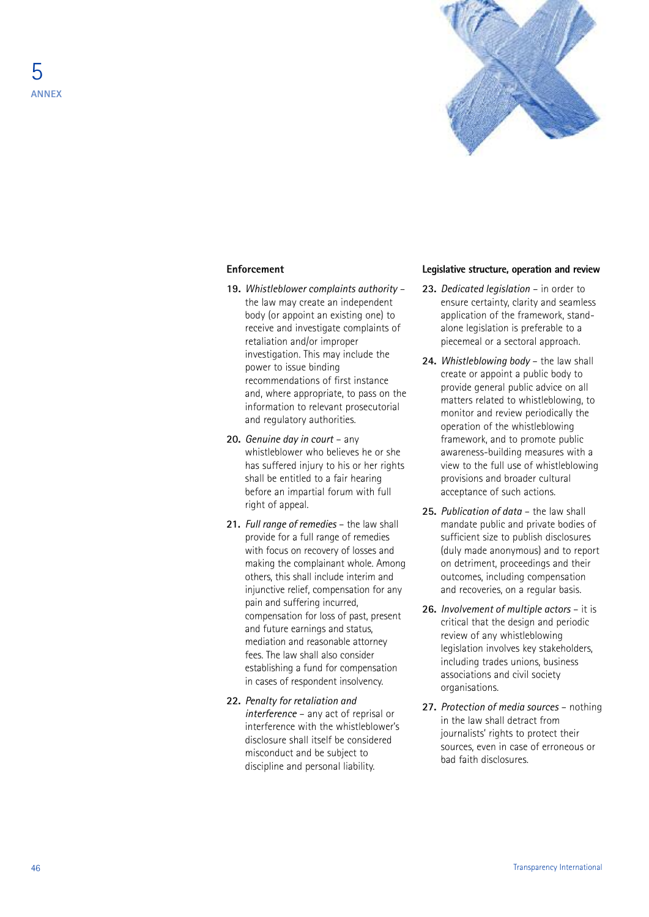

#### **Enforcement**

- **19.** *Whistleblower complaints authority* the law may create an independent body (or appoint an existing one) to receive and investigate complaints of retaliation and/or improper investigation. This may include the power to issue binding recommendations of first instance and, where appropriate, to pass on the information to relevant prosecutorial and regulatory authorities.
- **20.** *Genuine day in court* any whistleblower who believes he or she has suffered injury to his or her rights shall be entitled to a fair hearing before an impartial forum with full right of appeal.
- **21.** *Full range of remedies* the law shall provide for a full range of remedies with focus on recovery of losses and making the complainant whole. Among others, this shall include interim and injunctive relief, compensation for any pain and suffering incurred, compensation for loss of past, present and future earnings and status, mediation and reasonable attorney fees. The law shall also consider establishing a fund for compensation in cases of respondent insolvency.
- **22.** *Penalty for retaliation and interference* – any act of reprisal or interference with the whistleblower's disclosure shall itself be considered misconduct and be subject to discipline and personal liability.

#### **Legislative structure, operation and review**

- **23.** *Dedicated legislation* in order to ensure certainty, clarity and seamless application of the framework, standalone legislation is preferable to a piecemeal or a sectoral approach.
- **24.** *Whistleblowing body* the law shall create or appoint a public body to provide general public advice on all matters related to whistleblowing, to monitor and review periodically the operation of the whistleblowing framework, and to promote public awareness-building measures with a view to the full use of whistleblowing provisions and broader cultural acceptance of such actions.
- **25.** *Publication of data* the law shall mandate public and private bodies of sufficient size to publish disclosures (duly made anonymous) and to report on detriment, proceedings and their outcomes, including compensation and recoveries, on a regular basis.
- **26.** *Involvement of multiple actors* it is critical that the design and periodic review of any whistleblowing legislation involves key stakeholders, including trades unions, business associations and civil society organisations.
- **27.** *Protection of media sources* nothing in the law shall detract from journalists' rights to protect their sources, even in case of erroneous or bad faith disclosures.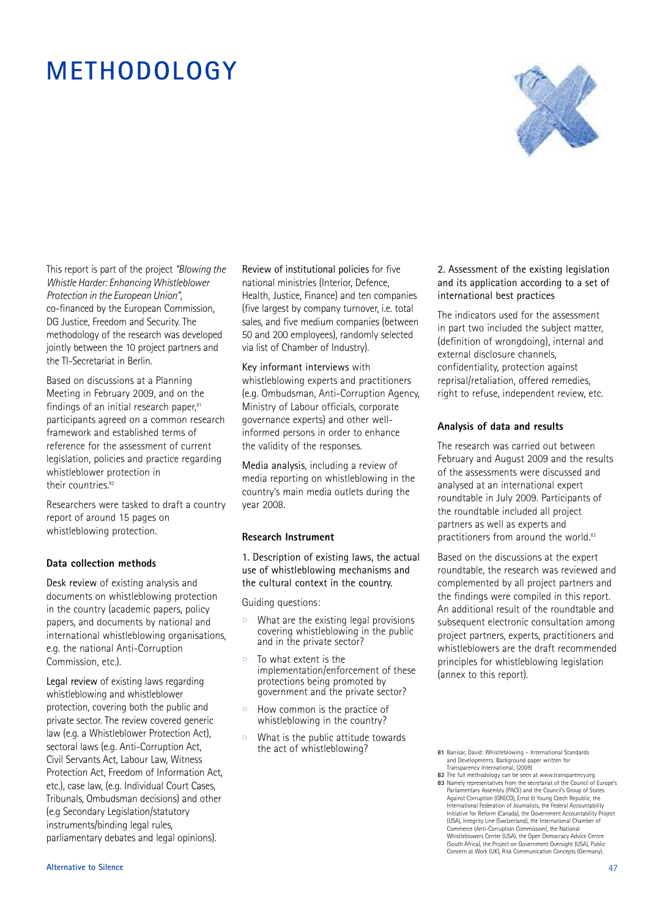### **METHODOLOGY**



This report is part of the project *"Blowing the Whistle Harder: Enhancing Whistleblower Protection in the European Union"*, co-financed by the European Commission, DG Justice, Freedom and Security. The methodology of the research was developed jointly between the 10 project partners and the TI-Secretariat in Berlin.

Based on discussions at a Planning Meeting in February 2009, and on the findings of an initial research paper,<sup>81</sup> participants agreed on a common research framework and established terms of reference for the assessment of current legislation, policies and practice regarding whistleblower protection in their countries. 82

Researchers were tasked to draft a country report of around 15 pages on whistleblowing protection.

#### **Data collection methods**

Desk review of existing analysis and documents on whistleblowing protection in the country (academic papers, policy papers, and documents by national and international whistleblowing organisations, e.g. the national Anti-Corruption Commission, etc.).

Legal review of existing laws regarding whistleblowing and whistleblower protection, covering both the public and private sector. The review covered generic law (e.g. a Whistleblower Protection Act), sectoral laws (e.g. Anti-Corruption Act, Civil Servants Act, Labour Law, Witness Protection Act, Freedom of Information Act, etc.), case law, (e.g. Individual Court Cases, Tribunals, Ombudsman decisions) and other (e.g Secondary Legislation/statutory instruments/binding legal rules, parliamentary debates and legal opinions).

Review of institutional policies for five national ministries (Interior, Defence, Health, Justice, Finance) and ten companies (five largest by company turnover, i.e. total sales, and five medium companies (between 50 and 200 employees), randomly selected via list of Chamber of Industry).

Key informant interviews with whistleblowing experts and practitioners (e.g. Ombudsman, Anti-Corruption Agency, Ministry of Labour officials, corporate governance experts) and other wellinformed persons in order to enhance the validity of the responses.

Media analysis, including a review of media reporting on whistleblowing in the country's main media outlets during the year 2008.

#### **Research Instrument**

1. Description of existing laws, the actual use of whistleblowing mechanisms and the cultural context in the country.

Guiding questions:

- $\circ$  What are the existing legal provisions covering whistleblowing in the public and in the private sector?
- $\circ$  To what extent is the implementation/enforcement of these protections being promoted by government and the private sector?
- How common is the practice of whistleblowing in the country?
- $\circ$  What is the public attitude towards the act of whistleblowing?

2. Assessment of the existing legislation and its application according to a set of international best practices

The indicators used for the assessment in part two included the subject matter, (definition of wrongdoing), internal and external disclosure channels, confidentiality, protection against reprisal/retaliation, offered remedies, right to refuse, independent review, etc.

#### **Analysis of data and results**

The research was carried out between February and August 2009 and the results of the assessments were discussed and analysed at an international expert roundtable in July 2009. Participants of the roundtable included all project partners as well as experts and practitioners from around the world.<sup>83</sup>

Based on the discussions at the expert roundtable, the research was reviewed and complemented by all project partners and the findings were compiled in this report. An additional result of the roundtable and subsequent electronic consultation among project partners, experts, practitioners and whistleblowers are the draft recommended principles for whistleblowing legislation (annex to this report).

**<sup>81</sup>** Banisar, David: Whistleblowing – International Standards and Developments. Background paper written for Transparency International, (2009)

**<sup>82</sup>** The full methodology can be seen at www.transparency.org **83** Namely representatives from the secretariat of the Council of Europe's Parliamentary Assembly (PACE) and the Council's Group of States Against Corruption (GRECO), Ernst & Young Czech Republic, the International Federation of Journalists, the Federal Accountability Initiative for Reform (Canada), the Government Accountability Project (USA), Integrity Line (Switzerland), the International Chamber of Commerce (Anti-Corruption Commission), the National Whistleblowers Center (USA), the Open Democracy Advice Centre (South Africa), the Project on Government Oversight (USA), Public Concern at Work (UK), Risk Communication Concepts (Germany).